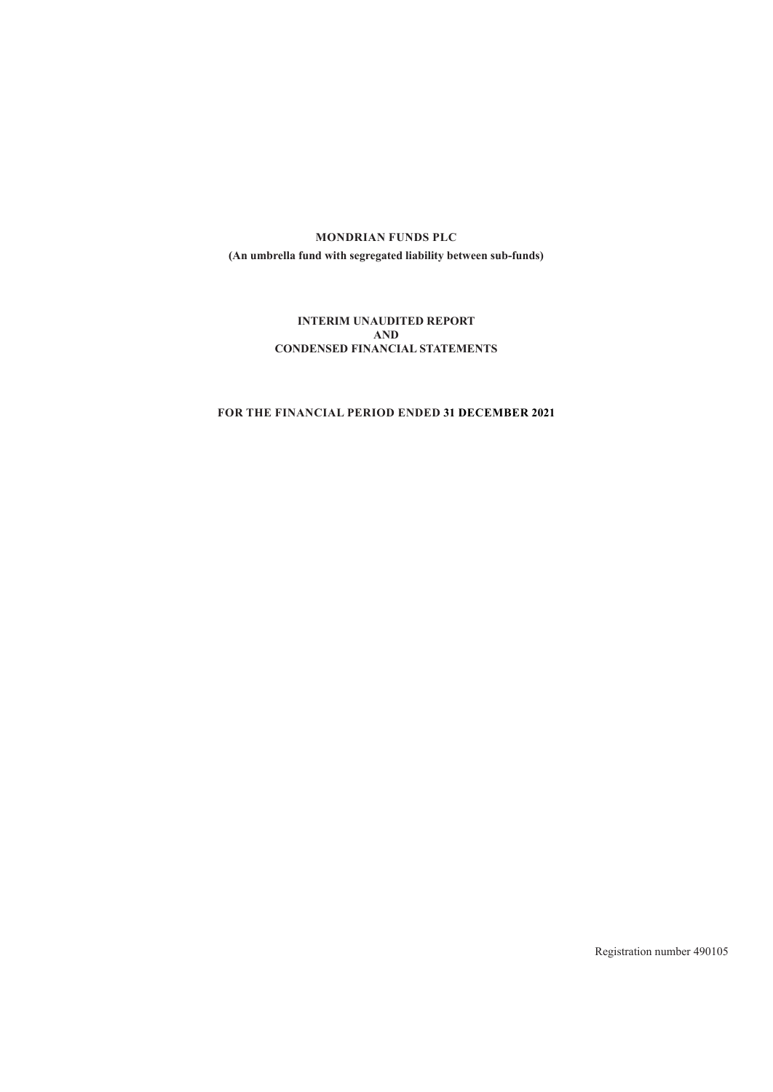# **MONDRIAN FUNDS PLC (An umbrella fund with segregated liability between sub-funds)**

# **INTERIM UNAUDITED REPORT AND CONDENSED FINANCIAL STATEMENTS**

# **FOR THE FINANCIAL PERIOD ENDED 31 DECEMBER 2021**

Registration number 490105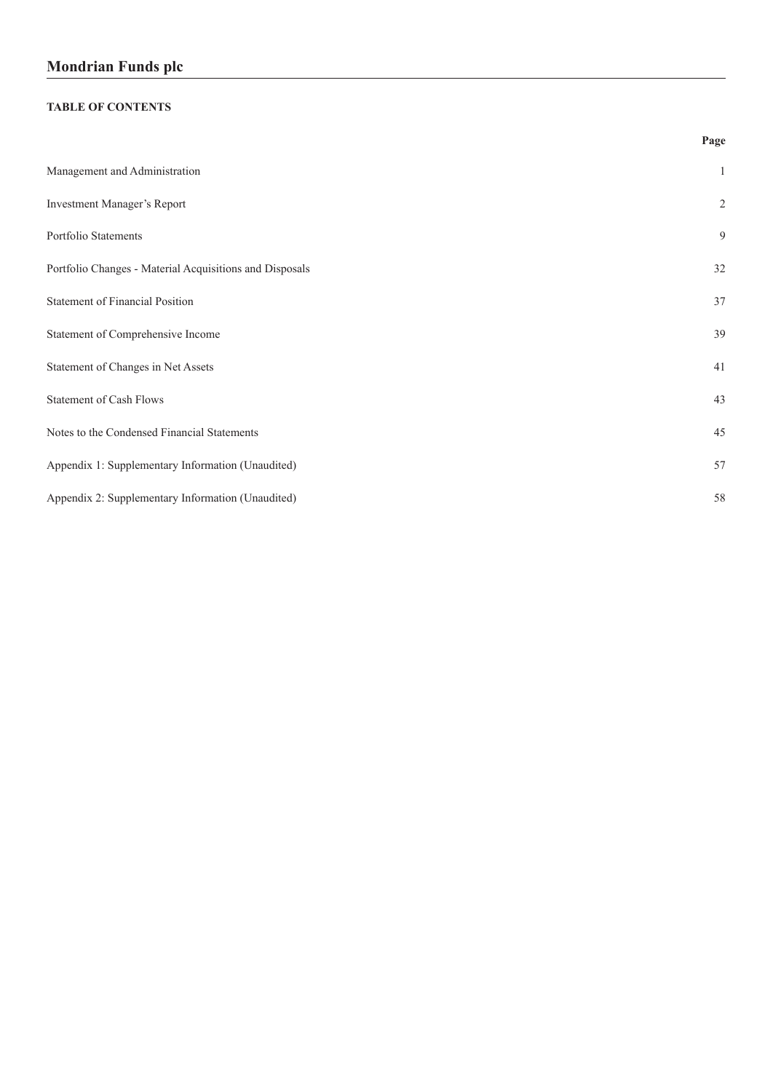# **TABLE OF CONTENTS**

|                                                         | Page         |
|---------------------------------------------------------|--------------|
| Management and Administration                           | $\mathbf{1}$ |
| Investment Manager's Report                             | $\sqrt{2}$   |
| Portfolio Statements                                    | 9            |
| Portfolio Changes - Material Acquisitions and Disposals | 32           |
| <b>Statement of Financial Position</b>                  | 37           |
| Statement of Comprehensive Income                       | 39           |
| Statement of Changes in Net Assets                      | 41           |
| <b>Statement of Cash Flows</b>                          | 43           |
| Notes to the Condensed Financial Statements             | 45           |
| Appendix 1: Supplementary Information (Unaudited)       | 57           |
| Appendix 2: Supplementary Information (Unaudited)       | 58           |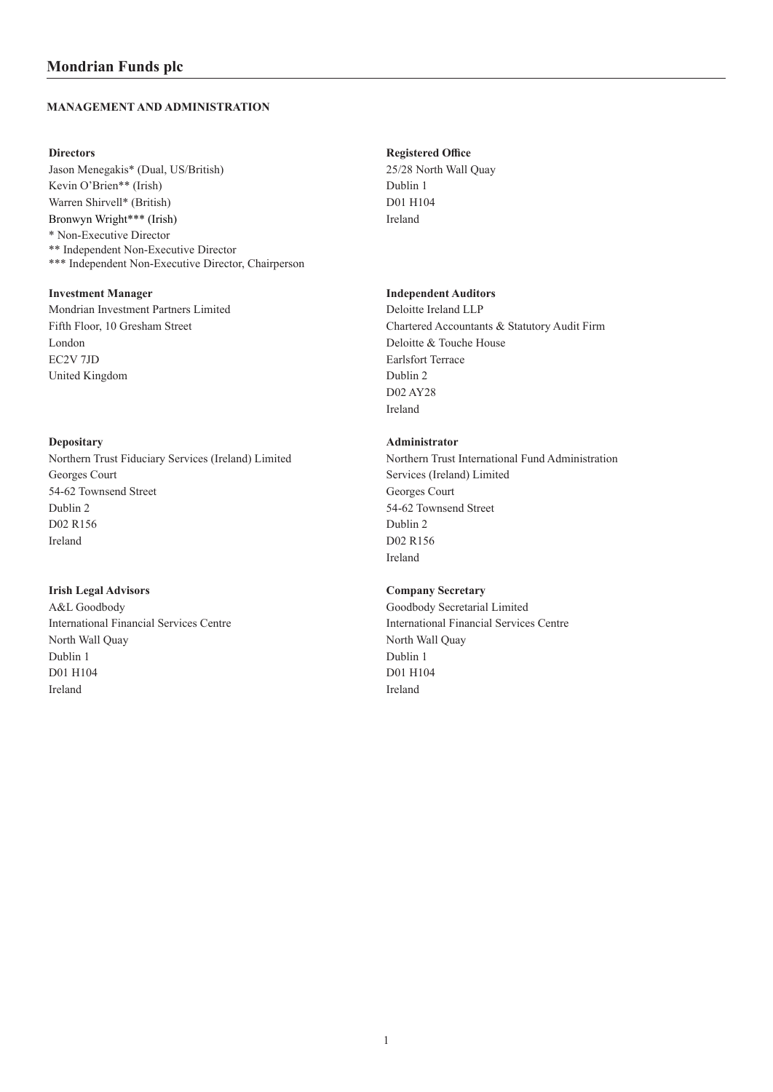# <span id="page-2-0"></span>**MANAGEMENT AND ADMINISTRATION**

Jason Menegakis\* (Dual, US/British) 25/28 North Wall Quay Kevin O'Brien\*\* (Irish) Dublin 1 Warren Shirvell\* (British) D01 H104 Bronwyn Wright\*\*\* (Irish) Ireland \* Non-Executive Director \*\* Independent Non-Executive Director \*\*\* Independent Non-Executive Director, Chairperson

Mondrian Investment Partners Limited Deloitte Ireland LLP London Deloitte & Touche House EC2V 7JD Earlsfort Terrace United Kingdom Dublin 2

Northern Trust Fiduciary Services (Ireland) Limited Northern Trust International Fund Administration Georges Court Services (Ireland) Limited 54-62 Townsend Street Georges Court Dublin 2 54-62 Townsend Street D02 R156 Dublin 2 Ireland D02 R156

# **Irish Legal Advisors Company Secretary**

A&L Goodbody Goodbody Goodbody Secretarial Limited International Financial Services Centre International Financial Services Centre North Wall Quay North Wall Quay Dublin 1 Dublin 1 D01 H104 D01 H104 Ireland Ireland

## **Directors Registered Office**

# **Investment Manager** Independent Auditors

Fifth Floor, 10 Gresham Street Chartered Accountants & Statutory Audit Firm D02 AY28 Ireland

# **Depositary Administrator**

Ireland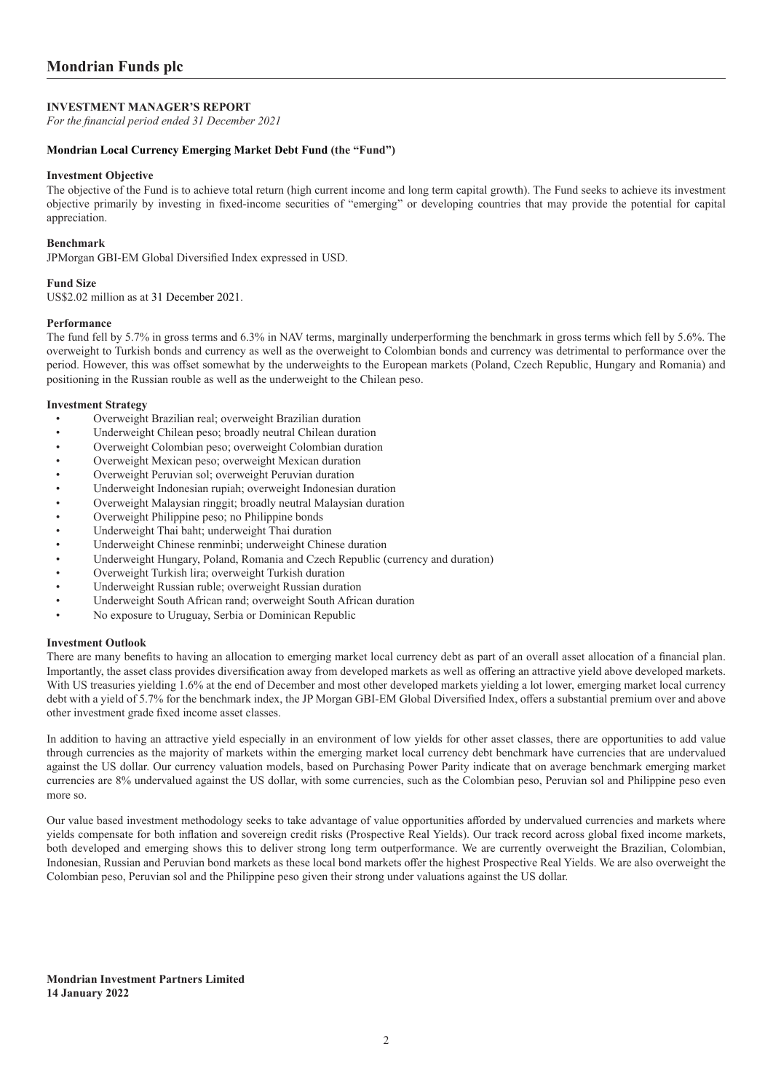# <span id="page-3-0"></span>**INVESTMENT MANAGER'S REPORT**

*For the financial period ended 31 December 2021*

## **Mondrian Local Currency Emerging Market Debt Fund (the "Fund")**

## **Investment Objective**

The objective of the Fund is to achieve total return (high current income and long term capital growth). The Fund seeks to achieve its investment objective primarily by investing in fixed-income securities of "emerging" or developing countries that may provide the potential for capital appreciation.

#### **Benchmark**

JPMorgan GBI-EM Global Diversified Index expressed in USD.

## **Fund Size**

US\$2.02 million as at 31 December 2021.

#### **Performance**

The fund fell by 5.7% in gross terms and 6.3% in NAV terms, marginally underperforming the benchmark in gross terms which fell by 5.6%. The overweight to Turkish bonds and currency as well as the overweight to Colombian bonds and currency was detrimental to performance over the period. However, this was offset somewhat by the underweights to the European markets (Poland, Czech Republic, Hungary and Romania) and positioning in the Russian rouble as well as the underweight to the Chilean peso.

#### **Investment Strategy**

- Overweight Brazilian real; overweight Brazilian duration
- Underweight Chilean peso; broadly neutral Chilean duration
- Overweight Colombian peso; overweight Colombian duration
- Overweight Mexican peso; overweight Mexican duration
- Overweight Peruvian sol; overweight Peruvian duration
- Underweight Indonesian rupiah; overweight Indonesian duration
- Overweight Malaysian ringgit; broadly neutral Malaysian duration
- Overweight Philippine peso; no Philippine bonds
- Underweight Thai baht; underweight Thai duration
- Underweight Chinese renminbi; underweight Chinese duration
- Underweight Hungary, Poland, Romania and Czech Republic (currency and duration)
- Overweight Turkish lira; overweight Turkish duration
- Underweight Russian ruble; overweight Russian duration
- Underweight South African rand; overweight South African duration
- No exposure to Uruguay, Serbia or Dominican Republic

## **Investment Outlook**

There are many benefits to having an allocation to emerging market local currency debt as part of an overall asset allocation of a financial plan. Importantly, the asset class provides diversification away from developed markets as well as offering an attractive yield above developed markets. With US treasuries yielding 1.6% at the end of December and most other developed markets yielding a lot lower, emerging market local currency debt with a yield of 5.7% for the benchmark index, the JP Morgan GBI-EM Global Diversified Index, offers a substantial premium over and above other investment grade fixed income asset classes.

In addition to having an attractive yield especially in an environment of low yields for other asset classes, there are opportunities to add value through currencies as the majority of markets within the emerging market local currency debt benchmark have currencies that are undervalued against the US dollar. Our currency valuation models, based on Purchasing Power Parity indicate that on average benchmark emerging market currencies are 8% undervalued against the US dollar, with some currencies, such as the Colombian peso, Peruvian sol and Philippine peso even more so.

Our value based investment methodology seeks to take advantage of value opportunities afforded by undervalued currencies and markets where yields compensate for both inflation and sovereign credit risks (Prospective Real Yields). Our track record across global fixed income markets, both developed and emerging shows this to deliver strong long term outperformance. We are currently overweight the Brazilian, Colombian, Indonesian, Russian and Peruvian bond markets as these local bond markets offer the highest Prospective Real Yields. We are also overweight the Colombian peso, Peruvian sol and the Philippine peso given their strong under valuations against the US dollar.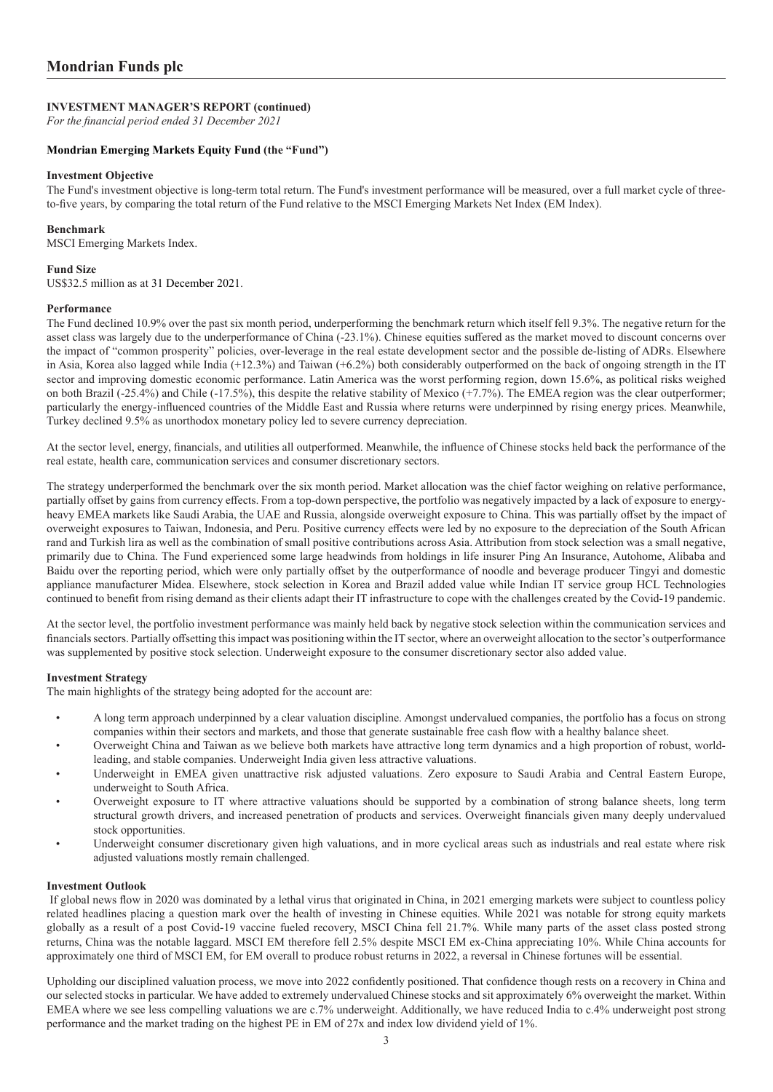*For the financial period ended 31 December 2021*

## **Mondrian Emerging Markets Equity Fund (the "Fund")**

## **Investment Objective**

The Fund's investment objective is long-term total return. The Fund's investment performance will be measured, over a full market cycle of threeto-five years, by comparing the total return of the Fund relative to the MSCI Emerging Markets Net Index (EM Index).

#### **Benchmark**

MSCI Emerging Markets Index.

# **Fund Size**

US\$32.5 million as at 31 December 2021.

#### **Performance**

The Fund declined 10.9% over the past six month period, underperforming the benchmark return which itself fell 9.3%. The negative return for the asset class was largely due to the underperformance of China (-23.1%). Chinese equities suffered as the market moved to discount concerns over the impact of "common prosperity" policies, over-leverage in the real estate development sector and the possible de-listing of ADRs. Elsewhere in Asia, Korea also lagged while India (+12.3%) and Taiwan (+6.2%) both considerably outperformed on the back of ongoing strength in the IT sector and improving domestic economic performance. Latin America was the worst performing region, down 15.6%, as political risks weighed on both Brazil (-25.4%) and Chile (-17.5%), this despite the relative stability of Mexico (+7.7%). The EMEA region was the clear outperformer; particularly the energy-influenced countries of the Middle East and Russia where returns were underpinned by rising energy prices. Meanwhile, Turkey declined 9.5% as unorthodox monetary policy led to severe currency depreciation.

At the sector level, energy, financials, and utilities all outperformed. Meanwhile, the influence of Chinese stocks held back the performance of the real estate, health care, communication services and consumer discretionary sectors.

The strategy underperformed the benchmark over the six month period. Market allocation was the chief factor weighing on relative performance, partially offset by gains from currency effects. From a top-down perspective, the portfolio was negatively impacted by a lack of exposure to energyheavy EMEA markets like Saudi Arabia, the UAE and Russia, alongside overweight exposure to China. This was partially offset by the impact of overweight exposures to Taiwan, Indonesia, and Peru. Positive currency effects were led by no exposure to the depreciation of the South African rand and Turkish lira as well as the combination of small positive contributions across Asia. Attribution from stock selection was a small negative, primarily due to China. The Fund experienced some large headwinds from holdings in life insurer Ping An Insurance, Autohome, Alibaba and Baidu over the reporting period, which were only partially offset by the outperformance of noodle and beverage producer Tingyi and domestic appliance manufacturer Midea. Elsewhere, stock selection in Korea and Brazil added value while Indian IT service group HCL Technologies continued to benefit from rising demand as their clients adapt their IT infrastructure to cope with the challenges created by the Covid-19 pandemic.

At the sector level, the portfolio investment performance was mainly held back by negative stock selection within the communication services and financials sectors. Partially offsetting this impact was positioning within the IT sector, where an overweight allocation to the sector's outperformance was supplemented by positive stock selection. Underweight exposure to the consumer discretionary sector also added value.

## **Investment Strategy**

The main highlights of the strategy being adopted for the account are:

- A long term approach underpinned by a clear valuation discipline. Amongst undervalued companies, the portfolio has a focus on strong companies within their sectors and markets, and those that generate sustainable free cash flow with a healthy balance sheet.
- Overweight China and Taiwan as we believe both markets have attractive long term dynamics and a high proportion of robust, worldleading, and stable companies. Underweight India given less attractive valuations.
- Underweight in EMEA given unattractive risk adjusted valuations. Zero exposure to Saudi Arabia and Central Eastern Europe, underweight to South Africa.
- Overweight exposure to IT where attractive valuations should be supported by a combination of strong balance sheets, long term structural growth drivers, and increased penetration of products and services. Overweight financials given many deeply undervalued stock opportunities.
- Underweight consumer discretionary given high valuations, and in more cyclical areas such as industrials and real estate where risk adjusted valuations mostly remain challenged.

#### **Investment Outlook**

 If global news flow in 2020 was dominated by a lethal virus that originated in China, in 2021 emerging markets were subject to countless policy related headlines placing a question mark over the health of investing in Chinese equities. While 2021 was notable for strong equity markets globally as a result of a post Covid-19 vaccine fueled recovery, MSCI China fell 21.7%. While many parts of the asset class posted strong returns, China was the notable laggard. MSCI EM therefore fell 2.5% despite MSCI EM ex-China appreciating 10%. While China accounts for approximately one third of MSCI EM, for EM overall to produce robust returns in 2022, a reversal in Chinese fortunes will be essential.

Upholding our disciplined valuation process, we move into 2022 confidently positioned. That confidence though rests on a recovery in China and our selected stocks in particular. We have added to extremely undervalued Chinese stocks and sit approximately 6% overweight the market. Within EMEA where we see less compelling valuations we are c.7% underweight. Additionally, we have reduced India to c.4% underweight post strong performance and the market trading on the highest PE in EM of 27x and index low dividend yield of 1%.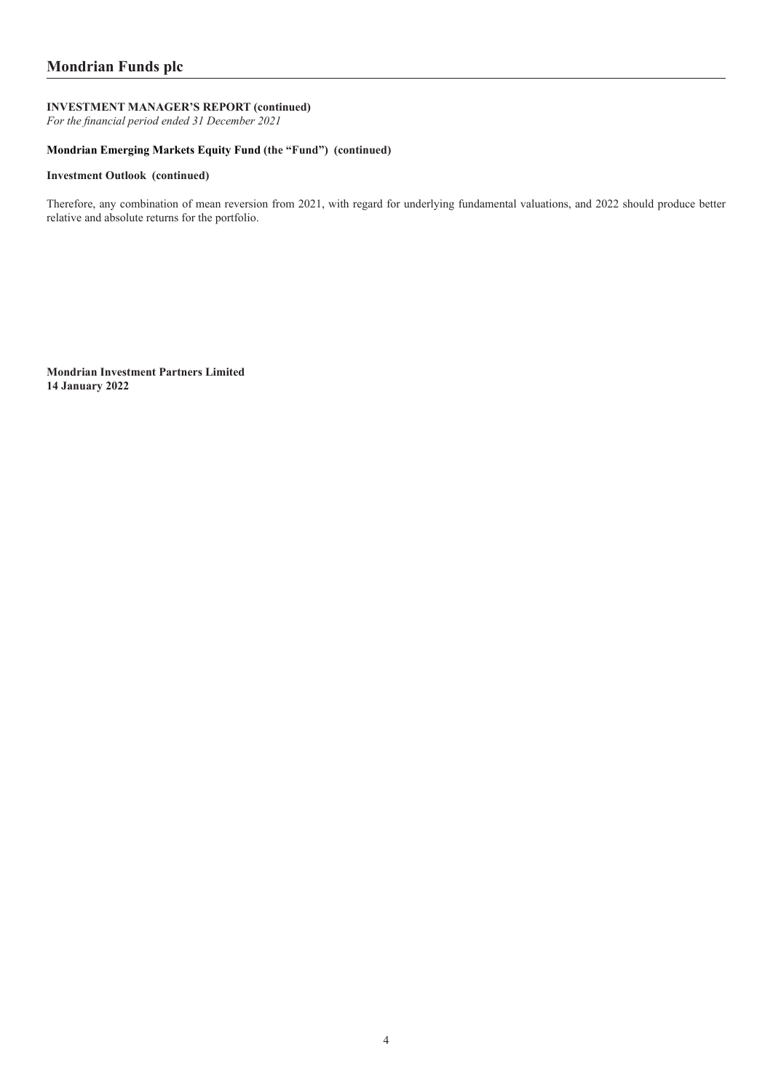*For the financial period ended 31 December 2021*

# **Mondrian Emerging Markets Equity Fund (the "Fund") (continued)**

# **Investment Outlook (continued)**

Therefore, any combination of mean reversion from 2021, with regard for underlying fundamental valuations, and 2022 should produce better relative and absolute returns for the portfolio.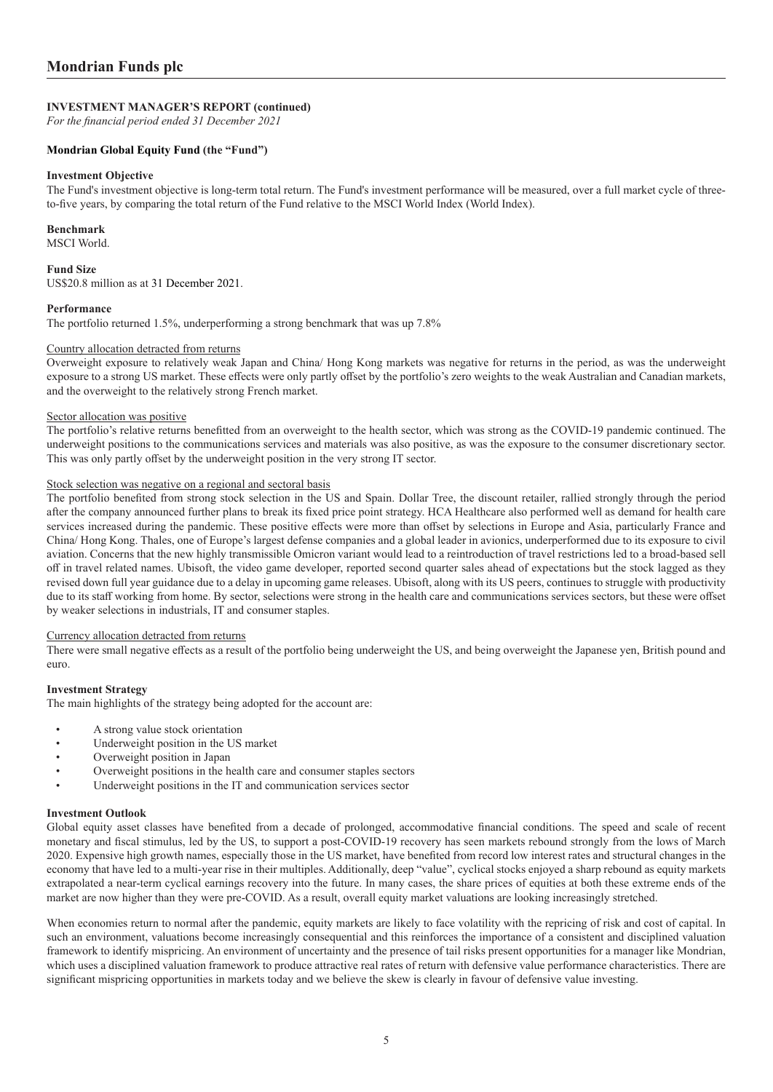*For the financial period ended 31 December 2021*

## **Mondrian Global Equity Fund (the "Fund")**

## **Investment Objective**

The Fund's investment objective is long-term total return. The Fund's investment performance will be measured, over a full market cycle of threeto-five years, by comparing the total return of the Fund relative to the MSCI World Index (World Index).

# **Benchmark**

MSCI World.

#### **Fund Size**

US\$20.8 million as at 31 December 2021.

#### **Performance**

The portfolio returned 1.5%, underperforming a strong benchmark that was up 7.8%

#### Country allocation detracted from returns

Overweight exposure to relatively weak Japan and China/ Hong Kong markets was negative for returns in the period, as was the underweight exposure to a strong US market. These effects were only partly offset by the portfolio's zero weights to the weak Australian and Canadian markets, and the overweight to the relatively strong French market.

#### Sector allocation was positive

The portfolio's relative returns benefitted from an overweight to the health sector, which was strong as the COVID-19 pandemic continued. The underweight positions to the communications services and materials was also positive, as was the exposure to the consumer discretionary sector. This was only partly offset by the underweight position in the very strong IT sector.

#### Stock selection was negative on a regional and sectoral basis

The portfolio benefited from strong stock selection in the US and Spain. Dollar Tree, the discount retailer, rallied strongly through the period after the company announced further plans to break its fixed price point strategy. HCA Healthcare also performed well as demand for health care services increased during the pandemic. These positive effects were more than offset by selections in Europe and Asia, particularly France and China/ Hong Kong. Thales, one of Europe's largest defense companies and a global leader in avionics, underperformed due to its exposure to civil aviation. Concerns that the new highly transmissible Omicron variant would lead to a reintroduction of travel restrictions led to a broad-based sell off in travel related names. Ubisoft, the video game developer, reported second quarter sales ahead of expectations but the stock lagged as they revised down full year guidance due to a delay in upcoming game releases. Ubisoft, along with its US peers, continues to struggle with productivity due to its staff working from home. By sector, selections were strong in the health care and communications services sectors, but these were offset by weaker selections in industrials, IT and consumer staples.

#### Currency allocation detracted from returns

There were small negative effects as a result of the portfolio being underweight the US, and being overweight the Japanese yen, British pound and euro.

## **Investment Strategy**

The main highlights of the strategy being adopted for the account are:

- A strong value stock orientation
- Underweight position in the US market
- Overweight position in Japan
- Overweight positions in the health care and consumer staples sectors
- Underweight positions in the IT and communication services sector

#### **Investment Outlook**

Global equity asset classes have benefited from a decade of prolonged, accommodative financial conditions. The speed and scale of recent monetary and fiscal stimulus, led by the US, to support a post-COVID-19 recovery has seen markets rebound strongly from the lows of March 2020. Expensive high growth names, especially those in the US market, have benefited from record low interest rates and structural changes in the economy that have led to a multi-year rise in their multiples. Additionally, deep "value", cyclical stocks enjoyed a sharp rebound as equity markets extrapolated a near-term cyclical earnings recovery into the future. In many cases, the share prices of equities at both these extreme ends of the market are now higher than they were pre-COVID. As a result, overall equity market valuations are looking increasingly stretched.

When economies return to normal after the pandemic, equity markets are likely to face volatility with the repricing of risk and cost of capital. In such an environment, valuations become increasingly consequential and this reinforces the importance of a consistent and disciplined valuation framework to identify mispricing. An environment of uncertainty and the presence of tail risks present opportunities for a manager like Mondrian, which uses a disciplined valuation framework to produce attractive real rates of return with defensive value performance characteristics. There are significant mispricing opportunities in markets today and we believe the skew is clearly in favour of defensive value investing.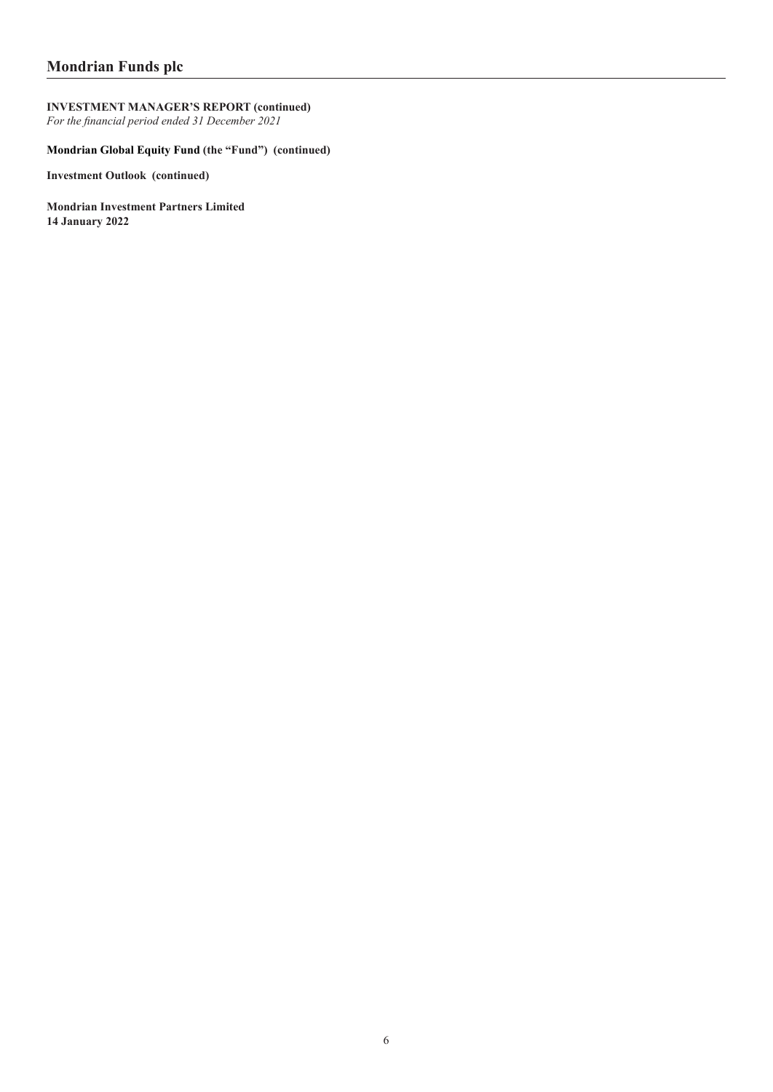*For the financial period ended 31 December 2021*

# **Mondrian Global Equity Fund (the "Fund") (continued)**

**Investment Outlook (continued)**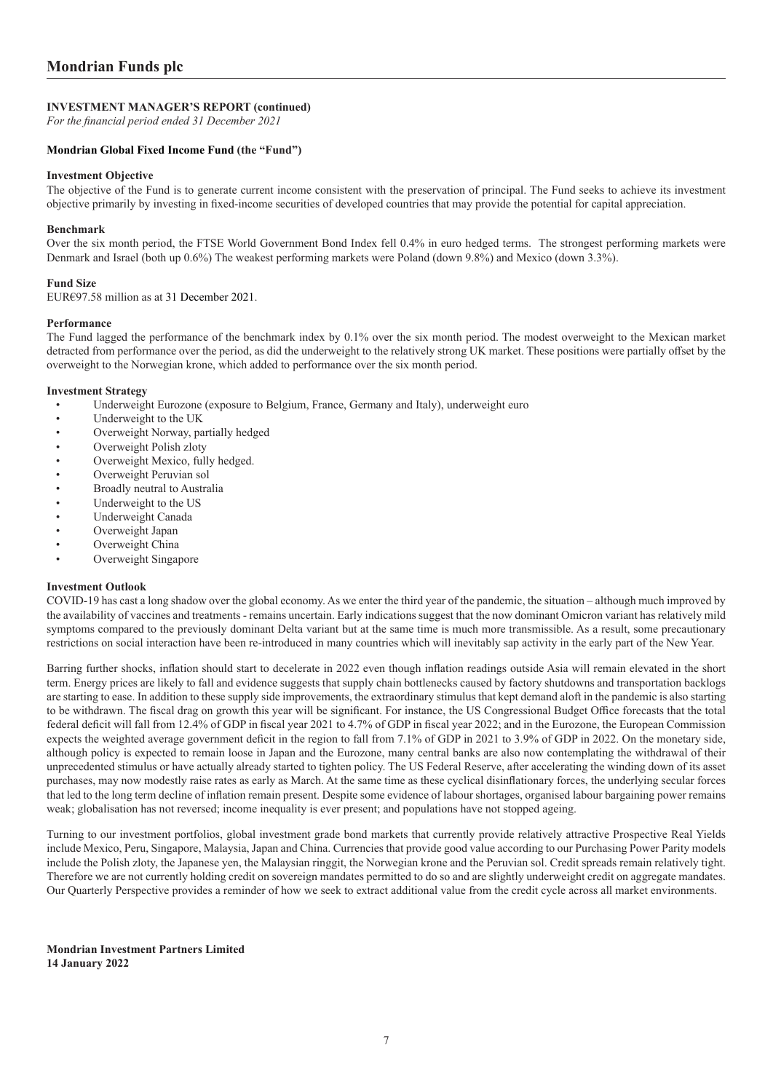*For the financial period ended 31 December 2021*

## **Mondrian Global Fixed Income Fund (the "Fund")**

## **Investment Objective**

The objective of the Fund is to generate current income consistent with the preservation of principal. The Fund seeks to achieve its investment objective primarily by investing in fixed-income securities of developed countries that may provide the potential for capital appreciation.

#### **Benchmark**

Over the six month period, the FTSE World Government Bond Index fell 0.4% in euro hedged terms. The strongest performing markets were Denmark and Israel (both up 0.6%) The weakest performing markets were Poland (down 9.8%) and Mexico (down 3.3%).

## **Fund Size**

EUR€97.58 million as at 31 December 2021.

#### **Performance**

The Fund lagged the performance of the benchmark index by 0.1% over the six month period. The modest overweight to the Mexican market detracted from performance over the period, as did the underweight to the relatively strong UK market. These positions were partially offset by the overweight to the Norwegian krone, which added to performance over the six month period.

#### **Investment Strategy**

- Underweight Eurozone (exposure to Belgium, France, Germany and Italy), underweight euro
- Underweight to the UK
- Overweight Norway, partially hedged
- Overweight Polish zloty
- Overweight Mexico, fully hedged.
- Overweight Peruvian sol
- Broadly neutral to Australia
- Underweight to the US
- Underweight Canada
- Overweight Japan
- Overweight China
- Overweight Singapore

## **Investment Outlook**

COVID-19 has cast a long shadow over the global economy. As we enter the third year of the pandemic, the situation – although much improved by the availability of vaccines and treatments - remains uncertain. Early indications suggest that the now dominant Omicron variant has relatively mild symptoms compared to the previously dominant Delta variant but at the same time is much more transmissible. As a result, some precautionary restrictions on social interaction have been re-introduced in many countries which will inevitably sap activity in the early part of the New Year.

Barring further shocks, inflation should start to decelerate in 2022 even though inflation readings outside Asia will remain elevated in the short term. Energy prices are likely to fall and evidence suggests that supply chain bottlenecks caused by factory shutdowns and transportation backlogs are starting to ease. In addition to these supply side improvements, the extraordinary stimulus that kept demand aloft in the pandemic is also starting to be withdrawn. The fiscal drag on growth this year will be significant. For instance, the US Congressional Budget Office forecasts that the total federal deficit will fall from 12.4% of GDP in fiscal year 2021 to 4.7% of GDP in fiscal year 2022; and in the Eurozone, the European Commission expects the weighted average government deficit in the region to fall from 7.1% of GDP in 2021 to 3.9% of GDP in 2022. On the monetary side, although policy is expected to remain loose in Japan and the Eurozone, many central banks are also now contemplating the withdrawal of their unprecedented stimulus or have actually already started to tighten policy. The US Federal Reserve, after accelerating the winding down of its asset purchases, may now modestly raise rates as early as March. At the same time as these cyclical disinflationary forces, the underlying secular forces that led to the long term decline of inflation remain present. Despite some evidence of labour shortages, organised labour bargaining power remains weak; globalisation has not reversed; income inequality is ever present; and populations have not stopped ageing.

Turning to our investment portfolios, global investment grade bond markets that currently provide relatively attractive Prospective Real Yields include Mexico, Peru, Singapore, Malaysia, Japan and China. Currencies that provide good value according to our Purchasing Power Parity models include the Polish zloty, the Japanese yen, the Malaysian ringgit, the Norwegian krone and the Peruvian sol. Credit spreads remain relatively tight. Therefore we are not currently holding credit on sovereign mandates permitted to do so and are slightly underweight credit on aggregate mandates. Our Quarterly Perspective provides a reminder of how we seek to extract additional value from the credit cycle across all market environments.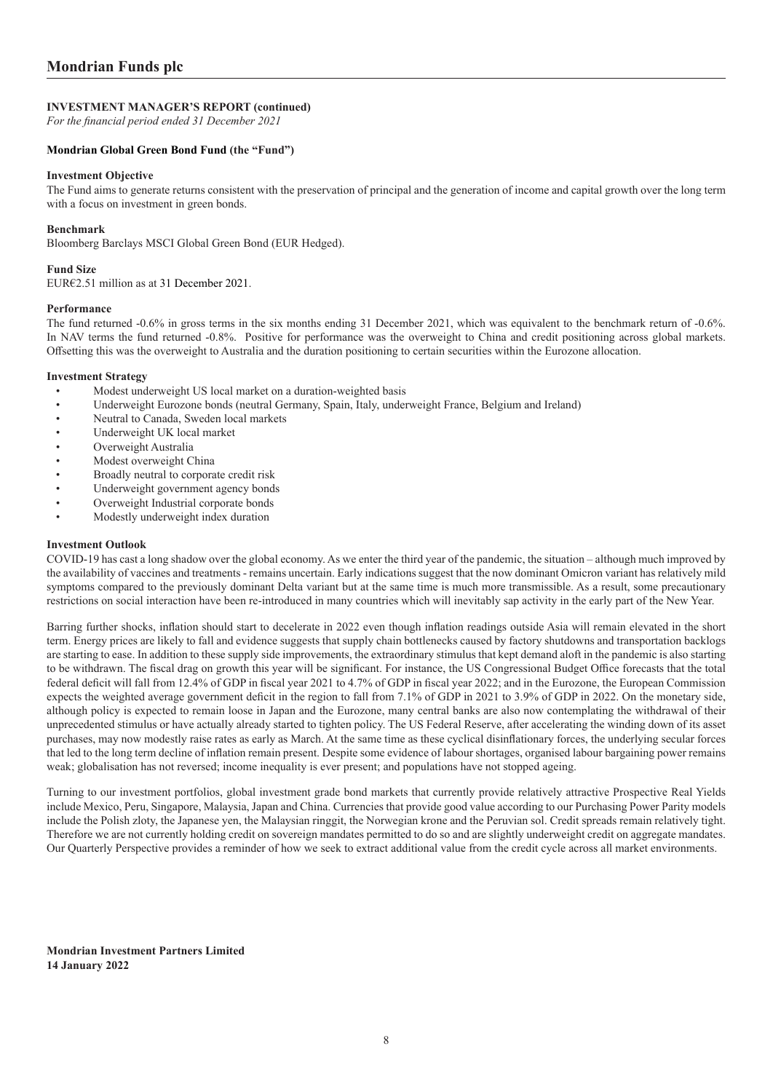*For the financial period ended 31 December 2021*

## **Mondrian Global Green Bond Fund (the "Fund")**

## **Investment Objective**

The Fund aims to generate returns consistent with the preservation of principal and the generation of income and capital growth over the long term with a focus on investment in green bonds.

#### **Benchmark**

Bloomberg Barclays MSCI Global Green Bond (EUR Hedged).

**Fund Size**  EUR€2.51 million as at 31 December 2021.

#### **Performance**

The fund returned -0.6% in gross terms in the six months ending 31 December 2021, which was equivalent to the benchmark return of -0.6%. In NAV terms the fund returned -0.8%. Positive for performance was the overweight to China and credit positioning across global markets. Offsetting this was the overweight to Australia and the duration positioning to certain securities within the Eurozone allocation.

#### **Investment Strategy**

- Modest underweight US local market on a duration-weighted basis
- Underweight Eurozone bonds (neutral Germany, Spain, Italy, underweight France, Belgium and Ireland)
- Neutral to Canada, Sweden local markets
- Underweight UK local market
- Overweight Australia
- Modest overweight China
- Broadly neutral to corporate credit risk
- Underweight government agency bonds
- Overweight Industrial corporate bonds
- Modestly underweight index duration

#### **Investment Outlook**

COVID-19 has cast a long shadow over the global economy. As we enter the third year of the pandemic, the situation – although much improved by the availability of vaccines and treatments - remains uncertain. Early indications suggest that the now dominant Omicron variant has relatively mild symptoms compared to the previously dominant Delta variant but at the same time is much more transmissible. As a result, some precautionary restrictions on social interaction have been re-introduced in many countries which will inevitably sap activity in the early part of the New Year.

Barring further shocks, inflation should start to decelerate in 2022 even though inflation readings outside Asia will remain elevated in the short term. Energy prices are likely to fall and evidence suggests that supply chain bottlenecks caused by factory shutdowns and transportation backlogs are starting to ease. In addition to these supply side improvements, the extraordinary stimulus that kept demand aloft in the pandemic is also starting to be withdrawn. The fiscal drag on growth this year will be significant. For instance, the US Congressional Budget Office forecasts that the total federal deficit will fall from 12.4% of GDP in fiscal year 2021 to 4.7% of GDP in fiscal year 2022; and in the Eurozone, the European Commission expects the weighted average government deficit in the region to fall from 7.1% of GDP in 2021 to 3.9% of GDP in 2022. On the monetary side, although policy is expected to remain loose in Japan and the Eurozone, many central banks are also now contemplating the withdrawal of their unprecedented stimulus or have actually already started to tighten policy. The US Federal Reserve, after accelerating the winding down of its asset purchases, may now modestly raise rates as early as March. At the same time as these cyclical disinflationary forces, the underlying secular forces that led to the long term decline of inflation remain present. Despite some evidence of labour shortages, organised labour bargaining power remains weak; globalisation has not reversed; income inequality is ever present; and populations have not stopped ageing.

Turning to our investment portfolios, global investment grade bond markets that currently provide relatively attractive Prospective Real Yields include Mexico, Peru, Singapore, Malaysia, Japan and China. Currencies that provide good value according to our Purchasing Power Parity models include the Polish zloty, the Japanese yen, the Malaysian ringgit, the Norwegian krone and the Peruvian sol. Credit spreads remain relatively tight. Therefore we are not currently holding credit on sovereign mandates permitted to do so and are slightly underweight credit on aggregate mandates. Our Quarterly Perspective provides a reminder of how we seek to extract additional value from the credit cycle across all market environments.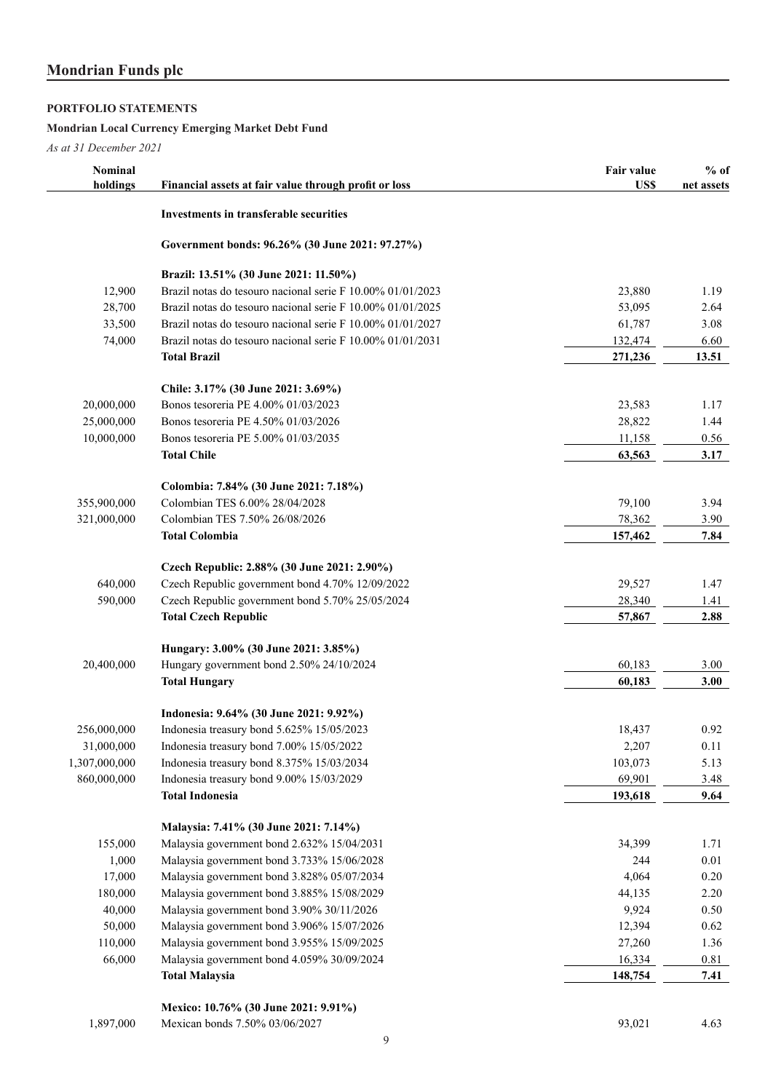# <span id="page-10-0"></span>**PORTFOLIO STATEMENTS**

# **Mondrian Local Currency Emerging Market Debt Fund**

| <b>Nominal</b><br>holdings | Financial assets at fair value through profit or loss      | Fair value<br>US\$ | $%$ of<br>net assets |
|----------------------------|------------------------------------------------------------|--------------------|----------------------|
|                            | Investments in transferable securities                     |                    |                      |
|                            | Government bonds: 96.26% (30 June 2021: 97.27%)            |                    |                      |
|                            | Brazil: 13.51% (30 June 2021: 11.50%)                      |                    |                      |
| 12,900                     | Brazil notas do tesouro nacional serie F 10.00% 01/01/2023 | 23,880             | 1.19                 |
| 28,700                     | Brazil notas do tesouro nacional serie F 10.00% 01/01/2025 | 53,095             | 2.64                 |
| 33,500                     | Brazil notas do tesouro nacional serie F 10.00% 01/01/2027 | 61,787             | 3.08                 |
| 74,000                     | Brazil notas do tesouro nacional serie F 10.00% 01/01/2031 | 132,474            | 6.60                 |
|                            | <b>Total Brazil</b>                                        | 271,236            | 13.51                |
|                            | Chile: 3.17% (30 June 2021: 3.69%)                         |                    |                      |
| 20,000,000                 | Bonos tesoreria PE 4.00% 01/03/2023                        | 23,583             | 1.17                 |
| 25,000,000                 | Bonos tesoreria PE 4.50% 01/03/2026                        | 28,822             | 1.44                 |
| 10,000,000                 | Bonos tesoreria PE 5.00% 01/03/2035                        | 11,158             | 0.56                 |
|                            | <b>Total Chile</b>                                         | 63,563             | 3.17                 |
|                            | Colombia: 7.84% (30 June 2021: 7.18%)                      |                    |                      |
| 355,900,000                | Colombian TES 6.00% 28/04/2028                             | 79,100             | 3.94                 |
| 321,000,000                | Colombian TES 7.50% 26/08/2026                             | 78,362             | 3.90                 |
|                            | <b>Total Colombia</b>                                      | 157,462            | 7.84                 |
|                            | Czech Republic: 2.88% (30 June 2021: 2.90%)                |                    |                      |
| 640,000                    | Czech Republic government bond 4.70% 12/09/2022            | 29,527             | 1.47                 |
| 590,000                    | Czech Republic government bond 5.70% 25/05/2024            | 28,340             | 1.41                 |
|                            | <b>Total Czech Republic</b>                                | 57,867             | 2.88                 |
|                            | Hungary: 3.00% (30 June 2021: 3.85%)                       |                    |                      |
| 20,400,000                 | Hungary government bond 2.50% 24/10/2024                   | 60,183             | 3.00                 |
|                            | <b>Total Hungary</b>                                       | 60,183             | 3.00                 |
|                            | Indonesia: 9.64% (30 June 2021: 9.92%)                     |                    |                      |
| 256,000,000                | Indonesia treasury bond 5.625% 15/05/2023                  | 18,437             | 0.92                 |
| 31,000,000                 | Indonesia treasury bond 7.00% 15/05/2022                   | 2,207              | 0.11                 |
| 1,307,000,000              | Indonesia treasury bond 8.375% 15/03/2034                  | 103,073            | 5.13                 |
| 860,000,000                | Indonesia treasury bond 9.00% 15/03/2029                   | 69,901             | 3.48                 |
|                            | <b>Total Indonesia</b>                                     | 193,618            | 9.64                 |
|                            | Malaysia: 7.41% (30 June 2021: 7.14%)                      |                    |                      |
| 155,000                    | Malaysia government bond 2.632% 15/04/2031                 | 34,399             | 1.71                 |
| 1,000                      | Malaysia government bond 3.733% 15/06/2028                 | 244                | 0.01                 |
| 17,000                     | Malaysia government bond 3.828% 05/07/2034                 | 4,064              | 0.20                 |
| 180,000                    | Malaysia government bond 3.885% 15/08/2029                 | 44,135             | 2.20                 |
| 40,000                     | Malaysia government bond 3.90% 30/11/2026                  | 9,924              | 0.50                 |
| 50,000                     | Malaysia government bond 3.906% 15/07/2026                 | 12,394             | 0.62                 |
| 110,000                    | Malaysia government bond 3.955% 15/09/2025                 | 27,260             | 1.36                 |
| 66,000                     | Malaysia government bond 4.059% 30/09/2024                 | 16,334             | 0.81                 |
|                            | <b>Total Malaysia</b>                                      | 148,754            | 7.41                 |
|                            | Mexico: 10.76% (30 June 2021: 9.91%)                       |                    |                      |
| 1,897,000                  | Mexican bonds 7.50% 03/06/2027                             | 93,021             | 4.63                 |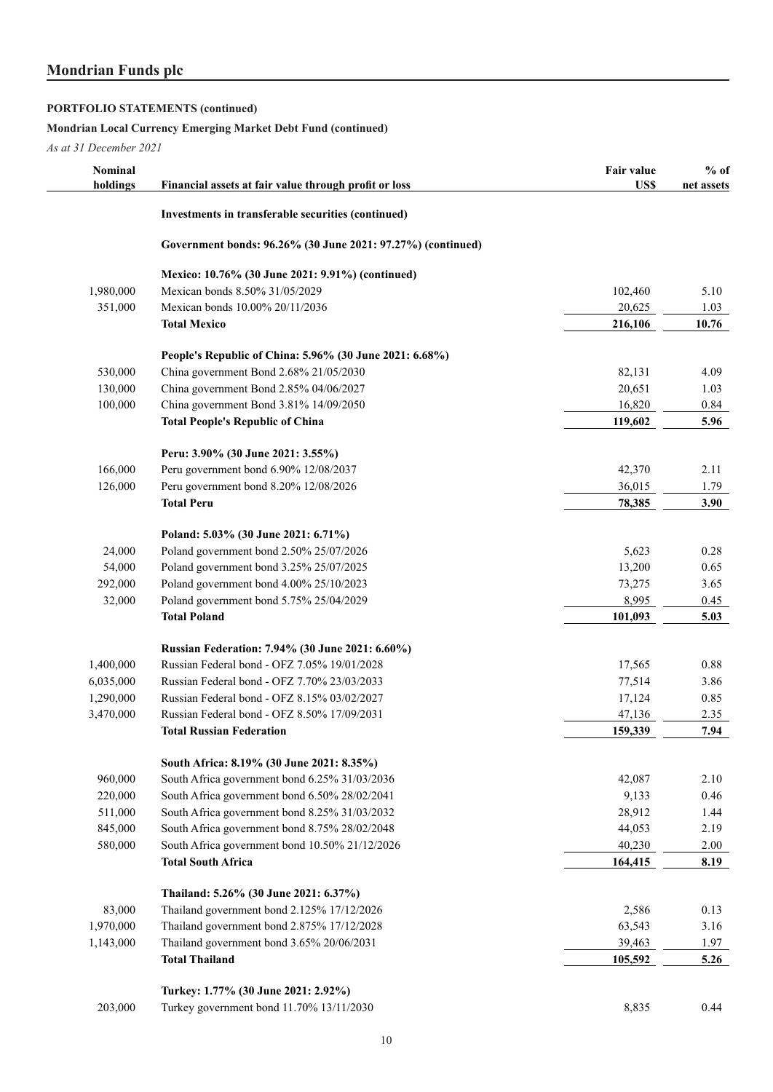# **PORTFOLIO STATEMENTS (continued)**

# **Mondrian Local Currency Emerging Market Debt Fund (continued)**

| <b>Nominal</b><br>holdings | Financial assets at fair value through profit or loss       | Fair value<br>US\$ | $%$ of<br>net assets |
|----------------------------|-------------------------------------------------------------|--------------------|----------------------|
|                            | Investments in transferable securities (continued)          |                    |                      |
|                            | Government bonds: 96.26% (30 June 2021: 97.27%) (continued) |                    |                      |
|                            | Mexico: 10.76% (30 June 2021: 9.91%) (continued)            |                    |                      |
| 1,980,000                  | Mexican bonds 8.50% 31/05/2029                              | 102,460            | 5.10                 |
| 351,000                    | Mexican bonds 10.00% 20/11/2036                             | 20,625             | 1.03                 |
|                            | <b>Total Mexico</b>                                         | 216,106            | 10.76                |
|                            | People's Republic of China: 5.96% (30 June 2021: 6.68%)     |                    |                      |
| 530,000                    | China government Bond 2.68% 21/05/2030                      | 82,131             | 4.09                 |
| 130,000                    | China government Bond 2.85% 04/06/2027                      | 20,651             | 1.03                 |
| 100,000                    | China government Bond 3.81% 14/09/2050                      | 16,820             | 0.84                 |
|                            | <b>Total People's Republic of China</b>                     | 119,602            | 5.96                 |
|                            | Peru: 3.90% (30 June 2021: 3.55%)                           |                    |                      |
| 166,000                    | Peru government bond 6.90% 12/08/2037                       | 42,370             | 2.11                 |
| 126,000                    | Peru government bond 8.20% 12/08/2026                       | 36,015             | 1.79                 |
|                            | <b>Total Peru</b>                                           | 78,385             | 3.90                 |
|                            | Poland: 5.03% (30 June 2021: 6.71%)                         |                    |                      |
| 24,000                     | Poland government bond 2.50% 25/07/2026                     | 5,623              | 0.28                 |
| 54,000                     | Poland government bond 3.25% 25/07/2025                     | 13,200             | 0.65                 |
| 292,000                    | Poland government bond 4.00% 25/10/2023                     | 73,275             | 3.65                 |
| 32,000                     | Poland government bond 5.75% 25/04/2029                     | 8,995              | 0.45                 |
|                            | <b>Total Poland</b>                                         | 101,093            | 5.03                 |
|                            | Russian Federation: 7.94% (30 June 2021: 6.60%)             |                    |                      |
| 1,400,000                  | Russian Federal bond - OFZ 7.05% 19/01/2028                 | 17,565             | 0.88                 |
| 6,035,000                  | Russian Federal bond - OFZ 7.70% 23/03/2033                 | 77,514             | 3.86                 |
| 1,290,000                  | Russian Federal bond - OFZ 8.15% 03/02/2027                 | 17,124             | 0.85                 |
| 3,470,000                  | Russian Federal bond - OFZ 8.50% 17/09/2031                 | 47,136             | 2.35                 |
|                            | <b>Total Russian Federation</b>                             | 159,339            | 7.94                 |
|                            | South Africa: 8.19% (30 June 2021: 8.35%)                   |                    |                      |
| 960,000                    | South Africa government bond 6.25% 31/03/2036               | 42,087             | 2.10                 |
| 220,000                    | South Africa government bond 6.50% 28/02/2041               | 9,133              | 0.46                 |
| 511,000                    | South Africa government bond 8.25% 31/03/2032               | 28,912             | 1.44                 |
| 845,000                    | South Africa government bond 8.75% 28/02/2048               | 44,053             | 2.19                 |
| 580,000                    | South Africa government bond 10.50% 21/12/2026              | 40,230             | 2.00                 |
|                            | <b>Total South Africa</b>                                   | 164,415            | 8.19                 |
|                            | Thailand: 5.26% (30 June 2021: 6.37%)                       |                    |                      |
| 83,000                     | Thailand government bond 2.125% 17/12/2026                  | 2,586              | 0.13                 |
| 1,970,000                  | Thailand government bond 2.875% 17/12/2028                  | 63,543             | 3.16                 |
| 1,143,000                  | Thailand government bond 3.65% 20/06/2031                   | 39,463             | 1.97                 |
|                            | <b>Total Thailand</b>                                       | 105,592            | 5.26                 |
|                            | Turkey: 1.77% (30 June 2021: 2.92%)                         |                    |                      |
| 203,000                    | Turkey government bond 11.70% 13/11/2030                    | 8,835              | 0.44                 |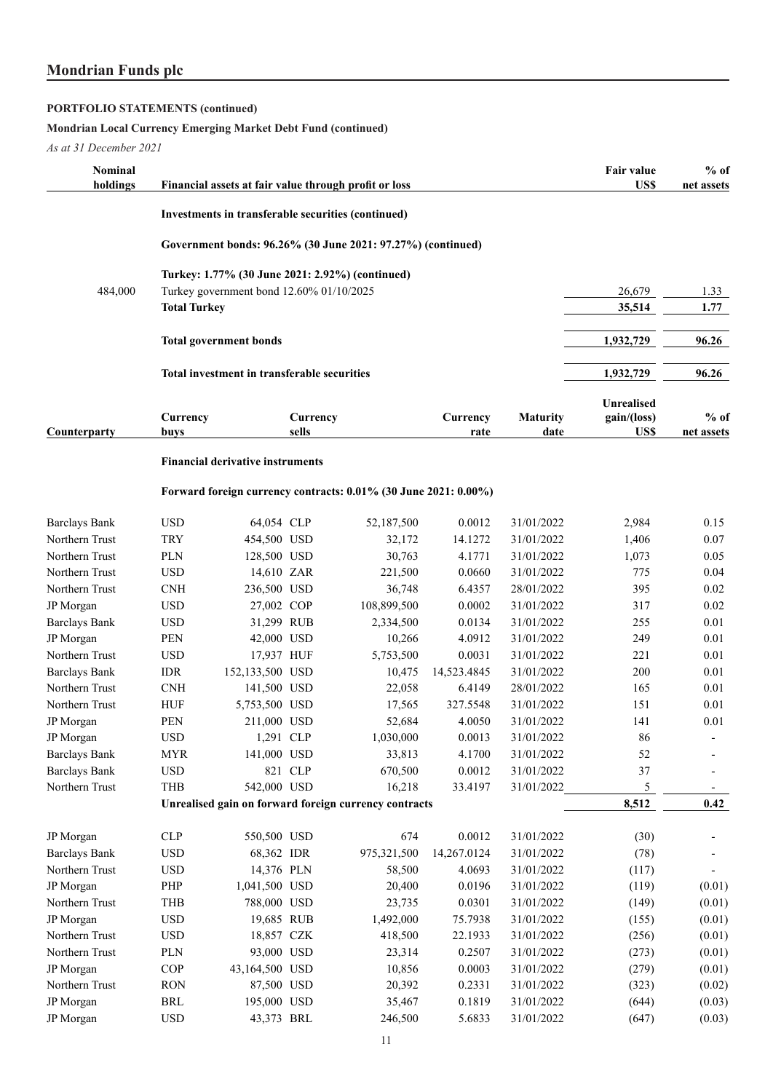# **PORTFOLIO STATEMENTS (continued)**

# **Mondrian Local Currency Emerging Market Debt Fund (continued)**

| <b>Nominal</b><br>holdings |                     |                                             |          | Financial assets at fair value through profit or loss           |             |                 | <b>Fair value</b><br>US\$ | $%$ of<br>net assets |
|----------------------------|---------------------|---------------------------------------------|----------|-----------------------------------------------------------------|-------------|-----------------|---------------------------|----------------------|
|                            |                     |                                             |          | Investments in transferable securities (continued)              |             |                 |                           |                      |
|                            |                     |                                             |          | Government bonds: 96.26% (30 June 2021: 97.27%) (continued)     |             |                 |                           |                      |
|                            |                     |                                             |          | Turkey: 1.77% (30 June 2021: 2.92%) (continued)                 |             |                 |                           |                      |
| 484,000                    |                     | Turkey government bond 12.60% 01/10/2025    |          |                                                                 |             |                 | 26,679                    | 1.33                 |
|                            | <b>Total Turkey</b> |                                             |          |                                                                 |             |                 | 35,514                    | 1.77                 |
|                            |                     | <b>Total government bonds</b>               |          |                                                                 |             |                 | 1,932,729                 | 96.26                |
|                            |                     | Total investment in transferable securities |          |                                                                 |             |                 | 1,932,729                 | 96.26                |
|                            |                     |                                             |          |                                                                 |             |                 | Unrealised                |                      |
|                            | Currency            |                                             | Currency |                                                                 | Currency    | <b>Maturity</b> | gain/(loss)               | $%$ of               |
| Counterparty               | buys                |                                             | sells    |                                                                 | rate        | date            | US\$                      | net assets           |
|                            |                     | <b>Financial derivative instruments</b>     |          |                                                                 |             |                 |                           |                      |
|                            |                     |                                             |          | Forward foreign currency contracts: 0.01% (30 June 2021: 0.00%) |             |                 |                           |                      |
| <b>Barclays Bank</b>       | <b>USD</b>          | 64,054 CLP                                  |          | 52,187,500                                                      | 0.0012      | 31/01/2022      | 2,984                     | 0.15                 |
| Northern Trust             | <b>TRY</b>          | 454,500 USD                                 |          | 32,172                                                          | 14.1272     | 31/01/2022      | 1,406                     | 0.07                 |
| Northern Trust             | <b>PLN</b>          | 128,500 USD                                 |          | 30,763                                                          | 4.1771      | 31/01/2022      | 1,073                     | 0.05                 |
| Northern Trust             | <b>USD</b>          | 14,610 ZAR                                  |          | 221,500                                                         | 0.0660      | 31/01/2022      | 775                       | 0.04                 |
| Northern Trust             | <b>CNH</b>          | 236,500 USD                                 |          | 36,748                                                          | 6.4357      | 28/01/2022      | 395                       | 0.02                 |
| JP Morgan                  | <b>USD</b>          | 27,002 COP                                  |          | 108,899,500                                                     | 0.0002      | 31/01/2022      | 317                       | 0.02                 |
| <b>Barclays Bank</b>       | <b>USD</b>          | 31,299 RUB                                  |          | 2,334,500                                                       | 0.0134      | 31/01/2022      | 255                       | 0.01                 |
| JP Morgan                  | PEN                 | 42,000 USD                                  |          | 10,266                                                          | 4.0912      | 31/01/2022      | 249                       | 0.01                 |
| Northern Trust             | <b>USD</b>          | 17,937 HUF                                  |          | 5,753,500                                                       | 0.0031      | 31/01/2022      | 221                       | 0.01                 |
| <b>Barclays Bank</b>       | <b>IDR</b>          | 152,133,500 USD                             |          | 10,475                                                          | 14,523.4845 | 31/01/2022      | 200                       | 0.01                 |
| Northern Trust             | <b>CNH</b>          | 141,500 USD                                 |          | 22,058                                                          | 6.4149      | 28/01/2022      | 165                       | 0.01                 |
| Northern Trust             | <b>HUF</b>          | 5,753,500 USD                               |          | 17,565                                                          | 327.5548    | 31/01/2022      | 151                       | 0.01                 |
| JP Morgan                  | <b>PEN</b>          | 211,000 USD                                 |          | 52,684                                                          | 4.0050      | 31/01/2022      | 141                       | 0.01                 |
| JP Morgan                  | $_{\rm USD}$        | 1,291 CLP                                   |          | 1,030,000                                                       | 0.0013      | 31/01/2022      | 86                        |                      |
| <b>Barclays Bank</b>       | <b>MYR</b>          | 141,000 USD                                 |          | 33,813                                                          | 4.1700      | 31/01/2022      | 52                        |                      |
| <b>Barclays Bank</b>       | $_{\rm USD}$        |                                             | 821 CLP  | 670,500                                                         | 0.0012      | 31/01/2022      | 37                        |                      |
| Northern Trust             | <b>THB</b>          | 542,000 USD                                 |          | 16,218                                                          | 33.4197     | 31/01/2022      | 5                         |                      |
|                            |                     |                                             |          | Unrealised gain on forward foreign currency contracts           |             |                 | 8,512                     | 0.42                 |
| JP Morgan                  | <b>CLP</b>          | 550,500 USD                                 |          | 674                                                             | 0.0012      | 31/01/2022      | (30)                      |                      |
| <b>Barclays Bank</b>       | <b>USD</b>          | 68,362 IDR                                  |          | 975,321,500                                                     | 14,267.0124 | 31/01/2022      | (78)                      |                      |
| Northern Trust             | <b>USD</b>          | 14,376 PLN                                  |          | 58,500                                                          | 4.0693      | 31/01/2022      | (117)                     |                      |
| JP Morgan                  | PHP                 | 1,041,500 USD                               |          | 20,400                                                          | 0.0196      | 31/01/2022      | (119)                     | (0.01)               |
| Northern Trust             | THB                 | 788,000 USD                                 |          | 23,735                                                          | 0.0301      | 31/01/2022      | (149)                     | (0.01)               |
| JP Morgan                  | $_{\rm USD}$        | 19,685 RUB                                  |          | 1,492,000                                                       | 75.7938     | 31/01/2022      | (155)                     | (0.01)               |
| Northern Trust             | <b>USD</b>          | 18,857 CZK                                  |          | 418,500                                                         | 22.1933     | 31/01/2022      | (256)                     | (0.01)               |
| Northern Trust             | PLN                 | 93,000 USD                                  |          | 23,314                                                          | 0.2507      | 31/01/2022      | (273)                     | (0.01)               |
| JP Morgan                  | COP                 | 43,164,500 USD                              |          | 10,856                                                          | 0.0003      | 31/01/2022      | (279)                     | (0.01)               |
| Northern Trust             | <b>RON</b>          | 87,500 USD                                  |          | 20,392                                                          | 0.2331      | 31/01/2022      | (323)                     | (0.02)               |
| JP Morgan                  | <b>BRL</b>          | 195,000 USD                                 |          | 35,467                                                          | 0.1819      | 31/01/2022      | (644)                     | (0.03)               |
| JP Morgan                  | $_{\rm USD}$        | 43,373 BRL                                  |          | 246,500                                                         | 5.6833      | 31/01/2022      | (647)                     | (0.03)               |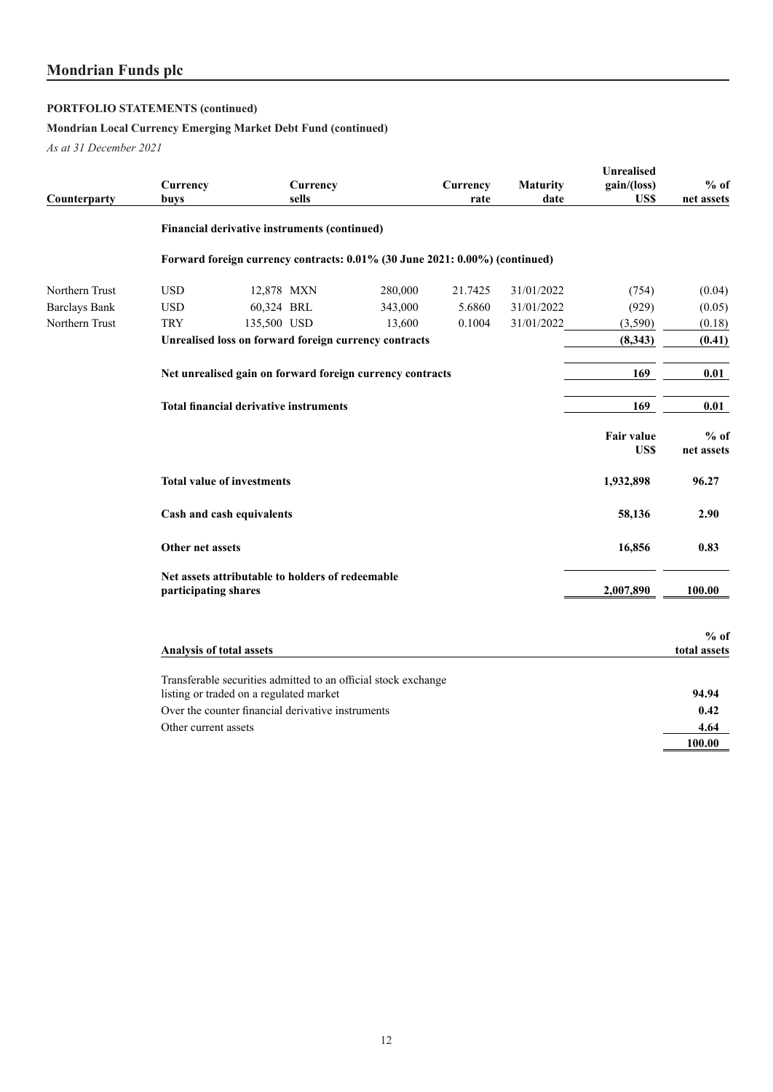# **PORTFOLIO STATEMENTS (continued)**

# **Mondrian Local Currency Emerging Market Debt Fund (continued)**

| Counterparty         | Currency<br>buys                                                            | Currency<br>sells |         | Currency<br>rate | <b>Maturity</b><br>date | <b>Unrealised</b><br>gain/(loss)<br>US\$ | $%$ of<br>net assets   |
|----------------------|-----------------------------------------------------------------------------|-------------------|---------|------------------|-------------------------|------------------------------------------|------------------------|
|                      | Financial derivative instruments (continued)                                |                   |         |                  |                         |                                          |                        |
|                      | Forward foreign currency contracts: 0.01% (30 June 2021: 0.00%) (continued) |                   |         |                  |                         |                                          |                        |
| Northern Trust       | <b>USD</b>                                                                  | 12,878 MXN        | 280,000 | 21.7425          | 31/01/2022              | (754)                                    | (0.04)                 |
| <b>Barclays Bank</b> | <b>USD</b>                                                                  | 60,324 BRL        | 343,000 | 5.6860           | 31/01/2022              | (929)                                    | (0.05)                 |
| Northern Trust       | <b>TRY</b>                                                                  | 135,500 USD       | 13,600  | 0.1004           | 31/01/2022              | (3,590)                                  | (0.18)                 |
|                      | Unrealised loss on forward foreign currency contracts                       |                   |         |                  |                         | (8,343)                                  | (0.41)                 |
|                      | Net unrealised gain on forward foreign currency contracts                   |                   |         |                  |                         | 169                                      | 0.01                   |
|                      | <b>Total financial derivative instruments</b>                               |                   |         |                  |                         | 169                                      | 0.01                   |
|                      |                                                                             |                   |         |                  |                         | Fair value<br>US\$                       | $%$ of<br>net assets   |
|                      | <b>Total value of investments</b>                                           |                   |         |                  |                         | 1,932,898                                | 96.27                  |
|                      | Cash and cash equivalents                                                   |                   |         |                  |                         | 58,136                                   | 2.90                   |
|                      | Other net assets                                                            |                   |         |                  |                         | 16,856                                   | 0.83                   |
|                      | Net assets attributable to holders of redeemable<br>participating shares    |                   |         |                  |                         | 2,007,890                                | 100.00                 |
|                      | <b>Analysis of total assets</b>                                             |                   |         |                  |                         |                                          | $%$ of<br>total assets |
|                      |                                                                             |                   |         |                  |                         |                                          |                        |
|                      | Transferable securities admitted to an official stock exchange              |                   |         |                  |                         |                                          |                        |
|                      | listing or traded on a regulated market                                     |                   |         |                  |                         |                                          | 94.94                  |
|                      | Over the counter financial derivative instruments                           |                   |         |                  |                         |                                          | 0.42                   |
|                      | Other current assets                                                        |                   |         |                  |                         |                                          | 4.64                   |
|                      |                                                                             |                   |         |                  |                         |                                          | 100.00                 |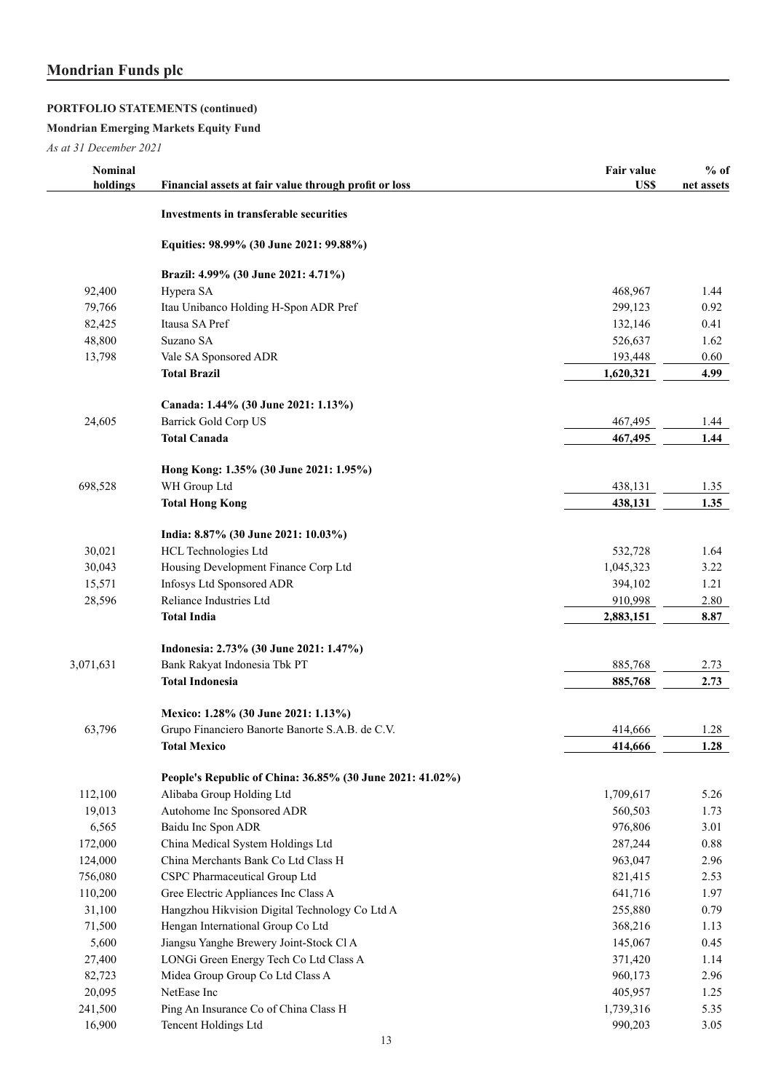# **PORTFOLIO STATEMENTS (continued)**

# **Mondrian Emerging Markets Equity Fund**

| Nominal   |                                                                        | <b>Fair value</b><br>US\$ | $%$ of     |
|-----------|------------------------------------------------------------------------|---------------------------|------------|
| holdings  | Financial assets at fair value through profit or loss                  |                           | net assets |
|           | Investments in transferable securities                                 |                           |            |
|           | Equities: 98.99% (30 June 2021: 99.88%)                                |                           |            |
|           | Brazil: 4.99% (30 June 2021: 4.71%)                                    |                           |            |
| 92,400    | Hypera SA                                                              | 468,967                   | 1.44       |
| 79,766    | Itau Unibanco Holding H-Spon ADR Pref                                  | 299,123                   | 0.92       |
| 82,425    | Itausa SA Pref                                                         | 132,146                   | 0.41       |
| 48,800    | Suzano SA                                                              | 526,637                   | 1.62       |
| 13,798    | Vale SA Sponsored ADR                                                  | 193,448                   | 0.60       |
|           | <b>Total Brazil</b>                                                    | 1,620,321                 | 4.99       |
|           | Canada: 1.44% (30 June 2021: 1.13%)                                    |                           |            |
| 24,605    | Barrick Gold Corp US                                                   | 467,495                   | 1.44       |
|           | <b>Total Canada</b>                                                    | 467,495                   | 1.44       |
|           |                                                                        |                           |            |
|           | Hong Kong: 1.35% (30 June 2021: 1.95%)                                 |                           |            |
| 698,528   | WH Group Ltd                                                           | 438,131                   | 1.35       |
|           | <b>Total Hong Kong</b>                                                 | 438,131                   | 1.35       |
|           | India: 8.87% (30 June 2021: 10.03%)                                    |                           |            |
| 30,021    | HCL Technologies Ltd                                                   | 532,728                   | 1.64       |
| 30,043    | Housing Development Finance Corp Ltd                                   | 1,045,323                 | 3.22       |
| 15,571    | Infosys Ltd Sponsored ADR                                              | 394,102                   | 1.21       |
| 28,596    | Reliance Industries Ltd                                                | 910,998                   | 2.80       |
|           | <b>Total India</b>                                                     | 2,883,151                 | 8.87       |
|           | Indonesia: 2.73% (30 June 2021: 1.47%)                                 |                           |            |
| 3,071,631 | Bank Rakyat Indonesia Tbk PT                                           | 885,768                   | 2.73       |
|           | <b>Total Indonesia</b>                                                 | 885,768                   | 2.73       |
|           |                                                                        |                           |            |
|           | Mexico: 1.28% (30 June 2021: 1.13%)                                    |                           |            |
| 63,796    | Grupo Financiero Banorte Banorte S.A.B. de C.V.<br><b>Total Mexico</b> | 414,666<br>414,666        | 1.28       |
|           |                                                                        |                           | 1.28       |
|           | People's Republic of China: 36.85% (30 June 2021: 41.02%)              |                           |            |
| 112,100   | Alibaba Group Holding Ltd                                              | 1,709,617                 | 5.26       |
| 19,013    | Autohome Inc Sponsored ADR                                             | 560,503                   | 1.73       |
| 6,565     | Baidu Inc Spon ADR                                                     | 976,806                   | 3.01       |
| 172,000   | China Medical System Holdings Ltd                                      | 287,244                   | 0.88       |
| 124,000   | China Merchants Bank Co Ltd Class H                                    | 963,047                   | 2.96       |
| 756,080   | CSPC Pharmaceutical Group Ltd                                          | 821,415                   | 2.53       |
| 110,200   | Gree Electric Appliances Inc Class A                                   | 641,716                   | 1.97       |
| 31,100    | Hangzhou Hikvision Digital Technology Co Ltd A                         | 255,880                   | 0.79       |
| 71,500    | Hengan International Group Co Ltd                                      | 368,216                   | 1.13       |
| 5,600     | Jiangsu Yanghe Brewery Joint-Stock Cl A                                | 145,067                   | 0.45       |
| 27,400    | LONGi Green Energy Tech Co Ltd Class A                                 | 371,420                   | 1.14       |
| 82,723    | Midea Group Group Co Ltd Class A                                       | 960,173                   | 2.96       |
| 20,095    | NetEase Inc                                                            | 405,957                   | 1.25       |
| 241,500   | Ping An Insurance Co of China Class H                                  | 1,739,316                 | 5.35       |
| 16,900    | Tencent Holdings Ltd                                                   | 990,203                   | 3.05       |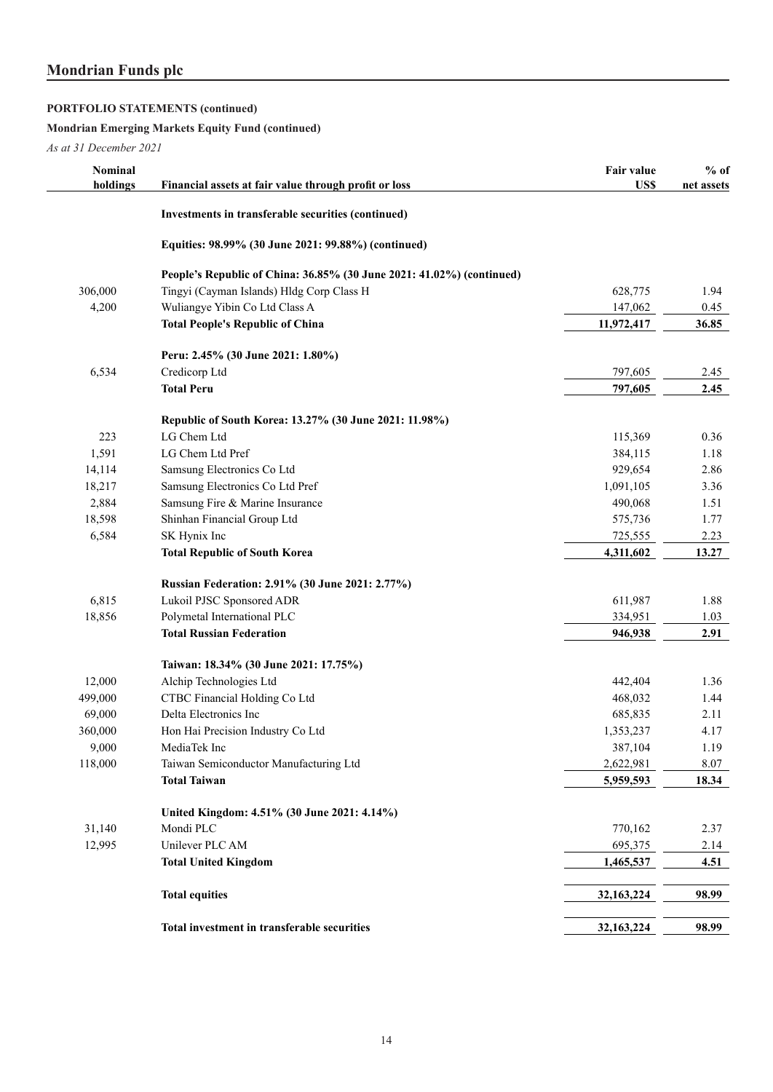# **PORTFOLIO STATEMENTS (continued)**

**Mondrian Emerging Markets Equity Fund (continued)**

| <b>Nominal</b><br>holdings | Financial assets at fair value through profit or loss                 | Fair value<br>US\$ | $%$ of<br>net assets |
|----------------------------|-----------------------------------------------------------------------|--------------------|----------------------|
|                            | Investments in transferable securities (continued)                    |                    |                      |
|                            | Equities: 98.99% (30 June 2021: 99.88%) (continued)                   |                    |                      |
|                            | People's Republic of China: 36.85% (30 June 2021: 41.02%) (continued) |                    |                      |
| 306,000                    | Tingyi (Cayman Islands) Hldg Corp Class H                             | 628,775            | 1.94                 |
| 4,200                      | Wuliangye Yibin Co Ltd Class A                                        | 147,062            | 0.45                 |
|                            | <b>Total People's Republic of China</b>                               | 11,972,417         | 36.85                |
|                            | Peru: 2.45% (30 June 2021: 1.80%)                                     |                    |                      |
| 6,534                      | Credicorp Ltd                                                         | 797,605            | 2.45                 |
|                            | <b>Total Peru</b>                                                     | 797,605            | 2.45                 |
|                            | Republic of South Korea: 13.27% (30 June 2021: 11.98%)                |                    |                      |
| 223                        | LG Chem Ltd                                                           | 115,369            | 0.36                 |
| 1,591                      | LG Chem Ltd Pref                                                      | 384,115            | 1.18                 |
| 14,114                     | Samsung Electronics Co Ltd                                            | 929,654            | 2.86                 |
| 18,217                     | Samsung Electronics Co Ltd Pref                                       | 1,091,105          | 3.36                 |
| 2,884                      | Samsung Fire & Marine Insurance                                       | 490,068            | 1.51                 |
| 18,598                     | Shinhan Financial Group Ltd                                           | 575,736            | 1.77                 |
| 6,584                      | SK Hynix Inc                                                          | 725,555            | 2.23                 |
|                            | <b>Total Republic of South Korea</b>                                  | 4,311,602          | 13.27                |
|                            | Russian Federation: 2.91% (30 June 2021: 2.77%)                       |                    |                      |
| 6,815                      | Lukoil PJSC Sponsored ADR                                             | 611,987            | 1.88                 |
| 18,856                     | Polymetal International PLC                                           | 334,951            | 1.03                 |
|                            | <b>Total Russian Federation</b>                                       | 946,938            | 2.91                 |
|                            | Taiwan: 18.34% (30 June 2021: 17.75%)                                 |                    |                      |
| 12,000                     | Alchip Technologies Ltd                                               | 442,404            | 1.36                 |
| 499,000                    | CTBC Financial Holding Co Ltd                                         | 468,032            | 1.44                 |
| 69,000                     | Delta Electronics Inc                                                 | 685,835            | 2.11                 |
| 360,000                    | Hon Hai Precision Industry Co Ltd                                     | 1,353,237          | 4.17                 |
| 9,000                      | MediaTek Inc                                                          | 387,104            | 1.19                 |
| 118,000                    | Taiwan Semiconductor Manufacturing Ltd                                | 2,622,981          | 8.07                 |
|                            | <b>Total Taiwan</b>                                                   | 5,959,593          | 18.34                |
|                            | United Kingdom: 4.51% (30 June 2021: 4.14%)                           |                    |                      |
| 31,140                     | Mondi PLC                                                             | 770,162            | 2.37                 |
| 12,995                     | Unilever PLC AM                                                       | 695,375            | 2.14                 |
|                            | <b>Total United Kingdom</b>                                           | 1,465,537          | 4.51                 |
|                            | <b>Total equities</b>                                                 | 32, 163, 224       | 98.99                |
|                            | Total investment in transferable securities                           | 32, 163, 224       | 98.99                |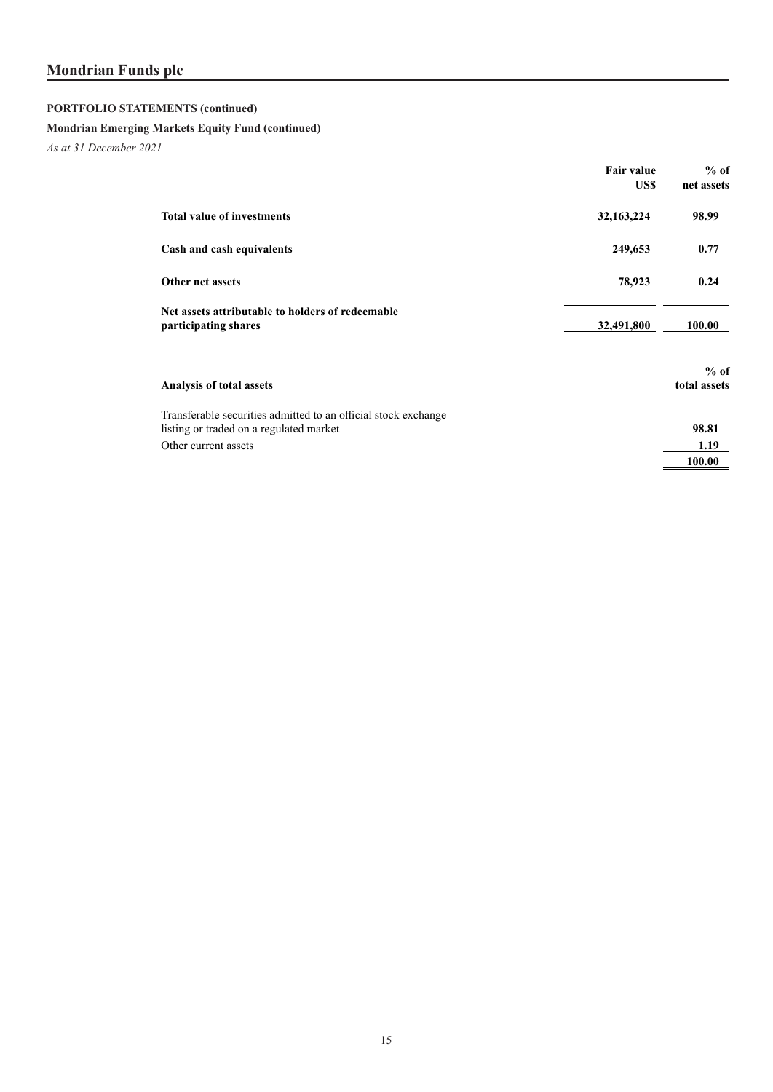# **PORTFOLIO STATEMENTS (continued)**

# **Mondrian Emerging Markets Equity Fund (continued)**

|                                                                                                                                   | <b>Fair value</b><br>US\$ | $%$ of<br>net assets    |
|-----------------------------------------------------------------------------------------------------------------------------------|---------------------------|-------------------------|
| <b>Total value of investments</b>                                                                                                 | 32,163,224                | 98.99                   |
| Cash and cash equivalents                                                                                                         | 249,653                   | 0.77                    |
| Other net assets                                                                                                                  | 78,923                    | 0.24                    |
| Net assets attributable to holders of redeemable<br>participating shares                                                          | 32,491,800                | 100.00                  |
| <b>Analysis of total assets</b>                                                                                                   |                           | $%$ of<br>total assets  |
| Transferable securities admitted to an official stock exchange<br>listing or traded on a regulated market<br>Other current assets |                           | 98.81<br>1.19<br>100.00 |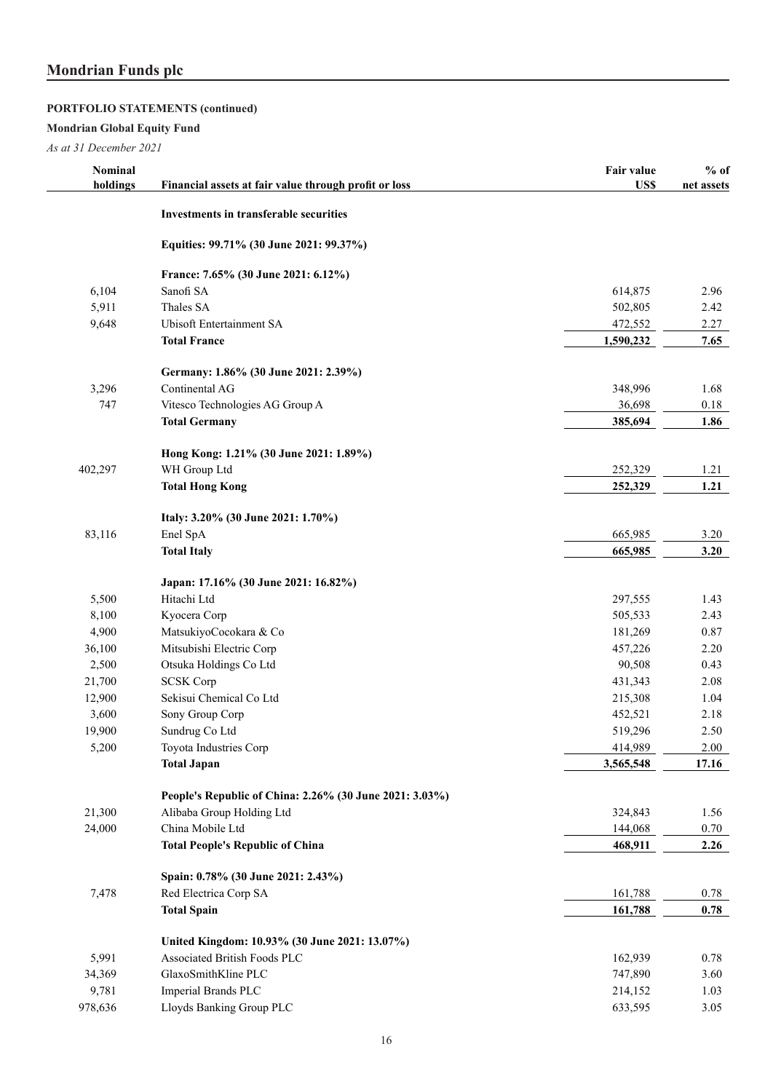# **PORTFOLIO STATEMENTS (continued)**

# **Mondrian Global Equity Fund**

| <b>Nominal</b> |                                                         | Fair value | $%$ of     |
|----------------|---------------------------------------------------------|------------|------------|
| holdings       | Financial assets at fair value through profit or loss   | US\$       | net assets |
|                | Investments in transferable securities                  |            |            |
|                | Equities: 99.71% (30 June 2021: 99.37%)                 |            |            |
|                | France: 7.65% (30 June 2021: 6.12%)                     |            |            |
| 6,104          | Sanofi SA                                               | 614,875    | 2.96       |
| 5,911          | Thales SA                                               | 502,805    | 2.42       |
| 9,648          | <b>Ubisoft Entertainment SA</b>                         | 472,552    | 2.27       |
|                | <b>Total France</b>                                     | 1,590,232  | 7.65       |
|                | Germany: 1.86% (30 June 2021: 2.39%)                    |            |            |
| 3,296          | Continental AG                                          | 348,996    | 1.68       |
| 747            | Vitesco Technologies AG Group A                         | 36,698     | 0.18       |
|                | <b>Total Germany</b>                                    | 385,694    | 1.86       |
|                | Hong Kong: 1.21% (30 June 2021: 1.89%)                  |            |            |
| 402,297        | WH Group Ltd                                            | 252,329    | 1.21       |
|                | <b>Total Hong Kong</b>                                  | 252,329    | 1.21       |
|                | Italy: 3.20% (30 June 2021: 1.70%)                      |            |            |
| 83,116         | Enel SpA                                                | 665,985    | 3.20       |
|                | <b>Total Italy</b>                                      | 665,985    | 3.20       |
|                | Japan: 17.16% (30 June 2021: 16.82%)                    |            |            |
| 5,500          | Hitachi Ltd                                             | 297,555    | 1.43       |
| 8,100          | Kyocera Corp                                            | 505,533    | 2.43       |
| 4,900          | MatsukiyoCocokara & Co                                  | 181,269    | 0.87       |
| 36,100         | Mitsubishi Electric Corp                                | 457,226    | 2.20       |
| 2,500          | Otsuka Holdings Co Ltd                                  | 90,508     | 0.43       |
| 21,700         | <b>SCSK Corp</b>                                        | 431,343    | 2.08       |
| 12,900         | Sekisui Chemical Co Ltd                                 | 215,308    | 1.04       |
| 3,600          | Sony Group Corp                                         | 452,521    | 2.18       |
| 19,900         | Sundrug Co Ltd                                          | 519,296    | 2.50       |
| 5,200          | Toyota Industries Corp                                  | 414,989    | 2.00       |
|                | <b>Total Japan</b>                                      | 3,565,548  | 17.16      |
|                | People's Republic of China: 2.26% (30 June 2021: 3.03%) |            |            |
| 21,300         | Alibaba Group Holding Ltd                               | 324,843    | 1.56       |
| 24,000         | China Mobile Ltd                                        | 144,068    | 0.70       |
|                | <b>Total People's Republic of China</b>                 | 468,911    | 2.26       |
|                | Spain: 0.78% (30 June 2021: 2.43%)                      |            |            |
| 7,478          | Red Electrica Corp SA                                   | 161,788    | 0.78       |
|                | <b>Total Spain</b>                                      | 161,788    | 0.78       |
|                | United Kingdom: 10.93% (30 June 2021: 13.07%)           |            |            |
| 5,991          | Associated British Foods PLC                            | 162,939    | 0.78       |
| 34,369         | GlaxoSmithKline PLC                                     | 747,890    | 3.60       |
| 9,781          | Imperial Brands PLC                                     | 214,152    | 1.03       |
| 978,636        | Lloyds Banking Group PLC                                | 633,595    | 3.05       |
|                |                                                         |            |            |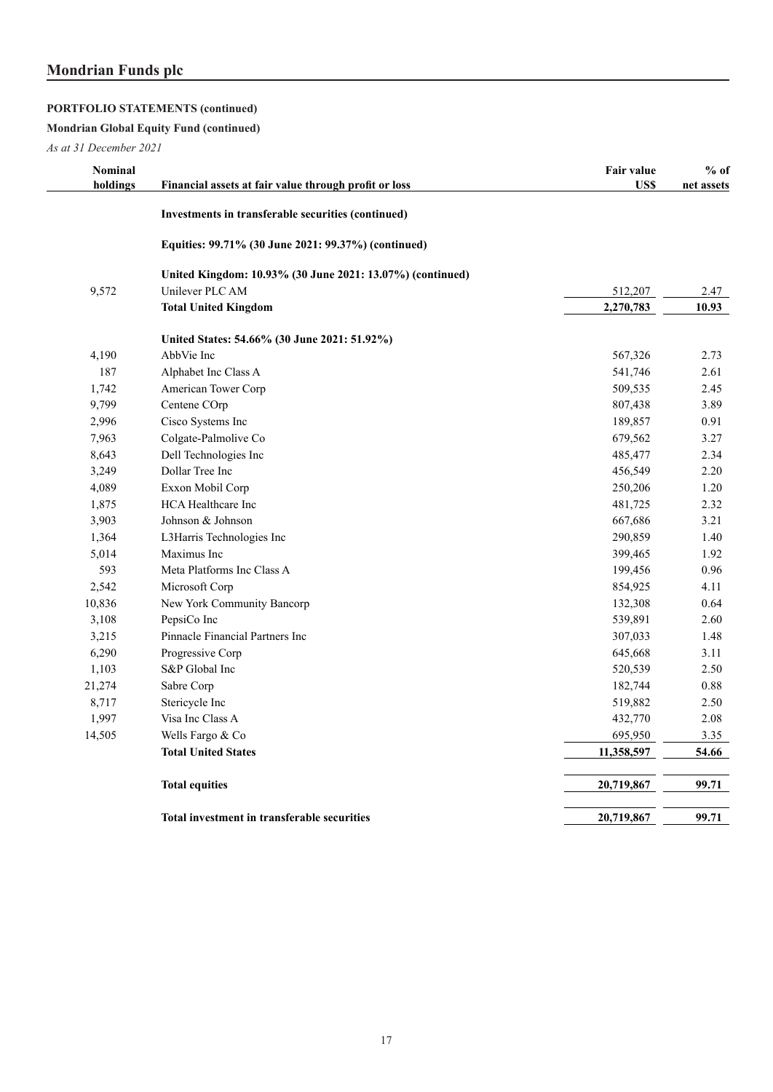# **PORTFOLIO STATEMENTS (continued)**

**Mondrian Global Equity Fund (continued)**

| <b>Nominal</b><br>holdings | Financial assets at fair value through profit or loss     | <b>Fair value</b><br><b>USS</b> | $%$ of<br>net assets |
|----------------------------|-----------------------------------------------------------|---------------------------------|----------------------|
|                            | Investments in transferable securities (continued)        |                                 |                      |
|                            | Equities: 99.71% (30 June 2021: 99.37%) (continued)       |                                 |                      |
|                            | United Kingdom: 10.93% (30 June 2021: 13.07%) (continued) |                                 |                      |
| 9,572                      | Unilever PLC AM                                           | 512,207                         | 2.47                 |
|                            | <b>Total United Kingdom</b>                               | 2,270,783                       | 10.93                |
|                            | United States: 54.66% (30 June 2021: 51.92%)              |                                 |                      |
| 4,190                      | AbbVie Inc                                                | 567,326                         | 2.73                 |
| 187                        | Alphabet Inc Class A                                      | 541,746                         | 2.61                 |
| 1,742                      | American Tower Corp                                       | 509,535                         | 2.45                 |
| 9,799                      | Centene COrp                                              | 807,438                         | 3.89                 |
| 2,996                      | Cisco Systems Inc                                         | 189,857                         | 0.91                 |
| 7,963                      | Colgate-Palmolive Co                                      | 679,562                         | 3.27                 |
| 8,643                      | Dell Technologies Inc                                     | 485,477                         | 2.34                 |
| 3,249                      | Dollar Tree Inc                                           | 456,549                         | 2.20                 |
| 4,089                      | Exxon Mobil Corp                                          | 250,206                         | 1.20                 |
| 1,875                      | <b>HCA Healthcare Inc</b>                                 | 481,725                         | 2.32                 |
| 3,903                      | Johnson & Johnson                                         | 667,686                         | 3.21                 |
| 1,364                      | L3Harris Technologies Inc                                 | 290,859                         | 1.40                 |
| 5,014                      | Maximus Inc                                               | 399,465                         | 1.92                 |
| 593                        | Meta Platforms Inc Class A                                | 199,456                         | 0.96                 |
| 2,542                      | Microsoft Corp                                            | 854,925                         | 4.11                 |
| 10,836                     | New York Community Bancorp                                | 132,308                         | 0.64                 |
| 3,108                      | PepsiCo Inc                                               | 539,891                         | 2.60                 |
| 3,215                      | Pinnacle Financial Partners Inc                           | 307,033                         | 1.48                 |
| 6,290                      | Progressive Corp                                          | 645,668                         | 3.11                 |
| 1,103                      | S&P Global Inc                                            | 520,539                         | 2.50                 |
| 21,274                     | Sabre Corp                                                | 182,744                         | 0.88                 |
| 8,717                      | Stericycle Inc                                            | 519,882                         | 2.50                 |
| 1,997                      | Visa Inc Class A                                          | 432,770                         | 2.08                 |
| 14,505                     | Wells Fargo & Co                                          | 695,950                         | 3.35                 |
|                            | <b>Total United States</b>                                | 11,358,597                      | 54.66                |
|                            | <b>Total equities</b>                                     | 20,719,867                      | 99.71                |
|                            |                                                           |                                 |                      |
|                            | Total investment in transferable securities               | 20,719,867                      | 99.71                |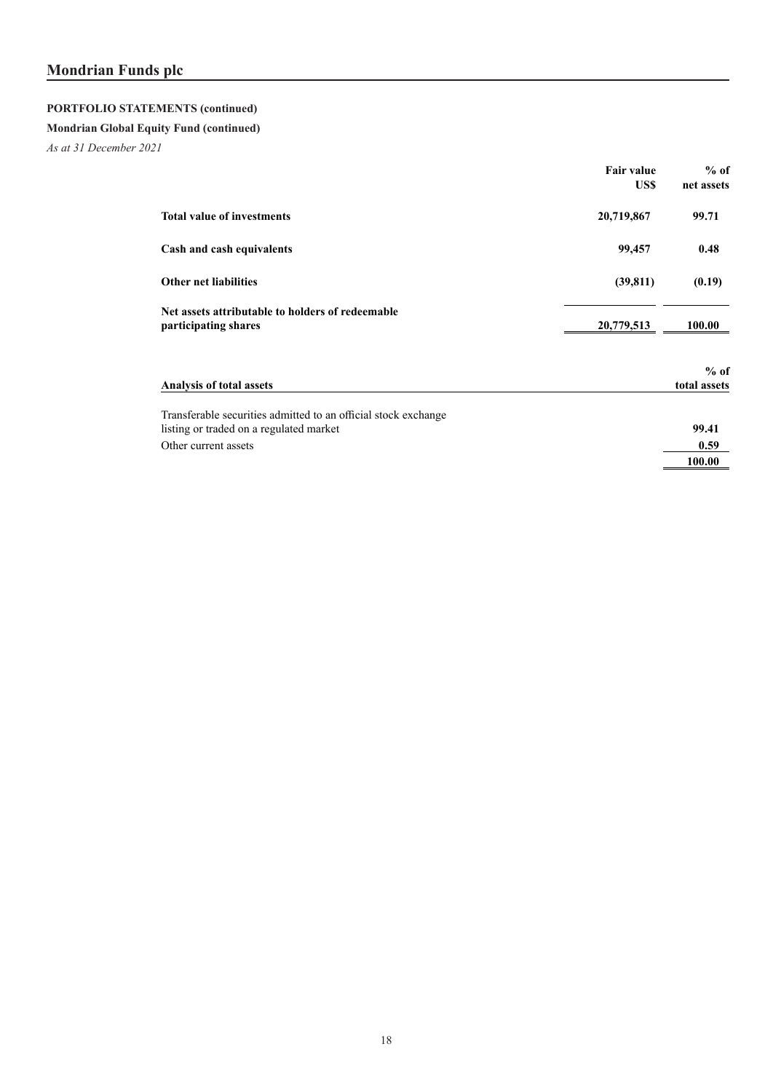# **PORTFOLIO STATEMENTS (continued)**

# **Mondrian Global Equity Fund (continued)**

|                                                                                                                                   | <b>Fair value</b><br>US\$ | $%$ of<br>net assets    |
|-----------------------------------------------------------------------------------------------------------------------------------|---------------------------|-------------------------|
| <b>Total value of investments</b>                                                                                                 | 20,719,867                | 99.71                   |
| Cash and cash equivalents                                                                                                         | 99,457                    | 0.48                    |
| <b>Other net liabilities</b>                                                                                                      | (39, 811)                 | (0.19)                  |
| Net assets attributable to holders of redeemable<br>participating shares                                                          | 20,779,513                | 100.00                  |
| <b>Analysis of total assets</b>                                                                                                   |                           | $%$ of<br>total assets  |
| Transferable securities admitted to an official stock exchange<br>listing or traded on a regulated market<br>Other current assets |                           | 99.41<br>0.59<br>100.00 |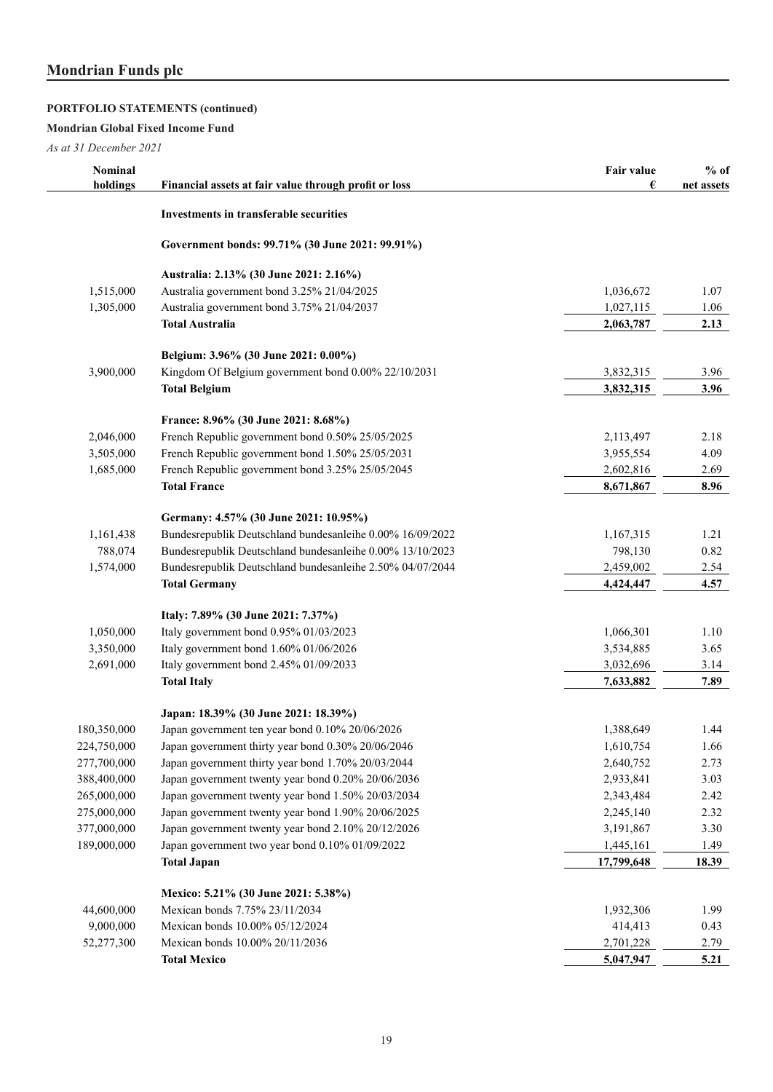# **PORTFOLIO STATEMENTS (continued)**

**Mondrian Global Fixed Income Fund**

| <b>Nominal</b><br>holdings | Financial assets at fair value through profit or loss     | Fair value<br>€ | $%$ of<br>net assets |
|----------------------------|-----------------------------------------------------------|-----------------|----------------------|
|                            | Investments in transferable securities                    |                 |                      |
|                            | Government bonds: 99.71% (30 June 2021: 99.91%)           |                 |                      |
|                            | Australia: 2.13% (30 June 2021: 2.16%)                    |                 |                      |
| 1,515,000                  | Australia government bond 3.25% 21/04/2025                | 1,036,672       | 1.07                 |
| 1,305,000                  | Australia government bond 3.75% 21/04/2037                | 1,027,115       | 1.06                 |
|                            | <b>Total Australia</b>                                    | 2,063,787       | 2.13                 |
|                            | Belgium: 3.96% (30 June 2021: 0.00%)                      |                 |                      |
| 3,900,000                  | Kingdom Of Belgium government bond 0.00% 22/10/2031       | 3,832,315       | 3.96                 |
|                            | <b>Total Belgium</b>                                      | 3,832,315       | 3.96                 |
|                            | France: 8.96% (30 June 2021: 8.68%)                       |                 |                      |
| 2,046,000                  | French Republic government bond 0.50% 25/05/2025          | 2,113,497       | 2.18                 |
| 3,505,000                  | French Republic government bond 1.50% 25/05/2031          | 3,955,554       | 4.09                 |
| 1,685,000                  | French Republic government bond 3.25% 25/05/2045          | 2,602,816       | 2.69                 |
|                            | <b>Total France</b>                                       | 8,671,867       | 8.96                 |
|                            | Germany: 4.57% (30 June 2021: 10.95%)                     |                 |                      |
| 1,161,438                  | Bundesrepublik Deutschland bundesanleihe 0.00% 16/09/2022 | 1,167,315       | 1.21                 |
| 788,074                    | Bundesrepublik Deutschland bundesanleihe 0.00% 13/10/2023 | 798,130         | 0.82                 |
| 1,574,000                  | Bundesrepublik Deutschland bundesanleihe 2.50% 04/07/2044 | 2,459,002       | 2.54                 |
|                            | <b>Total Germany</b>                                      | 4,424,447       | 4.57                 |
|                            | Italy: 7.89% (30 June 2021: 7.37%)                        |                 |                      |
| 1,050,000                  | Italy government bond 0.95% 01/03/2023                    | 1,066,301       | 1.10                 |
| 3,350,000                  | Italy government bond 1.60% 01/06/2026                    | 3,534,885       | 3.65                 |
| 2,691,000                  | Italy government bond 2.45% 01/09/2033                    | 3,032,696       | 3.14                 |
|                            | <b>Total Italy</b>                                        | 7,633,882       | 7.89                 |
|                            | Japan: 18.39% (30 June 2021: 18.39%)                      |                 |                      |
| 180,350,000                | Japan government ten year bond 0.10% 20/06/2026           | 1,388,649       | 1.44                 |
| 224,750,000                | Japan government thirty year bond 0.30% 20/06/2046        | 1,610,754       | 1.66                 |
| 277,700,000                | Japan government thirty year bond 1.70% 20/03/2044        | 2,640,752       | 2.73                 |
| 388,400,000                | Japan government twenty year bond 0.20% 20/06/2036        | 2,933,841       | 3.03                 |
| 265,000,000                | Japan government twenty year bond 1.50% 20/03/2034        | 2,343,484       | 2.42                 |
| 275,000,000                | Japan government twenty year bond 1.90% 20/06/2025        | 2,245,140       | 2.32                 |
| 377,000,000                | Japan government twenty year bond 2.10% 20/12/2026        | 3,191,867       | 3.30                 |
| 189,000,000                | Japan government two year bond 0.10% 01/09/2022           | 1,445,161       | 1.49                 |
|                            | <b>Total Japan</b>                                        | 17,799,648      | 18.39                |
|                            | Mexico: 5.21% (30 June 2021: 5.38%)                       |                 |                      |
| 44,600,000                 | Mexican bonds 7.75% 23/11/2034                            | 1,932,306       | 1.99                 |
| 9,000,000                  | Mexican bonds 10.00% 05/12/2024                           | 414,413         | 0.43                 |
| 52,277,300                 | Mexican bonds 10.00% 20/11/2036                           | 2,701,228       | 2.79                 |
|                            | <b>Total Mexico</b>                                       | 5,047,947       | 5.21                 |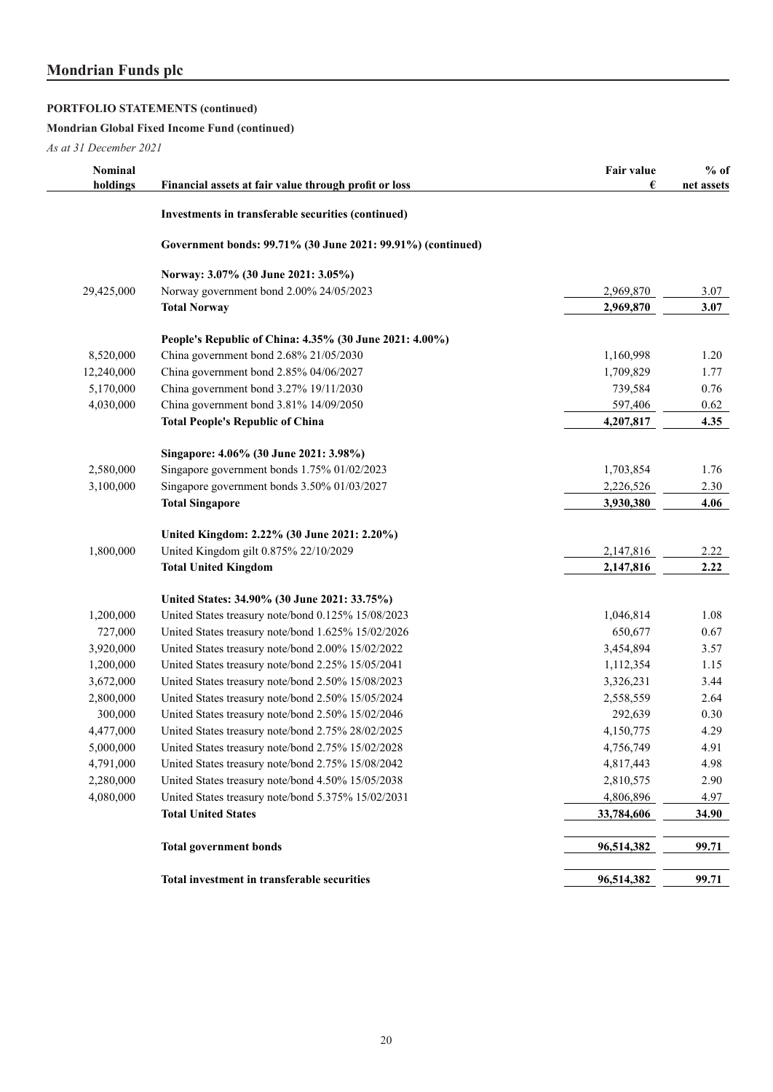# **PORTFOLIO STATEMENTS (continued)**

# **Mondrian Global Fixed Income Fund (continued)**

| <b>Nominal</b><br>holdings | Financial assets at fair value through profit or loss                                                    | Fair value<br>€      | $%$ of<br>net assets |
|----------------------------|----------------------------------------------------------------------------------------------------------|----------------------|----------------------|
|                            | Investments in transferable securities (continued)                                                       |                      |                      |
|                            | Government bonds: 99.71% (30 June 2021: 99.91%) (continued)                                              |                      |                      |
|                            | Norway: 3.07% (30 June 2021: 3.05%)                                                                      |                      |                      |
| 29,425,000                 | Norway government bond 2.00% 24/05/2023                                                                  | 2,969,870            | 3.07                 |
|                            | <b>Total Norway</b>                                                                                      | 2,969,870            | 3.07                 |
|                            | People's Republic of China: 4.35% (30 June 2021: 4.00%)                                                  |                      |                      |
| 8,520,000                  | China government bond 2.68% 21/05/2030                                                                   | 1,160,998            | 1.20                 |
| 12,240,000                 | China government bond 2.85% 04/06/2027                                                                   | 1,709,829            | 1.77                 |
| 5,170,000                  | China government bond 3.27% 19/11/2030                                                                   | 739,584              | 0.76                 |
| 4,030,000                  | China government bond 3.81% 14/09/2050                                                                   | 597,406              | 0.62                 |
|                            | <b>Total People's Republic of China</b>                                                                  | 4,207,817            | 4.35                 |
|                            | Singapore: 4.06% (30 June 2021: 3.98%)                                                                   |                      |                      |
| 2,580,000                  | Singapore government bonds 1.75% 01/02/2023                                                              | 1,703,854            | 1.76                 |
| 3,100,000                  | Singapore government bonds 3.50% 01/03/2027                                                              | 2,226,526            | 2.30                 |
|                            | <b>Total Singapore</b>                                                                                   | 3,930,380            | 4.06                 |
|                            | United Kingdom: 2.22% (30 June 2021: 2.20%)                                                              |                      |                      |
| 1,800,000                  | United Kingdom gilt 0.875% 22/10/2029                                                                    | 2,147,816            | 2.22                 |
|                            | <b>Total United Kingdom</b>                                                                              | 2,147,816            | 2.22                 |
|                            |                                                                                                          |                      |                      |
|                            | United States: 34.90% (30 June 2021: 33.75%)                                                             |                      | 1.08                 |
| 1,200,000<br>727,000       | United States treasury note/bond 0.125% 15/08/2023<br>United States treasury note/bond 1.625% 15/02/2026 | 1,046,814<br>650,677 | 0.67                 |
| 3,920,000                  | United States treasury note/bond 2.00% 15/02/2022                                                        | 3,454,894            | 3.57                 |
| 1,200,000                  | United States treasury note/bond 2.25% 15/05/2041                                                        | 1,112,354            | 1.15                 |
| 3,672,000                  | United States treasury note/bond 2.50% 15/08/2023                                                        | 3,326,231            | 3.44                 |
| 2,800,000                  | United States treasury note/bond 2.50% 15/05/2024                                                        | 2,558,559            | 2.64                 |
| 300,000                    | United States treasury note/bond 2.50% 15/02/2046                                                        | 292,639              | 0.30                 |
| 4,477,000                  | United States treasury note/bond 2.75% 28/02/2025                                                        | 4,150,775            | 4.29                 |
| 5,000,000                  | United States treasury note/bond 2.75% 15/02/2028                                                        | 4,756,749            | 4.91                 |
| 4,791,000                  | United States treasury note/bond 2.75% 15/08/2042                                                        | 4,817,443            | 4.98                 |
| 2,280,000                  | United States treasury note/bond 4.50% 15/05/2038                                                        | 2,810,575            | 2.90                 |
| 4,080,000                  | United States treasury note/bond 5.375% 15/02/2031                                                       | 4,806,896            | 4.97                 |
|                            | <b>Total United States</b>                                                                               | 33,784,606           | 34.90                |
|                            |                                                                                                          |                      |                      |
|                            | <b>Total government bonds</b>                                                                            | 96,514,382           | 99.71                |
|                            | Total investment in transferable securities                                                              | 96,514,382           | 99.71                |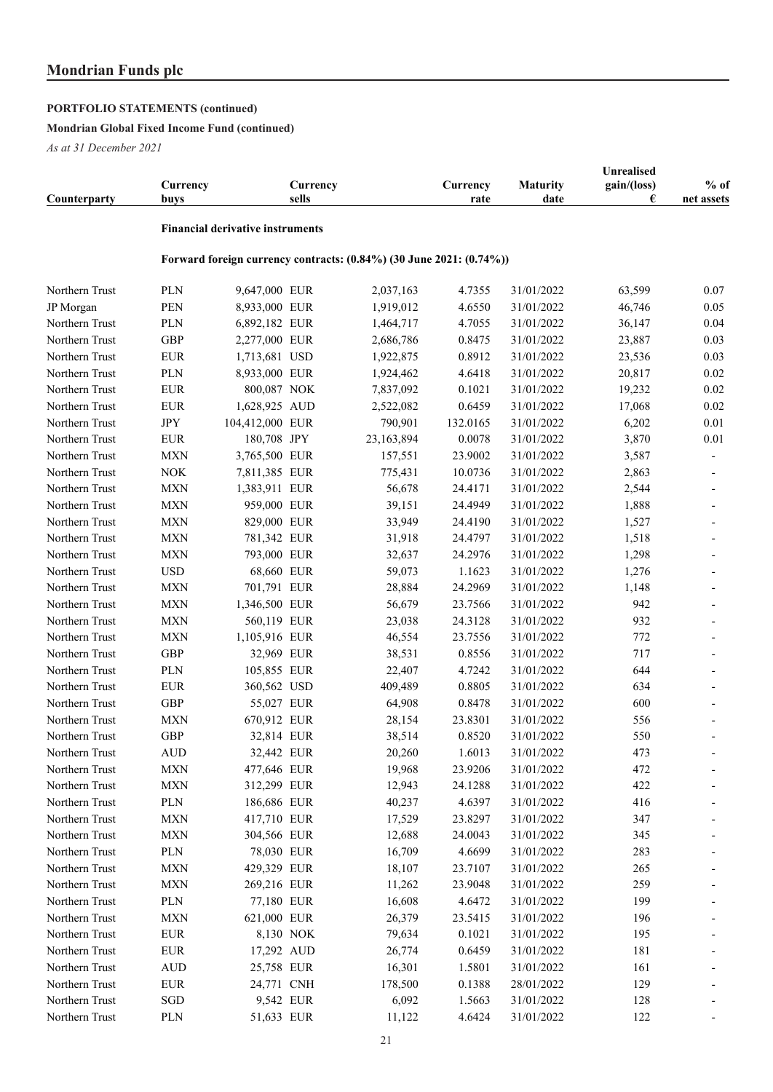# **PORTFOLIO STATEMENTS (continued)**

# **Mondrian Global Fixed Income Fund (continued)**

| Counterparty   | Currency<br>buys          |                                         | Currency<br>sells |                                                                     | Currency<br>rate | <b>Maturity</b><br>date | <b>Unrealised</b><br>gain/(loss)<br>€ | $%$ of<br>net assets |
|----------------|---------------------------|-----------------------------------------|-------------------|---------------------------------------------------------------------|------------------|-------------------------|---------------------------------------|----------------------|
|                |                           | <b>Financial derivative instruments</b> |                   |                                                                     |                  |                         |                                       |                      |
|                |                           |                                         |                   | Forward foreign currency contracts: (0.84%) (30 June 2021: (0.74%)) |                  |                         |                                       |                      |
| Northern Trust | <b>PLN</b>                | 9,647,000 EUR                           |                   | 2,037,163                                                           | 4.7355           | 31/01/2022              | 63,599                                | 0.07                 |
| JP Morgan      | <b>PEN</b>                | 8,933,000 EUR                           |                   | 1,919,012                                                           | 4.6550           | 31/01/2022              | 46,746                                | 0.05                 |
| Northern Trust | <b>PLN</b>                | 6,892,182 EUR                           |                   | 1,464,717                                                           | 4.7055           | 31/01/2022              | 36,147                                | 0.04                 |
| Northern Trust | <b>GBP</b>                | 2,277,000 EUR                           |                   | 2,686,786                                                           | 0.8475           | 31/01/2022              | 23,887                                | 0.03                 |
| Northern Trust | <b>EUR</b>                | 1,713,681 USD                           |                   | 1,922,875                                                           | 0.8912           | 31/01/2022              | 23,536                                | 0.03                 |
| Northern Trust | <b>PLN</b>                | 8,933,000 EUR                           |                   | 1,924,462                                                           | 4.6418           | 31/01/2022              | 20,817                                | 0.02                 |
| Northern Trust | <b>EUR</b>                | 800,087 NOK                             |                   | 7,837,092                                                           | 0.1021           | 31/01/2022              | 19,232                                | 0.02                 |
| Northern Trust | <b>EUR</b>                | 1,628,925 AUD                           |                   | 2,522,082                                                           | 0.6459           | 31/01/2022              | 17,068                                | 0.02                 |
| Northern Trust | <b>JPY</b>                | 104,412,000 EUR                         |                   | 790,901                                                             | 132.0165         | 31/01/2022              | 6,202                                 | 0.01                 |
| Northern Trust | <b>EUR</b>                | 180,708 JPY                             |                   | 23,163,894                                                          | 0.0078           | 31/01/2022              | 3,870                                 | 0.01                 |
| Northern Trust | <b>MXN</b>                | 3,765,500 EUR                           |                   | 157,551                                                             | 23.9002          | 31/01/2022              | 3,587                                 |                      |
| Northern Trust | $\rm NOK$                 | 7,811,385 EUR                           |                   | 775,431                                                             | 10.0736          | 31/01/2022              | 2,863                                 |                      |
| Northern Trust | <b>MXN</b>                | 1,383,911 EUR                           |                   | 56,678                                                              | 24.4171          | 31/01/2022              | 2,544                                 |                      |
| Northern Trust | <b>MXN</b>                | 959,000 EUR                             |                   | 39,151                                                              | 24.4949          | 31/01/2022              | 1,888                                 |                      |
| Northern Trust | <b>MXN</b>                | 829,000 EUR                             |                   | 33,949                                                              | 24.4190          | 31/01/2022              | 1,527                                 |                      |
| Northern Trust | <b>MXN</b>                | 781,342 EUR                             |                   | 31,918                                                              | 24.4797          | 31/01/2022              | 1,518                                 |                      |
| Northern Trust | <b>MXN</b>                | 793,000 EUR                             |                   | 32,637                                                              | 24.2976          | 31/01/2022              | 1,298                                 |                      |
| Northern Trust | <b>USD</b>                | 68,660 EUR                              |                   | 59,073                                                              | 1.1623           | 31/01/2022              | 1,276                                 |                      |
| Northern Trust | <b>MXN</b>                | 701,791 EUR                             |                   | 28,884                                                              | 24.2969          | 31/01/2022              | 1,148                                 |                      |
| Northern Trust | <b>MXN</b>                | 1,346,500 EUR                           |                   | 56,679                                                              | 23.7566          | 31/01/2022              | 942                                   |                      |
| Northern Trust | <b>MXN</b>                | 560,119 EUR                             |                   | 23,038                                                              | 24.3128          | 31/01/2022              | 932                                   |                      |
| Northern Trust | <b>MXN</b>                | 1,105,916 EUR                           |                   | 46,554                                                              | 23.7556          | 31/01/2022              | 772                                   |                      |
| Northern Trust | <b>GBP</b>                | 32,969 EUR                              |                   | 38,531                                                              | 0.8556           | 31/01/2022              | 717                                   |                      |
| Northern Trust | <b>PLN</b>                | 105,855 EUR                             |                   | 22,407                                                              | 4.7242           | 31/01/2022              | 644                                   |                      |
| Northern Trust | <b>EUR</b>                | 360,562 USD                             |                   |                                                                     | 0.8805           | 31/01/2022              | 634                                   |                      |
|                |                           |                                         |                   | 409,489                                                             |                  |                         |                                       |                      |
| Northern Trust | GBP                       | 55,027 EUR                              |                   | 64,908                                                              | 0.8478           | 31/01/2022              | 600                                   | $\overline{a}$       |
| Northern Trust | <b>MXN</b>                | 670,912 EUR                             |                   | 28,154                                                              | 23.8301          | 31/01/2022              | 556                                   |                      |
| Northern Trust | <b>GBP</b>                | 32,814 EUR                              |                   | 38,514                                                              | 0.8520           | 31/01/2022              | 550                                   |                      |
| Northern Trust | $\hbox{AUD}$              | 32,442 EUR                              |                   | 20,260                                                              | 1.6013           | 31/01/2022              | 473                                   |                      |
| Northern Trust | ${\rm M}{\rm X}{\rm N}$   | 477,646 EUR                             |                   | 19,968                                                              | 23.9206          | 31/01/2022              | 472                                   |                      |
| Northern Trust | $\ensuremath{\text{MXN}}$ | 312,299 EUR                             |                   | 12,943                                                              | 24.1288          | 31/01/2022              | 422                                   |                      |
| Northern Trust | PLN                       | 186,686 EUR                             |                   | 40,237                                                              | 4.6397           | 31/01/2022              | 416                                   |                      |
| Northern Trust | $\ensuremath{\text{MXN}}$ | 417,710 EUR                             |                   | 17,529                                                              | 23.8297          | 31/01/2022              | 347                                   |                      |
| Northern Trust | ${\rm M}{\rm X}{\rm N}$   | 304,566 EUR                             |                   | 12,688                                                              | 24.0043          | 31/01/2022              | 345                                   |                      |
| Northern Trust | PLN                       | 78,030 EUR                              |                   | 16,709                                                              | 4.6699           | 31/01/2022              | 283                                   |                      |
| Northern Trust | MXN                       | 429,329 EUR                             |                   | 18,107                                                              | 23.7107          | 31/01/2022              | 265                                   |                      |
| Northern Trust | $\ensuremath{\text{MXN}}$ | 269,216 EUR                             |                   | 11,262                                                              | 23.9048          | 31/01/2022              | 259                                   |                      |
| Northern Trust | PLN                       | 77,180 EUR                              |                   | 16,608                                                              | 4.6472           | 31/01/2022              | 199                                   |                      |
| Northern Trust | ${\rm MXN}$               | 621,000 EUR                             |                   | 26,379                                                              | 23.5415          | 31/01/2022              | 196                                   |                      |
| Northern Trust | <b>EUR</b>                |                                         | 8,130 NOK         | 79,634                                                              | 0.1021           | 31/01/2022              | 195                                   |                      |
| Northern Trust | <b>EUR</b>                | 17,292 AUD                              |                   | 26,774                                                              | 0.6459           | 31/01/2022              | 181                                   |                      |
| Northern Trust | $\mbox{AUD}$              | 25,758 EUR                              |                   | 16,301                                                              | 1.5801           | 31/01/2022              | 161                                   |                      |
| Northern Trust | <b>EUR</b>                | 24,771 CNH                              |                   | 178,500                                                             | 0.1388           | 28/01/2022              | 129                                   |                      |
| Northern Trust | $_{\rm SGD}$              |                                         | 9,542 EUR         | 6,092                                                               | 1.5663           | 31/01/2022              | 128                                   |                      |
| Northern Trust | PLN                       | 51,633 EUR                              |                   | 11,122                                                              | 4.6424           | 31/01/2022              | 122                                   |                      |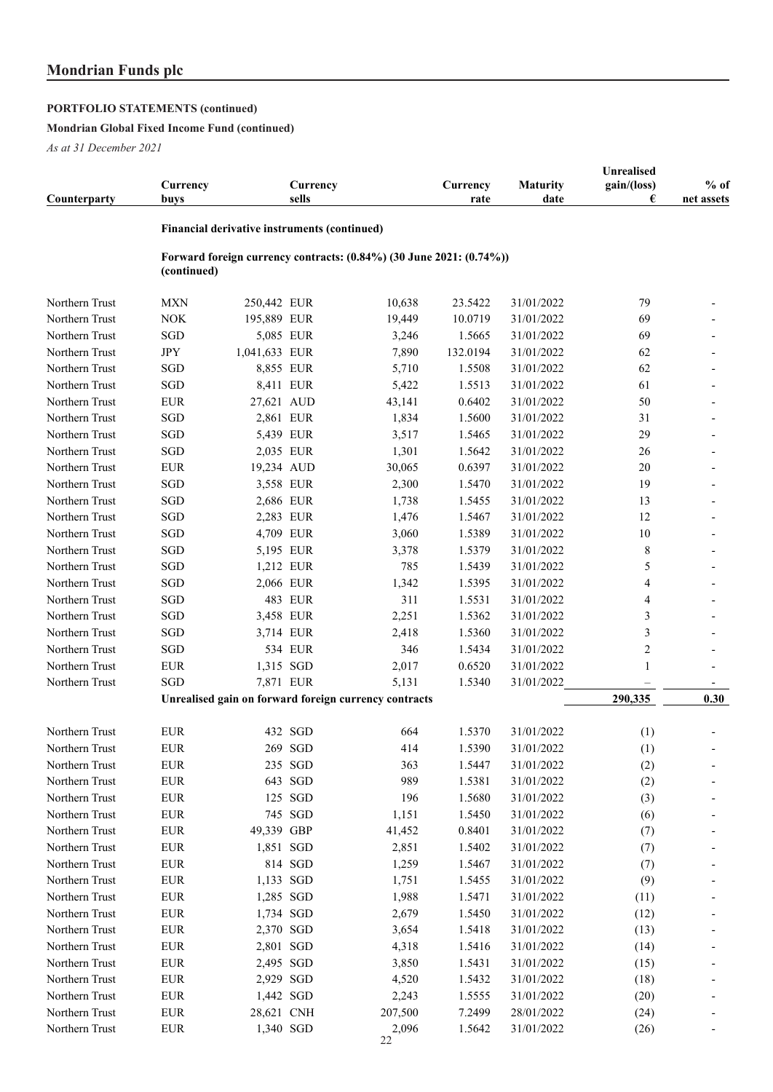# **PORTFOLIO STATEMENTS (continued)**

# **Mondrian Global Fixed Income Fund (continued)**

| Counterparty   | Currency<br>buys |               | Currency<br>sells                            |                                                                     | Currency<br>rate | <b>Maturity</b><br>date | Unrealised<br>gain/(loss)<br>€ | $%$ of<br>net assets |
|----------------|------------------|---------------|----------------------------------------------|---------------------------------------------------------------------|------------------|-------------------------|--------------------------------|----------------------|
|                |                  |               | Financial derivative instruments (continued) |                                                                     |                  |                         |                                |                      |
|                | (continued)      |               |                                              | Forward foreign currency contracts: (0.84%) (30 June 2021: (0.74%)) |                  |                         |                                |                      |
| Northern Trust | <b>MXN</b>       | 250,442 EUR   |                                              | 10,638                                                              | 23.5422          | 31/01/2022              | 79                             |                      |
| Northern Trust | <b>NOK</b>       | 195,889 EUR   |                                              | 19,449                                                              | 10.0719          | 31/01/2022              | 69                             |                      |
| Northern Trust | SGD              | 5,085 EUR     |                                              | 3,246                                                               | 1.5665           | 31/01/2022              | 69                             |                      |
| Northern Trust | <b>JPY</b>       | 1,041,633 EUR |                                              | 7,890                                                               | 132.0194         | 31/01/2022              | 62                             |                      |
| Northern Trust | SGD              | 8,855 EUR     |                                              | 5,710                                                               | 1.5508           | 31/01/2022              | 62                             |                      |
| Northern Trust | SGD              | 8,411 EUR     |                                              | 5,422                                                               | 1.5513           | 31/01/2022              | 61                             |                      |
| Northern Trust | <b>EUR</b>       | 27,621 AUD    |                                              | 43,141                                                              | 0.6402           | 31/01/2022              | 50                             |                      |
| Northern Trust | SGD              | 2,861 EUR     |                                              | 1,834                                                               | 1.5600           | 31/01/2022              | 31                             |                      |
| Northern Trust | SGD              | 5,439 EUR     |                                              | 3,517                                                               | 1.5465           | 31/01/2022              | 29                             |                      |
| Northern Trust | SGD              | 2,035 EUR     |                                              | 1,301                                                               | 1.5642           | 31/01/2022              | 26                             |                      |
| Northern Trust | <b>EUR</b>       | 19,234 AUD    |                                              | 30,065                                                              | 0.6397           | 31/01/2022              | 20                             |                      |
| Northern Trust | SGD              | 3,558 EUR     |                                              | 2,300                                                               | 1.5470           | 31/01/2022              | 19                             |                      |
| Northern Trust | SGD              | 2,686 EUR     |                                              | 1,738                                                               | 1.5455           | 31/01/2022              | 13                             |                      |
| Northern Trust | SGD              | 2,283 EUR     |                                              | 1,476                                                               | 1.5467           | 31/01/2022              | 12                             |                      |
| Northern Trust | SGD              | 4,709 EUR     |                                              | 3,060                                                               | 1.5389           | 31/01/2022              | $10\,$                         |                      |
| Northern Trust | SGD              | 5,195 EUR     |                                              | 3,378                                                               | 1.5379           | 31/01/2022              | 8                              |                      |
| Northern Trust | SGD              | 1,212 EUR     |                                              | 785                                                                 | 1.5439           | 31/01/2022              | 5                              |                      |
| Northern Trust | SGD              | 2,066 EUR     |                                              | 1,342                                                               | 1.5395           | 31/01/2022              | 4                              |                      |
| Northern Trust | SGD              |               | 483 EUR                                      | 311                                                                 | 1.5531           | 31/01/2022              |                                |                      |
| Northern Trust | SGD              | 3,458 EUR     |                                              | 2,251                                                               | 1.5362           | 31/01/2022              |                                |                      |
| Northern Trust | SGD              | 3,714 EUR     |                                              | 2,418                                                               | 1.5360           | 31/01/2022              | $\mathcal{R}$                  |                      |
|                | SGD              |               | 534 EUR                                      | 346                                                                 |                  |                         | $\overline{2}$                 |                      |
| Northern Trust |                  |               |                                              |                                                                     | 1.5434           | 31/01/2022              |                                |                      |
| Northern Trust | <b>EUR</b>       | 1,315 SGD     |                                              | 2,017                                                               | 0.6520           | 31/01/2022              |                                |                      |
| Northern Trust | SGD              | 7,871 EUR     |                                              | 5,131                                                               | 1.5340           | 31/01/2022              |                                |                      |
|                |                  |               |                                              | Unrealised gain on forward foreign currency contracts               |                  |                         | 290,335                        | 0.30                 |
| Northern Trust | <b>EUR</b>       |               | 432 SGD                                      | 664                                                                 | 1.5370           | 31/01/2022              | (1)                            |                      |
| Northern Trust | <b>EUR</b>       |               | 269 SGD                                      | 414                                                                 | 1.5390           | 31/01/2022              | (1)                            |                      |
| Northern Trust | ${\rm EUR}$      |               | 235 SGD                                      | 363                                                                 | 1.5447           | 31/01/2022              | (2)                            |                      |
| Northern Trust | <b>EUR</b>       |               | 643 SGD                                      | 989                                                                 | 1.5381           | 31/01/2022              | (2)                            |                      |
| Northern Trust | <b>EUR</b>       |               | 125 SGD                                      | 196                                                                 | 1.5680           | 31/01/2022              | (3)                            |                      |
| Northern Trust | <b>EUR</b>       |               | 745 SGD                                      | 1,151                                                               | 1.5450           | 31/01/2022              | (6)                            |                      |
| Northern Trust | <b>EUR</b>       | 49,339 GBP    |                                              | 41,452                                                              | 0.8401           | 31/01/2022              | (7)                            |                      |
| Northern Trust | <b>EUR</b>       | 1,851 SGD     |                                              | 2,851                                                               | 1.5402           | 31/01/2022              | (7)                            |                      |
| Northern Trust | <b>EUR</b>       |               | 814 SGD                                      | 1,259                                                               | 1.5467           | 31/01/2022              | (7)                            |                      |
| Northern Trust | <b>EUR</b>       | 1,133 SGD     |                                              | 1,751                                                               | 1.5455           | 31/01/2022              | (9)                            |                      |
| Northern Trust | <b>EUR</b>       | 1,285 SGD     |                                              | 1,988                                                               | 1.5471           | 31/01/2022              | (11)                           |                      |
| Northern Trust | <b>EUR</b>       | 1,734 SGD     |                                              | 2,679                                                               | 1.5450           | 31/01/2022              | (12)                           |                      |
| Northern Trust | <b>EUR</b>       | 2,370 SGD     |                                              | 3,654                                                               | 1.5418           | 31/01/2022              | (13)                           |                      |
| Northern Trust | <b>EUR</b>       | 2,801 SGD     |                                              | 4,318                                                               | 1.5416           | 31/01/2022              | (14)                           |                      |
| Northern Trust | <b>EUR</b>       |               |                                              |                                                                     | 1.5431           | 31/01/2022              |                                |                      |
|                |                  | 2,495 SGD     |                                              | 3,850                                                               |                  |                         | (15)                           |                      |
| Northern Trust | <b>EUR</b>       | 2,929 SGD     |                                              | 4,520                                                               | 1.5432           | 31/01/2022              | (18)                           |                      |
| Northern Trust | <b>EUR</b>       | 1,442 SGD     |                                              | 2,243                                                               | 1.5555           | 31/01/2022              | (20)                           |                      |
| Northern Trust | <b>EUR</b>       | 28,621 CNH    |                                              | 207,500                                                             | 7.2499           | 28/01/2022              | (24)                           |                      |
| Northern Trust | <b>EUR</b>       |               | 1,340 SGD                                    | 2,096<br>22                                                         | 1.5642           | 31/01/2022              | (26)                           |                      |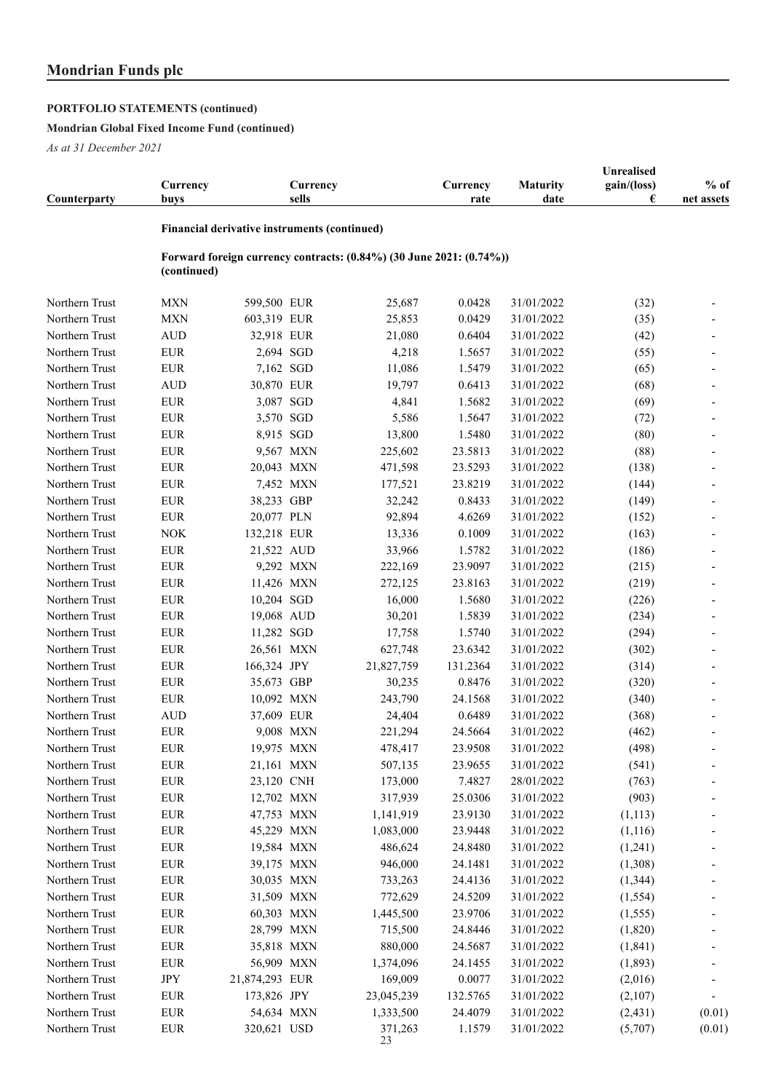# **PORTFOLIO STATEMENTS (continued)**

# **Mondrian Global Fixed Income Fund (continued)**

| Counterparty   | Currency<br>buys |                                              | Currency<br>sells |                                                                     | Currency<br>rate | <b>Maturity</b><br>date | Unrealised<br>gain/(loss)<br>€ | $%$ of<br>net assets |
|----------------|------------------|----------------------------------------------|-------------------|---------------------------------------------------------------------|------------------|-------------------------|--------------------------------|----------------------|
|                |                  | Financial derivative instruments (continued) |                   |                                                                     |                  |                         |                                |                      |
|                | (continued)      |                                              |                   | Forward foreign currency contracts: (0.84%) (30 June 2021: (0.74%)) |                  |                         |                                |                      |
| Northern Trust | <b>MXN</b>       | 599,500 EUR                                  |                   | 25,687                                                              | 0.0428           | 31/01/2022              | (32)                           |                      |
| Northern Trust | <b>MXN</b>       | 603,319 EUR                                  |                   | 25,853                                                              | 0.0429           | 31/01/2022              | (35)                           |                      |
| Northern Trust | <b>AUD</b>       | 32,918 EUR                                   |                   | 21,080                                                              | 0.6404           | 31/01/2022              | (42)                           |                      |
| Northern Trust | <b>EUR</b>       | 2,694 SGD                                    |                   | 4,218                                                               | 1.5657           | 31/01/2022              | (55)                           |                      |
| Northern Trust | <b>EUR</b>       | 7,162 SGD                                    |                   | 11,086                                                              | 1.5479           | 31/01/2022              | (65)                           |                      |
| Northern Trust | <b>AUD</b>       | 30,870 EUR                                   |                   | 19,797                                                              | 0.6413           | 31/01/2022              | (68)                           |                      |
| Northern Trust | <b>EUR</b>       | 3,087 SGD                                    |                   | 4,841                                                               | 1.5682           | 31/01/2022              | (69)                           |                      |
| Northern Trust | <b>EUR</b>       | 3,570 SGD                                    |                   | 5,586                                                               | 1.5647           | 31/01/2022              | (72)                           |                      |
| Northern Trust | <b>EUR</b>       | 8,915 SGD                                    |                   | 13,800                                                              | 1.5480           | 31/01/2022              | (80)                           |                      |
| Northern Trust | <b>EUR</b>       |                                              | 9,567 MXN         | 225,602                                                             | 23.5813          | 31/01/2022              | (88)                           |                      |
| Northern Trust | <b>EUR</b>       | 20,043 MXN                                   |                   | 471,598                                                             | 23.5293          | 31/01/2022              | (138)                          |                      |
| Northern Trust | <b>EUR</b>       |                                              | 7,452 MXN         | 177,521                                                             | 23.8219          | 31/01/2022              | (144)                          |                      |
| Northern Trust | <b>EUR</b>       | 38,233 GBP                                   |                   | 32,242                                                              | 0.8433           | 31/01/2022              | (149)                          |                      |
| Northern Trust | <b>EUR</b>       | 20,077 PLN                                   |                   | 92,894                                                              | 4.6269           | 31/01/2022              | (152)                          |                      |
| Northern Trust | <b>NOK</b>       | 132,218 EUR                                  |                   | 13,336                                                              | 0.1009           | 31/01/2022              | (163)                          |                      |
| Northern Trust | <b>EUR</b>       | 21,522 AUD                                   |                   | 33,966                                                              | 1.5782           | 31/01/2022              | (186)                          |                      |
| Northern Trust | <b>EUR</b>       |                                              | 9,292 MXN         | 222,169                                                             | 23.9097          | 31/01/2022              | (215)                          |                      |
| Northern Trust | <b>EUR</b>       | 11,426 MXN                                   |                   | 272,125                                                             | 23.8163          | 31/01/2022              | (219)                          |                      |
| Northern Trust | <b>EUR</b>       | 10,204 SGD                                   |                   | 16,000                                                              | 1.5680           | 31/01/2022              | (226)                          |                      |
| Northern Trust | <b>EUR</b>       | 19,068 AUD                                   |                   | 30,201                                                              | 1.5839           | 31/01/2022              | (234)                          |                      |
| Northern Trust | <b>EUR</b>       | 11,282 SGD                                   |                   | 17,758                                                              | 1.5740           | 31/01/2022              | (294)                          |                      |
| Northern Trust | <b>EUR</b>       | 26,561 MXN                                   |                   | 627,748                                                             | 23.6342          | 31/01/2022              | (302)                          |                      |
| Northern Trust | <b>EUR</b>       | 166,324 JPY                                  |                   | 21,827,759                                                          | 131.2364         | 31/01/2022              | (314)                          |                      |
| Northern Trust | <b>EUR</b>       | 35,673 GBP                                   |                   | 30,235                                                              | 0.8476           | 31/01/2022              | (320)                          |                      |
| Northern Trust | <b>EUR</b>       | 10,092 MXN                                   |                   | 243,790                                                             | 24.1568          | 31/01/2022              | (340)                          |                      |
| Northern Trust | <b>AUD</b>       | 37,609 EUR                                   |                   | 24,404                                                              | 0.6489           | 31/01/2022              | (368)                          |                      |
| Northern Trust | <b>EUR</b>       |                                              | 9,008 MXN         | 221,294                                                             | 24.5664          | 31/01/2022              | (462)                          |                      |
| Northern Trust | ${\rm EUR}$      | 19,975 MXN                                   |                   | 478,417                                                             | 23.9508          | 31/01/2022              | (498)                          |                      |
| Northern Trust | ${\rm EUR}$      | 21,161 MXN                                   |                   | 507,135                                                             | 23.9655          | 31/01/2022              | (541)                          |                      |
| Northern Trust | <b>EUR</b>       | 23,120 CNH                                   |                   | 173,000                                                             | 7.4827           | 28/01/2022              | (763)                          |                      |
| Northern Trust | <b>EUR</b>       | 12,702 MXN                                   |                   | 317,939                                                             | 25.0306          | 31/01/2022              | (903)                          |                      |
| Northern Trust | <b>EUR</b>       | 47,753 MXN                                   |                   | 1,141,919                                                           | 23.9130          | 31/01/2022              | (1, 113)                       |                      |
| Northern Trust | ${\rm EUR}$      | 45,229 MXN                                   |                   | 1,083,000                                                           | 23.9448          | 31/01/2022              | (1,116)                        |                      |
| Northern Trust | ${\rm EUR}$      | 19,584 MXN                                   |                   | 486,624                                                             | 24.8480          | 31/01/2022              | (1,241)                        |                      |
| Northern Trust | <b>EUR</b>       | 39,175 MXN                                   |                   | 946,000                                                             | 24.1481          | 31/01/2022              | (1,308)                        |                      |
| Northern Trust | <b>EUR</b>       | 30,035 MXN                                   |                   | 733,263                                                             | 24.4136          | 31/01/2022              | (1, 344)                       |                      |
| Northern Trust | <b>EUR</b>       | 31,509 MXN                                   |                   | 772,629                                                             | 24.5209          | 31/01/2022              | (1, 554)                       |                      |
| Northern Trust | <b>EUR</b>       | 60,303 MXN                                   |                   | 1,445,500                                                           | 23.9706          | 31/01/2022              | (1, 555)                       |                      |
| Northern Trust | <b>EUR</b>       | 28,799 MXN                                   |                   | 715,500                                                             | 24.8446          | 31/01/2022              | (1,820)                        |                      |
| Northern Trust | <b>EUR</b>       | 35,818 MXN                                   |                   | 880,000                                                             | 24.5687          | 31/01/2022              | (1, 841)                       |                      |
| Northern Trust | <b>EUR</b>       | 56,909 MXN                                   |                   | 1,374,096                                                           | 24.1455          | 31/01/2022              | (1, 893)                       |                      |
| Northern Trust | $\mathrm{JPY}$   | 21,874,293 EUR                               |                   | 169,009                                                             | 0.0077           | 31/01/2022              | (2,016)                        |                      |
| Northern Trust | <b>EUR</b>       | 173,826 JPY                                  |                   | 23,045,239                                                          | 132.5765         | 31/01/2022              | (2,107)                        |                      |
| Northern Trust | ${\rm EUR}$      | 54,634 MXN                                   |                   | 1,333,500                                                           | 24.4079          | 31/01/2022              | (2, 431)                       | (0.01)               |
| Northern Trust | <b>EUR</b>       | 320,621 USD                                  |                   | 371,263<br>23                                                       | 1.1579           | 31/01/2022              | (5,707)                        | (0.01)               |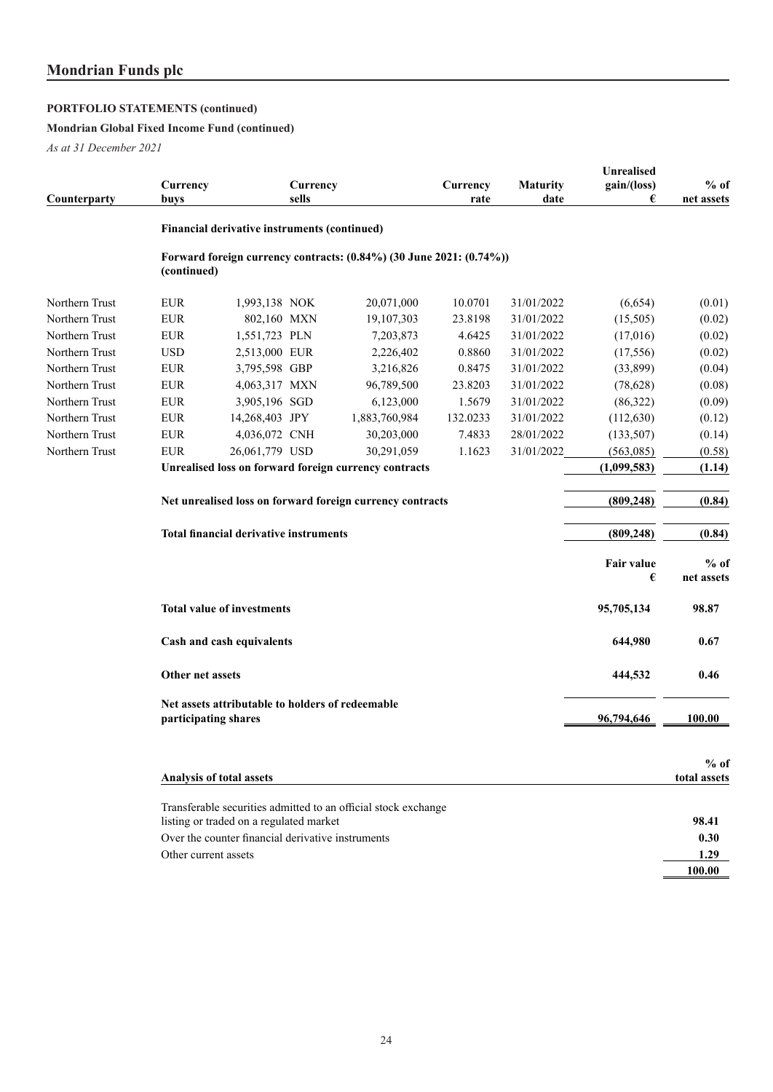# **PORTFOLIO STATEMENTS (continued)**

# **Mondrian Global Fixed Income Fund (continued)**

| Counterparty                                                             | Currency<br>buys                                               |                                                           | Currency<br>sells |                                                                     | Currency<br>rate | <b>Maturity</b><br>date | <b>Unrealised</b><br>gain/(loss)<br>€ | $%$ of<br>net assets   |  |
|--------------------------------------------------------------------------|----------------------------------------------------------------|-----------------------------------------------------------|-------------------|---------------------------------------------------------------------|------------------|-------------------------|---------------------------------------|------------------------|--|
|                                                                          |                                                                | Financial derivative instruments (continued)              |                   |                                                                     |                  |                         |                                       |                        |  |
|                                                                          | (continued)                                                    |                                                           |                   | Forward foreign currency contracts: (0.84%) (30 June 2021: (0.74%)) |                  |                         |                                       |                        |  |
| Northern Trust                                                           | <b>EUR</b>                                                     | 1,993,138 NOK                                             |                   | 20,071,000                                                          | 10.0701          | 31/01/2022              | (6,654)                               | (0.01)                 |  |
| Northern Trust                                                           | <b>EUR</b>                                                     | 802,160 MXN                                               |                   | 19,107,303                                                          | 23.8198          | 31/01/2022              | (15,505)                              | (0.02)                 |  |
| Northern Trust                                                           | <b>EUR</b>                                                     | 1,551,723 PLN                                             |                   | 7,203,873                                                           | 4.6425           | 31/01/2022              | (17,016)                              | (0.02)                 |  |
| Northern Trust                                                           | <b>USD</b>                                                     | 2,513,000 EUR                                             |                   | 2,226,402                                                           | 0.8860           | 31/01/2022              | (17, 556)                             | (0.02)                 |  |
| Northern Trust                                                           | <b>EUR</b>                                                     | 3,795,598 GBP                                             |                   | 3,216,826                                                           | 0.8475           | 31/01/2022              | (33,899)                              | (0.04)                 |  |
| Northern Trust                                                           | <b>EUR</b>                                                     | 4,063,317 MXN                                             |                   | 96,789,500                                                          | 23.8203          | 31/01/2022              | (78, 628)                             | (0.08)                 |  |
| Northern Trust                                                           | <b>EUR</b>                                                     | 3,905,196 SGD                                             |                   | 6,123,000                                                           | 1.5679           | 31/01/2022              | (86,322)                              | (0.09)                 |  |
| Northern Trust                                                           | <b>EUR</b>                                                     | 14,268,403 JPY                                            |                   | 1,883,760,984                                                       | 132.0233         | 31/01/2022              | (112, 630)                            | (0.12)                 |  |
| Northern Trust                                                           | <b>EUR</b>                                                     | 4,036,072 CNH                                             |                   | 30,203,000                                                          | 7.4833           | 28/01/2022              | (133,507)                             | (0.14)                 |  |
| Northern Trust                                                           | <b>EUR</b>                                                     | 26,061,779 USD                                            |                   | 30,291,059                                                          | 1.1623           | 31/01/2022              | (563,085)                             | (0.58)                 |  |
|                                                                          |                                                                |                                                           |                   | Unrealised loss on forward foreign currency contracts               |                  |                         | (1,099,583)                           | (1.14)                 |  |
|                                                                          |                                                                | Net unrealised loss on forward foreign currency contracts |                   |                                                                     |                  |                         |                                       |                        |  |
|                                                                          | <b>Total financial derivative instruments</b>                  | (809, 248)                                                | (0.84)            |                                                                     |                  |                         |                                       |                        |  |
|                                                                          |                                                                |                                                           |                   |                                                                     |                  |                         | Fair value<br>€                       | $%$ of<br>net assets   |  |
|                                                                          |                                                                | <b>Total value of investments</b>                         |                   |                                                                     |                  |                         | 95,705,134                            | 98.87                  |  |
|                                                                          |                                                                | Cash and cash equivalents                                 |                   |                                                                     |                  |                         | 644,980                               | 0.67                   |  |
|                                                                          | Other net assets                                               |                                                           |                   |                                                                     |                  |                         | 444,532                               | 0.46                   |  |
| Net assets attributable to holders of redeemable<br>participating shares |                                                                |                                                           |                   |                                                                     |                  | 96,794,646              | 100.00                                |                        |  |
|                                                                          |                                                                | <b>Analysis of total assets</b>                           |                   |                                                                     |                  |                         |                                       | $%$ of<br>total assets |  |
|                                                                          | Transferable securities admitted to an official stock exchange |                                                           |                   |                                                                     |                  |                         |                                       |                        |  |
|                                                                          |                                                                | listing or traded on a regulated market                   |                   |                                                                     |                  |                         |                                       | 98.41                  |  |
|                                                                          |                                                                | Over the counter financial derivative instruments         |                   |                                                                     |                  |                         |                                       | 0.30                   |  |
|                                                                          |                                                                | Other current assets                                      |                   |                                                                     |                  |                         |                                       | 1.29                   |  |
|                                                                          |                                                                |                                                           |                   |                                                                     |                  |                         |                                       | 100.00                 |  |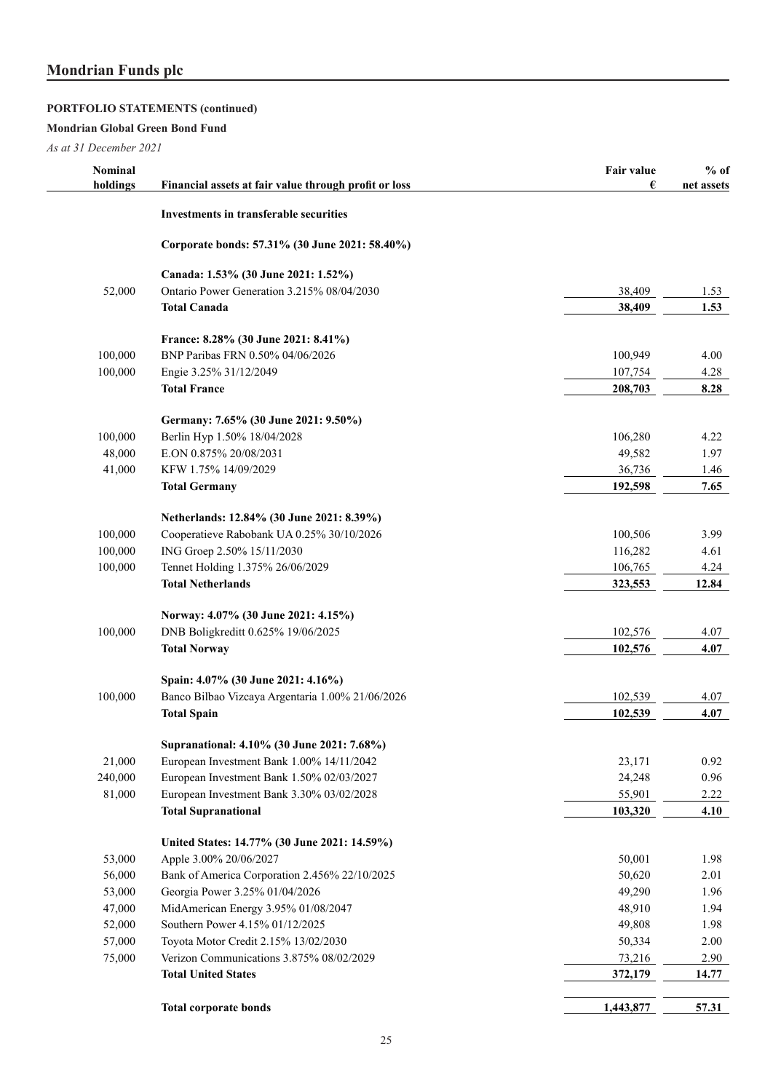# **PORTFOLIO STATEMENTS (continued)**

**Mondrian Global Green Bond Fund**

| <b>Nominal</b><br>holdings | Financial assets at fair value through profit or loss                            | <b>Fair value</b><br>€ | $%$ of<br>net assets |
|----------------------------|----------------------------------------------------------------------------------|------------------------|----------------------|
|                            | Investments in transferable securities                                           |                        |                      |
|                            | Corporate bonds: 57.31% (30 June 2021: 58.40%)                                   |                        |                      |
|                            | Canada: 1.53% (30 June 2021: 1.52%)                                              |                        |                      |
| 52,000                     | Ontario Power Generation 3.215% 08/04/2030                                       | 38,409                 | 1.53                 |
|                            | <b>Total Canada</b>                                                              | 38,409                 | 1.53                 |
|                            | France: 8.28% (30 June 2021: 8.41%)                                              |                        |                      |
| 100,000                    | BNP Paribas FRN 0.50% 04/06/2026                                                 | 100,949                | 4.00                 |
| 100,000                    | Engie 3.25% 31/12/2049                                                           | 107,754                | 4.28                 |
|                            | <b>Total France</b>                                                              | 208,703                | 8.28                 |
|                            | Germany: 7.65% (30 June 2021: 9.50%)                                             |                        |                      |
| 100,000                    | Berlin Hyp 1.50% 18/04/2028                                                      | 106,280                | 4.22                 |
| 48,000                     | E.ON 0.875% 20/08/2031                                                           | 49,582                 | 1.97                 |
| 41,000                     | KFW 1.75% 14/09/2029                                                             | 36,736                 | 1.46                 |
|                            | <b>Total Germany</b>                                                             | 192,598                | 7.65                 |
|                            |                                                                                  |                        |                      |
|                            | Netherlands: 12.84% (30 June 2021: 8.39%)                                        |                        |                      |
| 100,000                    | Cooperatieve Rabobank UA 0.25% 30/10/2026                                        | 100,506                | 3.99                 |
| 100,000                    | ING Groep 2.50% 15/11/2030                                                       | 116,282                | 4.61                 |
| 100,000                    | Tennet Holding 1.375% 26/06/2029                                                 | 106,765                | 4.24                 |
|                            | <b>Total Netherlands</b>                                                         | 323,553                | 12.84                |
|                            | Norway: 4.07% (30 June 2021: 4.15%)                                              |                        |                      |
| 100,000                    | DNB Boligkreditt 0.625% 19/06/2025                                               | 102,576                | 4.07                 |
|                            | <b>Total Norway</b>                                                              | 102,576                | 4.07                 |
|                            | Spain: 4.07% (30 June 2021: 4.16%)                                               |                        |                      |
| 100,000                    | Banco Bilbao Vizcaya Argentaria 1.00% 21/06/2026                                 | 102,539                | 4.07                 |
|                            | <b>Total Spain</b>                                                               | 102,539                | 4.07                 |
|                            | Supranational: 4.10% (30 June 2021: 7.68%)                                       |                        |                      |
| 21,000                     | European Investment Bank 1.00% 14/11/2042                                        | 23,171                 | 0.92                 |
| 240,000                    | European Investment Bank 1.50% 02/03/2027                                        | 24,248                 | 0.96                 |
| 81,000                     | European Investment Bank 3.30% 03/02/2028                                        | 55,901                 | 2.22                 |
|                            | <b>Total Supranational</b>                                                       | 103,320                | 4.10                 |
|                            | United States: 14.77% (30 June 2021: 14.59%)                                     |                        |                      |
| 53,000                     | Apple 3.00% 20/06/2027                                                           | 50,001                 | 1.98                 |
| 56,000                     | Bank of America Corporation 2.456% 22/10/2025                                    | 50,620                 | 2.01                 |
| 53,000                     | Georgia Power 3.25% 01/04/2026                                                   | 49,290                 | 1.96                 |
|                            |                                                                                  | 48,910                 |                      |
| 47,000<br>52,000           | MidAmerican Energy 3.95% 01/08/2047<br>Southern Power 4.15% 01/12/2025           | 49,808                 | 1.94<br>1.98         |
|                            |                                                                                  |                        |                      |
| 57,000<br>75,000           | Toyota Motor Credit 2.15% 13/02/2030<br>Verizon Communications 3.875% 08/02/2029 | 50,334                 | 2.00                 |
|                            | <b>Total United States</b>                                                       | 73,216<br>372,179      | 2.90<br>14.77        |
|                            |                                                                                  |                        |                      |
|                            | <b>Total corporate bonds</b>                                                     | 1,443,877              | 57.31                |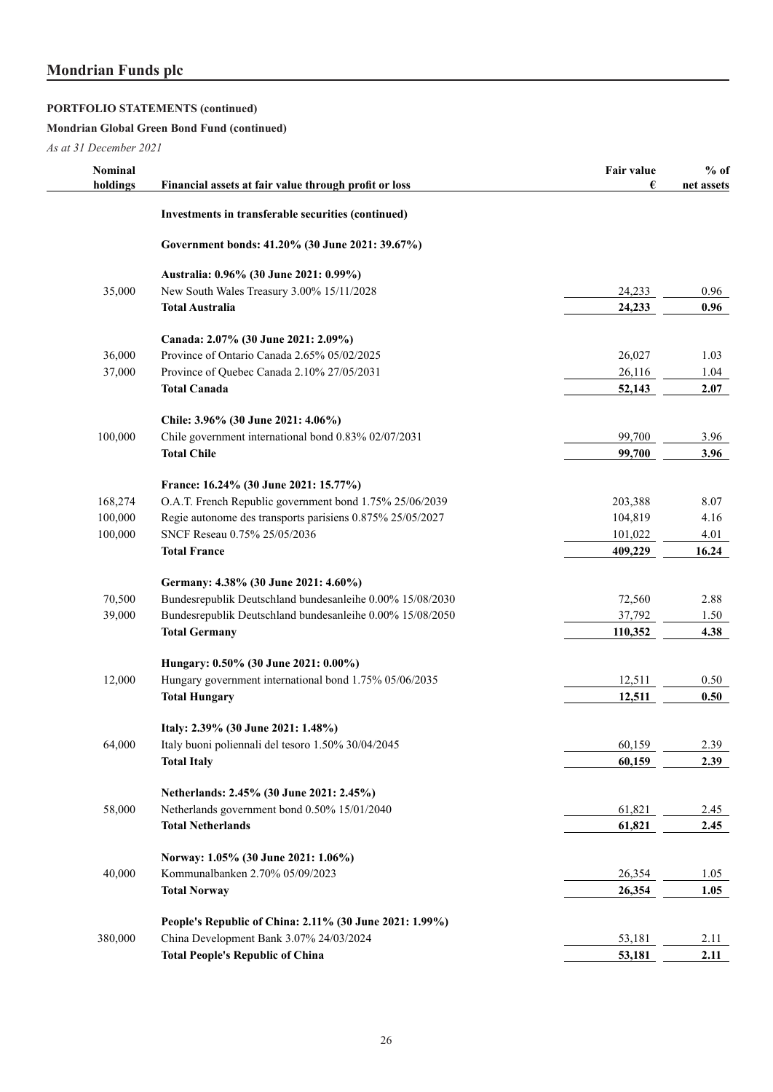# **PORTFOLIO STATEMENTS (continued)**

# **Mondrian Global Green Bond Fund (continued)**

| Nominal<br>holdings | Financial assets at fair value through profit or loss                                    | Fair value<br>€ | $%$ of<br>net assets |
|---------------------|------------------------------------------------------------------------------------------|-----------------|----------------------|
|                     | Investments in transferable securities (continued)                                       |                 |                      |
|                     | Government bonds: 41.20% (30 June 2021: 39.67%)                                          |                 |                      |
|                     |                                                                                          |                 |                      |
|                     | Australia: 0.96% (30 June 2021: 0.99%)                                                   |                 |                      |
| 35,000              | New South Wales Treasury 3.00% 15/11/2028                                                | 24,233          | 0.96                 |
|                     | <b>Total Australia</b>                                                                   | 24,233          | 0.96                 |
|                     | Canada: 2.07% (30 June 2021: 2.09%)                                                      |                 |                      |
| 36,000              | Province of Ontario Canada 2.65% 05/02/2025                                              | 26,027          | 1.03                 |
| 37,000              | Province of Quebec Canada 2.10% 27/05/2031                                               | 26,116          | 1.04                 |
|                     | <b>Total Canada</b>                                                                      | 52,143          | 2.07                 |
|                     | Chile: 3.96% (30 June 2021: 4.06%)                                                       |                 |                      |
| 100,000             | Chile government international bond 0.83% 02/07/2031                                     | 99,700          | 3.96                 |
|                     | <b>Total Chile</b>                                                                       | 99,700          | 3.96                 |
|                     | France: 16.24% (30 June 2021: 15.77%)                                                    |                 |                      |
| 168,274             | O.A.T. French Republic government bond 1.75% 25/06/2039                                  | 203,388         | 8.07                 |
| 100,000             | Regie autonome des transports parisiens 0.875% 25/05/2027                                | 104,819         | 4.16                 |
| 100,000             | SNCF Reseau 0.75% 25/05/2036                                                             | 101,022         | 4.01                 |
|                     | <b>Total France</b>                                                                      | 409,229         | 16.24                |
|                     | Germany: 4.38% (30 June 2021: 4.60%)                                                     |                 |                      |
| 70,500              | Bundesrepublik Deutschland bundesanleihe 0.00% 15/08/2030                                | 72,560          | 2.88                 |
| 39,000              | Bundesrepublik Deutschland bundesanleihe 0.00% 15/08/2050                                | 37,792          | 1.50                 |
|                     | <b>Total Germany</b>                                                                     | 110,352         | 4.38                 |
|                     | Hungary: 0.50% (30 June 2021: 0.00%)                                                     |                 |                      |
| 12,000              | Hungary government international bond 1.75% 05/06/2035                                   | 12,511          | 0.50                 |
|                     | <b>Total Hungary</b>                                                                     | 12,511          | 0.50                 |
|                     |                                                                                          |                 |                      |
| 64,000              | Italy: 2.39% (30 June 2021: 1.48%)<br>Italy buoni poliennali del tesoro 1.50% 30/04/2045 | 60,159          | 2.39                 |
|                     | <b>Total Italy</b>                                                                       | 60,159          | 2.39                 |
|                     |                                                                                          |                 |                      |
|                     | Netherlands: 2.45% (30 June 2021: 2.45%)                                                 |                 |                      |
| 58,000              | Netherlands government bond 0.50% 15/01/2040                                             | 61,821          | 2.45                 |
|                     | <b>Total Netherlands</b>                                                                 | 61,821          | 2.45                 |
|                     | Norway: 1.05% (30 June 2021: 1.06%)                                                      |                 |                      |
| 40,000              | Kommunalbanken 2.70% 05/09/2023                                                          | 26,354          | 1.05                 |
|                     | <b>Total Norway</b>                                                                      | 26,354          | 1.05                 |
|                     | People's Republic of China: 2.11% (30 June 2021: 1.99%)                                  |                 |                      |
| 380,000             | China Development Bank 3.07% 24/03/2024                                                  | 53,181          | 2.11                 |
|                     | <b>Total People's Republic of China</b>                                                  | 53,181          | 2.11                 |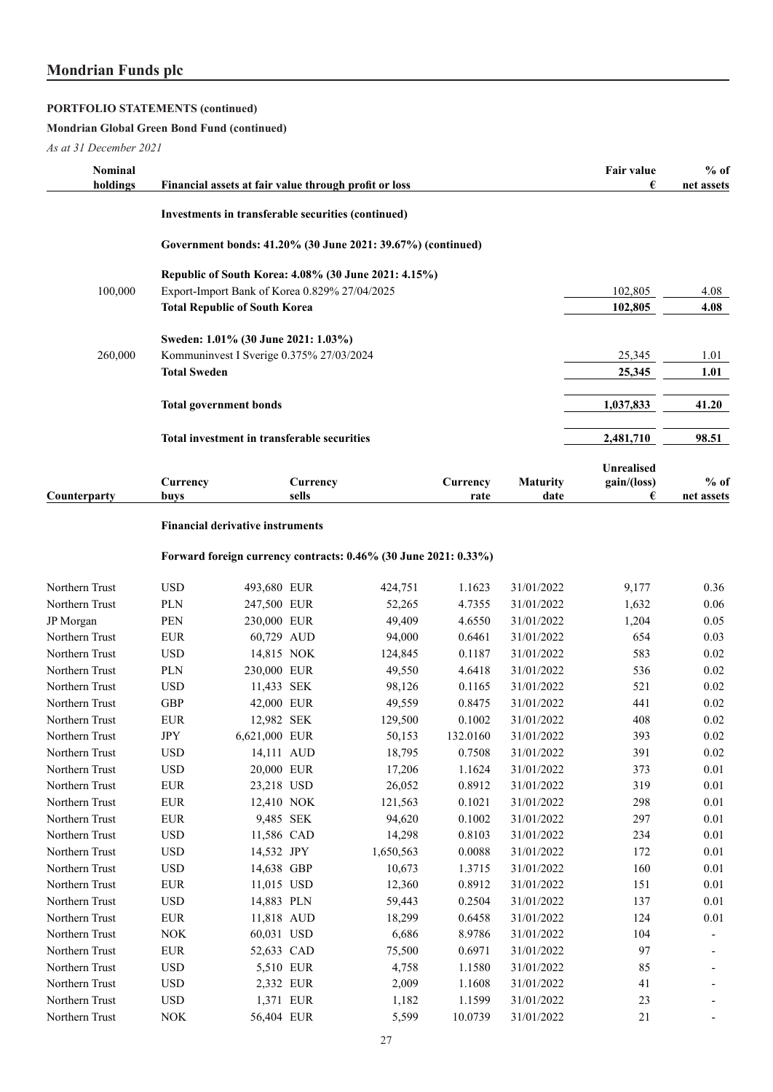# **PORTFOLIO STATEMENTS (continued)**

# **Mondrian Global Green Bond Fund (continued)**

*As at 31 December 2021*

| Nominal      |                                               |                                                             |          |                 | Fair value                       | $%$ of     |
|--------------|-----------------------------------------------|-------------------------------------------------------------|----------|-----------------|----------------------------------|------------|
| holdings     |                                               | Financial assets at fair value through profit or loss       |          |                 | €                                | net assets |
|              |                                               | Investments in transferable securities (continued)          |          |                 |                                  |            |
|              |                                               | Government bonds: 41.20% (30 June 2021: 39.67%) (continued) |          |                 |                                  |            |
|              |                                               | Republic of South Korea: 4.08% (30 June 2021: 4.15%)        |          |                 |                                  |            |
| 100,000      | Export-Import Bank of Korea 0.829% 27/04/2025 | 102,805                                                     | 4.08     |                 |                                  |            |
|              | <b>Total Republic of South Korea</b>          |                                                             |          |                 | 102,805                          | 4.08       |
|              |                                               | Sweden: 1.01% (30 June 2021: 1.03%)                         |          |                 |                                  |            |
| 260,000      | Kommuninvest I Sverige 0.375% 27/03/2024      | 25,345                                                      | 1.01     |                 |                                  |            |
|              | <b>Total Sweden</b>                           | 25,345                                                      | 1.01     |                 |                                  |            |
|              | <b>Total government bonds</b>                 | 1,037,833                                                   | 41.20    |                 |                                  |            |
|              | Total investment in transferable securities   |                                                             |          |                 |                                  |            |
|              | Currency                                      | Currency                                                    | Currency | <b>Maturity</b> | <b>Unrealised</b><br>gain/(loss) | $%$ of     |
| Counterparty | buys                                          | sells                                                       | rate     | date            | €                                | net assets |

# **Financial derivative instruments**

# **Forward foreign currency contracts: 0.46% (30 June 2021: 0.33%)**

| Northern Trust | <b>USD</b> | 493,680 EUR   | 424,751   | 1.1623   | 31/01/2022 | 9,177 | 0.36 |
|----------------|------------|---------------|-----------|----------|------------|-------|------|
| Northern Trust | <b>PLN</b> | 247,500 EUR   | 52,265    | 4.7355   | 31/01/2022 | 1,632 | 0.06 |
| JP Morgan      | <b>PEN</b> | 230,000 EUR   | 49,409    | 4.6550   | 31/01/2022 | 1,204 | 0.05 |
| Northern Trust | <b>EUR</b> | 60,729 AUD    | 94,000    | 0.6461   | 31/01/2022 | 654   | 0.03 |
| Northern Trust | <b>USD</b> | 14,815 NOK    | 124,845   | 0.1187   | 31/01/2022 | 583   | 0.02 |
| Northern Trust | <b>PLN</b> | 230,000 EUR   | 49,550    | 4.6418   | 31/01/2022 | 536   | 0.02 |
| Northern Trust | <b>USD</b> | 11,433 SEK    | 98,126    | 0.1165   | 31/01/2022 | 521   | 0.02 |
| Northern Trust | <b>GBP</b> | 42,000 EUR    | 49,559    | 0.8475   | 31/01/2022 | 441   | 0.02 |
| Northern Trust | <b>EUR</b> | 12,982 SEK    | 129,500   | 0.1002   | 31/01/2022 | 408   | 0.02 |
| Northern Trust | <b>JPY</b> | 6.621.000 EUR | 50,153    | 132.0160 | 31/01/2022 | 393   | 0.02 |
| Northern Trust | <b>USD</b> | 14,111 AUD    | 18,795    | 0.7508   | 31/01/2022 | 391   | 0.02 |
| Northern Trust | <b>USD</b> | 20,000 EUR    | 17,206    | 1.1624   | 31/01/2022 | 373   | 0.01 |
| Northern Trust | <b>EUR</b> | 23,218 USD    | 26,052    | 0.8912   | 31/01/2022 | 319   | 0.01 |
| Northern Trust | <b>EUR</b> | 12.410 NOK    | 121,563   | 0.1021   | 31/01/2022 | 298   | 0.01 |
| Northern Trust | <b>EUR</b> | 9,485 SEK     | 94,620    | 0.1002   | 31/01/2022 | 297   | 0.01 |
| Northern Trust | <b>USD</b> | 11,586 CAD    | 14,298    | 0.8103   | 31/01/2022 | 234   | 0.01 |
| Northern Trust | <b>USD</b> | 14,532 JPY    | 1,650,563 | 0.0088   | 31/01/2022 | 172   | 0.01 |
| Northern Trust | <b>USD</b> | 14,638 GBP    | 10,673    | 1.3715   | 31/01/2022 | 160   | 0.01 |
| Northern Trust | <b>EUR</b> | 11,015 USD    | 12,360    | 0.8912   | 31/01/2022 | 151   | 0.01 |
| Northern Trust | <b>USD</b> | 14,883 PLN    | 59,443    | 0.2504   | 31/01/2022 | 137   | 0.01 |
| Northern Trust | <b>EUR</b> | 11,818 AUD    | 18,299    | 0.6458   | 31/01/2022 | 124   | 0.01 |
| Northern Trust | NOK        | 60,031 USD    | 6,686     | 8.9786   | 31/01/2022 | 104   |      |
| Northern Trust | <b>EUR</b> | 52,633 CAD    | 75,500    | 0.6971   | 31/01/2022 | 97    |      |
| Northern Trust | <b>USD</b> | 5,510 EUR     | 4,758     | 1.1580   | 31/01/2022 | 85    |      |
| Northern Trust | <b>USD</b> | 2,332 EUR     | 2,009     | 1.1608   | 31/01/2022 | 41    |      |
| Northern Trust | <b>USD</b> | 1,371 EUR     | 1,182     | 1.1599   | 31/01/2022 | 23    |      |
| Northern Trust | <b>NOK</b> | 56,404 EUR    | 5,599     | 10.0739  | 31/01/2022 | 21    |      |
|                |            |               |           |          |            |       |      |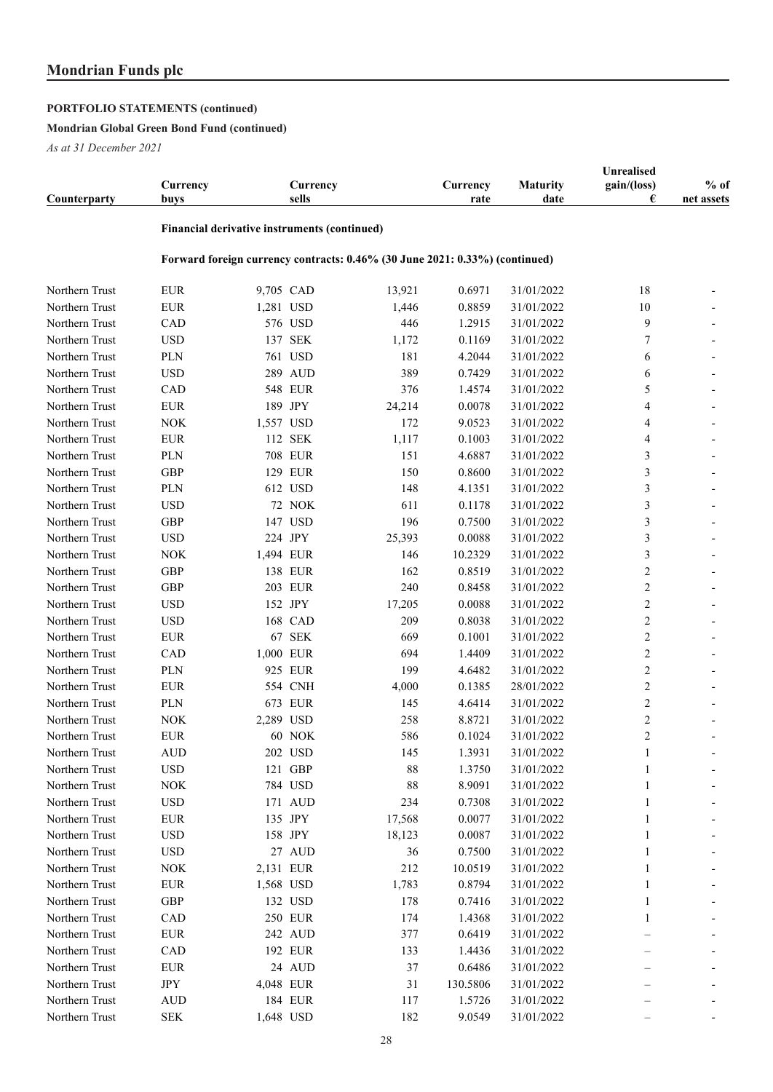# **PORTFOLIO STATEMENTS (continued)**

# **Mondrian Global Green Bond Fund (continued)**

| Counterparty   | Currency<br>buys |           | Currency<br>sells                                                           |        | Currency<br>rate | <b>Maturity</b><br>date | Unrealised<br>gain/(loss)<br>€ | $%$ of<br>net assets |
|----------------|------------------|-----------|-----------------------------------------------------------------------------|--------|------------------|-------------------------|--------------------------------|----------------------|
|                |                  |           | <b>Financial derivative instruments (continued)</b>                         |        |                  |                         |                                |                      |
|                |                  |           | Forward foreign currency contracts: 0.46% (30 June 2021: 0.33%) (continued) |        |                  |                         |                                |                      |
| Northern Trust | <b>EUR</b>       |           | 9,705 CAD                                                                   | 13,921 | 0.6971           | 31/01/2022              | 18                             |                      |
| Northern Trust | <b>EUR</b>       | 1,281 USD |                                                                             | 1,446  | 0.8859           | 31/01/2022              | 10                             |                      |
| Northern Trust | CAD              |           | 576 USD                                                                     | 446    | 1.2915           | 31/01/2022              | 9                              |                      |
| Northern Trust | <b>USD</b>       |           | 137 SEK                                                                     | 1,172  | 0.1169           | 31/01/2022              | 7                              |                      |
| Northern Trust | <b>PLN</b>       |           | 761 USD                                                                     | 181    | 4.2044           | 31/01/2022              | 6                              |                      |
| Northern Trust | <b>USD</b>       |           | 289 AUD                                                                     | 389    | 0.7429           | 31/01/2022              | 6                              |                      |
| Northern Trust | CAD              |           | <b>548 EUR</b>                                                              | 376    | 1.4574           | 31/01/2022              | 5                              |                      |
| Northern Trust | <b>EUR</b>       |           | 189 JPY                                                                     | 24,214 | 0.0078           | 31/01/2022              | 4                              |                      |
| Northern Trust | <b>NOK</b>       | 1,557 USD |                                                                             | 172    | 9.0523           | 31/01/2022              | 4                              |                      |
| Northern Trust | <b>EUR</b>       |           | 112 SEK                                                                     | 1,117  | 0.1003           | 31/01/2022              | 4                              |                      |
| Northern Trust | <b>PLN</b>       |           | <b>708 EUR</b>                                                              | 151    | 4.6887           | 31/01/2022              | 3                              |                      |
| Northern Trust | <b>GBP</b>       |           | 129 EUR                                                                     | 150    | 0.8600           | 31/01/2022              | 3                              |                      |
| Northern Trust | PLN              |           | 612 USD                                                                     | 148    | 4.1351           | 31/01/2022              | 3                              |                      |
| Northern Trust | <b>USD</b>       |           | 72 NOK                                                                      | 611    | 0.1178           | 31/01/2022              | 3                              |                      |
| Northern Trust | <b>GBP</b>       |           | 147 USD                                                                     | 196    | 0.7500           | 31/01/2022              | 3                              |                      |
| Northern Trust | <b>USD</b>       |           | 224 JPY                                                                     | 25,393 | 0.0088           | 31/01/2022              | 3                              |                      |
| Northern Trust | <b>NOK</b>       | 1,494 EUR |                                                                             | 146    | 10.2329          | 31/01/2022              | 3                              |                      |
| Northern Trust | <b>GBP</b>       |           | 138 EUR                                                                     | 162    | 0.8519           | 31/01/2022              | $\overline{2}$                 |                      |
| Northern Trust | <b>GBP</b>       |           | 203 EUR                                                                     | 240    | 0.8458           | 31/01/2022              | $\overline{c}$                 |                      |
| Northern Trust | <b>USD</b>       |           | 152 JPY                                                                     | 17,205 | 0.0088           | 31/01/2022              | $\overline{c}$                 |                      |
| Northern Trust | <b>USD</b>       |           | 168 CAD                                                                     | 209    | 0.8038           | 31/01/2022              | $\overline{c}$                 |                      |
| Northern Trust | <b>EUR</b>       |           | 67 SEK                                                                      | 669    | 0.1001           | 31/01/2022              | $\overline{c}$                 |                      |
| Northern Trust | CAD              | 1,000 EUR |                                                                             | 694    | 1.4409           | 31/01/2022              | $\overline{c}$                 |                      |
| Northern Trust | <b>PLN</b>       |           | 925 EUR                                                                     | 199    | 4.6482           | 31/01/2022              | $\overline{c}$                 |                      |
| Northern Trust | <b>EUR</b>       |           | 554 CNH                                                                     |        | 0.1385           | 28/01/2022              | $\overline{2}$                 |                      |
|                |                  |           |                                                                             | 4,000  |                  |                         |                                |                      |
| Northern Trust | <b>PLN</b>       |           | 673 EUR                                                                     | 145    | 4.6414           | 31/01/2022              | $\overline{c}$                 |                      |
| Northern Trust | <b>NOK</b>       | 2,289 USD |                                                                             | 258    | 8.8721           | 31/01/2022              | $\overline{c}$                 |                      |
| Northern Trust | <b>EUR</b>       |           | 60 NOK                                                                      | 586    | 0.1024           | 31/01/2022              | $\overline{2}$                 |                      |
| Northern Trust | <b>AUD</b>       |           | 202 USD                                                                     | 145    | 1.3931           | 31/01/2022              | $\mathbf{1}$                   |                      |
| Northern Trust | $_{\rm USD}$     |           | 121 GBP                                                                     | $88\,$ | 1.3750           | 31/01/2022              | 1                              |                      |
| Northern Trust | $\rm NOK$        |           | 784 USD                                                                     | 88     | 8.9091           | 31/01/2022              | 1                              |                      |
| Northern Trust | <b>USD</b>       |           | 171 AUD                                                                     | 234    | 0.7308           | 31/01/2022              | 1                              |                      |
| Northern Trust | <b>EUR</b>       |           | 135 JPY                                                                     | 17,568 | 0.0077           | 31/01/2022              | 1                              |                      |
| Northern Trust | <b>USD</b>       |           | 158 JPY                                                                     | 18,123 | 0.0087           | 31/01/2022              | 1                              |                      |
| Northern Trust | <b>USD</b>       |           | 27 AUD                                                                      | 36     | 0.7500           | 31/01/2022              | 1                              |                      |
| Northern Trust | $\rm NOK$        |           | 2,131 EUR                                                                   | 212    | 10.0519          | 31/01/2022              | 1                              |                      |
| Northern Trust | <b>EUR</b>       | 1,568 USD |                                                                             | 1,783  | 0.8794           | 31/01/2022              | 1                              |                      |
| Northern Trust | GBP              |           | 132 USD                                                                     | 178    | 0.7416           | 31/01/2022              | 1                              |                      |
| Northern Trust | CAD              |           | 250 EUR                                                                     | 174    | 1.4368           | 31/01/2022              | $\mathbf{1}$                   |                      |
| Northern Trust | <b>EUR</b>       |           | 242 AUD                                                                     | 377    | 0.6419           | 31/01/2022              |                                |                      |
| Northern Trust | CAD              |           | 192 EUR                                                                     | 133    | 1.4436           | 31/01/2022              |                                |                      |
| Northern Trust | <b>EUR</b>       |           | 24 AUD                                                                      | 37     | 0.6486           | 31/01/2022              |                                |                      |
| Northern Trust | JPY              |           | 4,048 EUR                                                                   | 31     | 130.5806         | 31/01/2022              |                                |                      |
| Northern Trust | <b>AUD</b>       |           | 184 EUR                                                                     | 117    | 1.5726           | 31/01/2022              |                                |                      |
| Northern Trust | ${\rm SEK}$      |           | 1,648 USD                                                                   | 182    | 9.0549           | 31/01/2022              |                                |                      |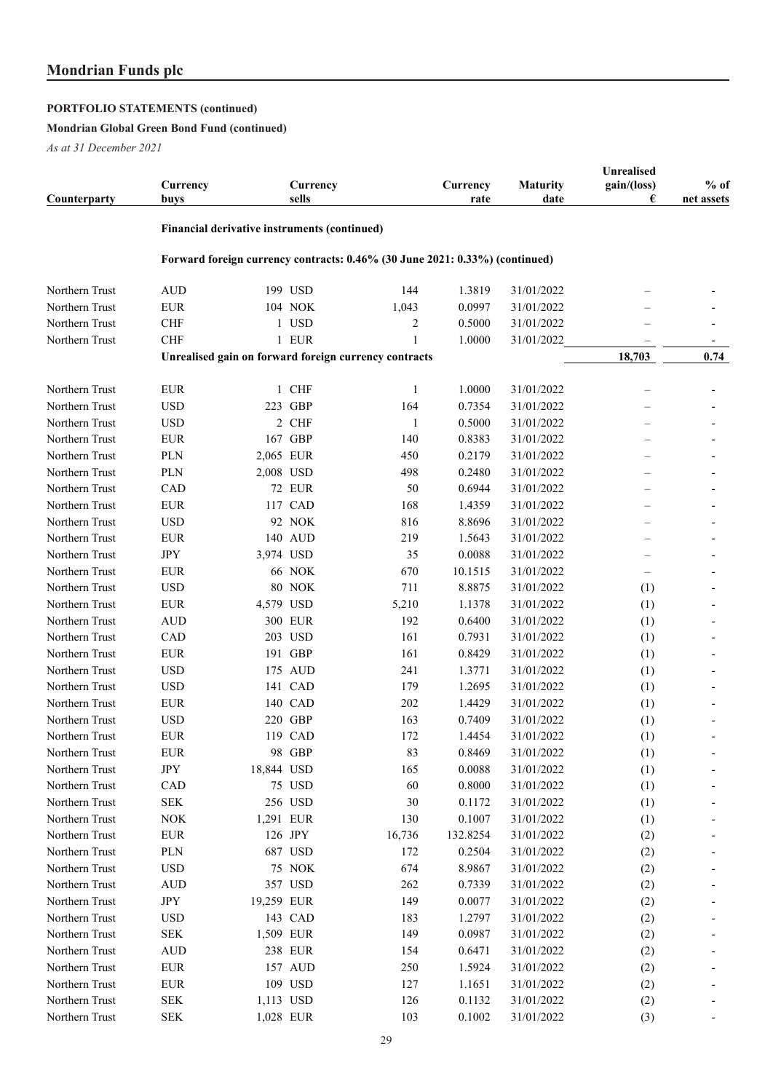# **PORTFOLIO STATEMENTS (continued)**

# **Mondrian Global Green Bond Fund (continued)**

| Counterparty   | Currency<br>buys                                      |            | Currency<br>sells                                                           |        | Currency<br>rate | <b>Maturity</b><br>date | Unrealised<br>gain/(loss)<br>€ | $%$ of<br>net assets |
|----------------|-------------------------------------------------------|------------|-----------------------------------------------------------------------------|--------|------------------|-------------------------|--------------------------------|----------------------|
|                |                                                       |            | Financial derivative instruments (continued)                                |        |                  |                         |                                |                      |
|                |                                                       |            | Forward foreign currency contracts: 0.46% (30 June 2021: 0.33%) (continued) |        |                  |                         |                                |                      |
| Northern Trust | <b>AUD</b>                                            |            | 199 USD                                                                     | 144    | 1.3819           | 31/01/2022              |                                |                      |
| Northern Trust | <b>EUR</b>                                            |            | 104 NOK                                                                     | 1,043  | 0.0997           | 31/01/2022              |                                |                      |
| Northern Trust | <b>CHF</b>                                            |            | 1 USD                                                                       | 2      | 0.5000           | 31/01/2022              |                                |                      |
| Northern Trust | <b>CHF</b>                                            |            | 1 EUR                                                                       | 1      | 1.0000           | 31/01/2022              | $\overline{\phantom{a}}$       |                      |
|                | Unrealised gain on forward foreign currency contracts | 18,703     | 0.74                                                                        |        |                  |                         |                                |                      |
| Northern Trust | <b>EUR</b>                                            |            | 1 CHF                                                                       | 1      | 1.0000           | 31/01/2022              |                                |                      |
| Northern Trust | <b>USD</b>                                            |            | 223 GBP                                                                     | 164    | 0.7354           | 31/01/2022              |                                |                      |
| Northern Trust | <b>USD</b>                                            |            | 2 CHF                                                                       | 1      | 0.5000           | 31/01/2022              |                                |                      |
| Northern Trust | <b>EUR</b>                                            |            | 167 GBP                                                                     | 140    | 0.8383           | 31/01/2022              | $\overline{\phantom{0}}$       |                      |
| Northern Trust | <b>PLN</b>                                            | 2,065 EUR  |                                                                             | 450    | 0.2179           | 31/01/2022              |                                |                      |
| Northern Trust | <b>PLN</b>                                            | 2,008 USD  |                                                                             | 498    | 0.2480           | 31/01/2022              | $\overline{\phantom{0}}$       |                      |
| Northern Trust | CAD                                                   |            | <b>72 EUR</b>                                                               | 50     | 0.6944           | 31/01/2022              |                                |                      |
| Northern Trust | <b>EUR</b>                                            |            | 117 CAD                                                                     | 168    | 1.4359           | 31/01/2022              | $\overline{\phantom{0}}$       |                      |
| Northern Trust | <b>USD</b>                                            |            | 92 NOK                                                                      | 816    | 8.8696           | 31/01/2022              |                                |                      |
| Northern Trust | <b>EUR</b>                                            |            | 140 AUD                                                                     | 219    | 1.5643           | 31/01/2022              | $\overline{\phantom{0}}$       |                      |
| Northern Trust | <b>JPY</b>                                            | 3,974 USD  |                                                                             | 35     | 0.0088           | 31/01/2022              |                                |                      |
| Northern Trust | <b>EUR</b>                                            |            | <b>66 NOK</b>                                                               | 670    | 10.1515          | 31/01/2022              | $\equiv$                       |                      |
| Northern Trust | <b>USD</b>                                            |            | <b>80 NOK</b>                                                               | 711    | 8.8875           | 31/01/2022              | (1)                            |                      |
| Northern Trust | <b>EUR</b>                                            | 4,579 USD  |                                                                             | 5,210  | 1.1378           | 31/01/2022              | (1)                            |                      |
| Northern Trust | <b>AUD</b>                                            |            | 300 EUR                                                                     | 192    | 0.6400           | 31/01/2022              | (1)                            |                      |
| Northern Trust | CAD                                                   |            | 203 USD                                                                     | 161    | 0.7931           | 31/01/2022              | (1)                            |                      |
| Northern Trust | <b>EUR</b>                                            |            | 191 GBP                                                                     | 161    | 0.8429           | 31/01/2022              | (1)                            |                      |
| Northern Trust | <b>USD</b>                                            |            | 175 AUD                                                                     | 241    | 1.3771           | 31/01/2022              | (1)                            |                      |
| Northern Trust | <b>USD</b>                                            |            | 141 CAD                                                                     | 179    | 1.2695           | 31/01/2022              | (1)                            |                      |
| Northern Trust | <b>EUR</b>                                            |            | 140 CAD                                                                     | 202    | 1.4429           | 31/01/2022              | (1)                            |                      |
| Northern Trust | <b>USD</b>                                            |            | 220 GBP                                                                     | 163    | 0.7409           | 31/01/2022              | (1)                            |                      |
| Northern Trust | <b>EUR</b>                                            |            | 119 CAD                                                                     | 172    | 1.4454           | 31/01/2022              | (1)                            |                      |
| Northern Trust | <b>EUR</b>                                            |            | 98 GBP                                                                      | 83     | 0.8469           | 31/01/2022              | (1)                            |                      |
| Northern Trust | $\mathrm{JPY}$                                        | 18,844 USD |                                                                             | 165    | 0.0088           | 31/01/2022              | (1)                            |                      |
| Northern Trust | CAD                                                   |            | 75 USD                                                                      | 60     | 0.8000           | 31/01/2022              | (1)                            |                      |
| Northern Trust | <b>SEK</b>                                            |            | 256 USD                                                                     | 30     | 0.1172           | 31/01/2022              | (1)                            |                      |
| Northern Trust | ${\rm NOK}$                                           |            | 1,291 EUR                                                                   | 130    | 0.1007           | 31/01/2022              | (1)                            |                      |
| Northern Trust | <b>EUR</b>                                            |            | 126 JPY                                                                     | 16,736 | 132.8254         | 31/01/2022              | (2)                            |                      |
| Northern Trust | PLN                                                   |            | 687 USD                                                                     | 172    | 0.2504           | 31/01/2022              | (2)                            |                      |
| Northern Trust | <b>USD</b>                                            |            | 75 NOK                                                                      | 674    | 8.9867           | 31/01/2022              | (2)                            |                      |
| Northern Trust | $\hbox{AUD}$                                          |            | 357 USD                                                                     | 262    | 0.7339           | 31/01/2022              | (2)                            |                      |
| Northern Trust | $\rm JPY$                                             | 19,259 EUR |                                                                             | 149    | 0.0077           | 31/01/2022              | (2)                            |                      |
| Northern Trust | <b>USD</b>                                            |            | 143 CAD                                                                     | 183    | 1.2797           | 31/01/2022              | (2)                            |                      |
| Northern Trust | <b>SEK</b>                                            |            | 1,509 EUR                                                                   | 149    | 0.0987           | 31/01/2022              | (2)                            |                      |
| Northern Trust | $\hbox{AUD}$                                          |            | 238 EUR                                                                     | 154    | 0.6471           | 31/01/2022              | (2)                            |                      |
| Northern Trust | <b>EUR</b>                                            |            | 157 AUD                                                                     | 250    | 1.5924           | 31/01/2022              | (2)                            |                      |
| Northern Trust | <b>EUR</b>                                            |            | 109 USD                                                                     | 127    | 1.1651           | 31/01/2022              | (2)                            |                      |
| Northern Trust | <b>SEK</b>                                            | 1,113 USD  |                                                                             | 126    | 0.1132           | 31/01/2022              | (2)                            |                      |
| Northern Trust | ${\rm SEK}$                                           | 1,028 EUR  |                                                                             | 103    | 0.1002           | 31/01/2022              | (3)                            |                      |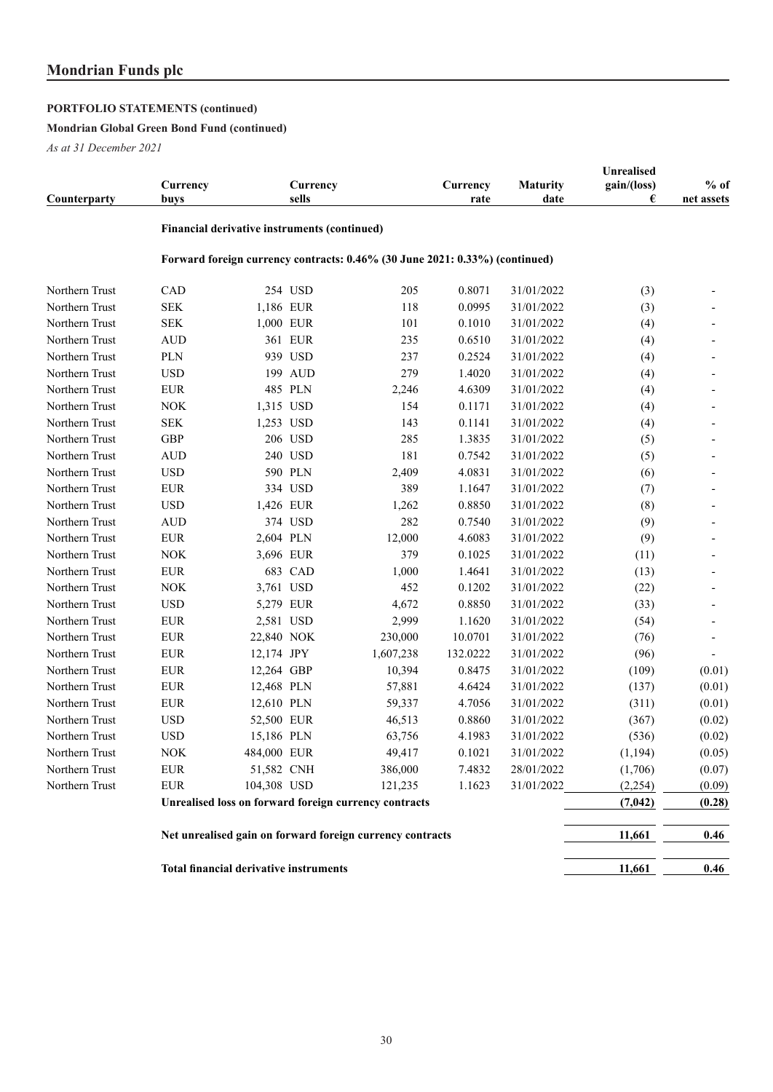# **PORTFOLIO STATEMENTS (continued)**

# **Mondrian Global Green Bond Fund (continued)**

| Counterparty   | Currency<br>buys |             | Currency<br>sells                             |                                                                             | Currency<br>rate | <b>Maturity</b><br>date | Unrealised<br>gain/(loss)<br>€ | $%$ of<br>net assets |
|----------------|------------------|-------------|-----------------------------------------------|-----------------------------------------------------------------------------|------------------|-------------------------|--------------------------------|----------------------|
|                |                  |             | Financial derivative instruments (continued)  |                                                                             |                  |                         |                                |                      |
|                |                  |             |                                               | Forward foreign currency contracts: 0.46% (30 June 2021: 0.33%) (continued) |                  |                         |                                |                      |
| Northern Trust | CAD              |             | 254 USD                                       | 205                                                                         | 0.8071           | 31/01/2022              | (3)                            |                      |
| Northern Trust | <b>SEK</b>       | 1,186 EUR   |                                               | 118                                                                         | 0.0995           | 31/01/2022              | (3)                            |                      |
| Northern Trust | <b>SEK</b>       | 1,000 EUR   |                                               | 101                                                                         | 0.1010           | 31/01/2022              | (4)                            |                      |
| Northern Trust | <b>AUD</b>       |             | 361 EUR                                       | 235                                                                         | 0.6510           | 31/01/2022              | (4)                            |                      |
| Northern Trust | PLN              |             | 939 USD                                       | 237                                                                         | 0.2524           | 31/01/2022              | (4)                            |                      |
| Northern Trust | <b>USD</b>       |             | 199 AUD                                       | 279                                                                         | 1.4020           | 31/01/2022              | (4)                            |                      |
| Northern Trust | ${\rm EUR}$      |             | 485 PLN                                       | 2,246                                                                       | 4.6309           | 31/01/2022              | (4)                            |                      |
| Northern Trust | <b>NOK</b>       | 1,315 USD   |                                               | 154                                                                         | 0.1171           | 31/01/2022              | (4)                            |                      |
| Northern Trust | <b>SEK</b>       | 1,253 USD   |                                               | 143                                                                         | 0.1141           | 31/01/2022              | (4)                            |                      |
| Northern Trust | <b>GBP</b>       |             | 206 USD                                       | 285                                                                         | 1.3835           | 31/01/2022              | (5)                            |                      |
| Northern Trust | <b>AUD</b>       |             | 240 USD                                       | 181                                                                         | 0.7542           | 31/01/2022              | (5)                            |                      |
| Northern Trust | <b>USD</b>       |             | 590 PLN                                       | 2,409                                                                       | 4.0831           | 31/01/2022              | (6)                            |                      |
| Northern Trust | ${\rm EUR}$      |             | 334 USD                                       | 389                                                                         | 1.1647           | 31/01/2022              | (7)                            |                      |
| Northern Trust | $_{\rm USD}$     | 1,426 EUR   |                                               | 1,262                                                                       | 0.8850           | 31/01/2022              | (8)                            |                      |
| Northern Trust | <b>AUD</b>       |             | 374 USD                                       | 282                                                                         | 0.7540           | 31/01/2022              | (9)                            |                      |
| Northern Trust | ${\rm EUR}$      | 2,604 PLN   |                                               | 12,000                                                                      | 4.6083           | 31/01/2022              | (9)                            |                      |
| Northern Trust | <b>NOK</b>       | 3,696 EUR   |                                               | 379                                                                         | 0.1025           | 31/01/2022              | (11)                           |                      |
| Northern Trust | ${\rm EUR}$      |             | 683 CAD                                       | 1,000                                                                       | 1.4641           | 31/01/2022              | (13)                           |                      |
| Northern Trust | <b>NOK</b>       | 3,761 USD   |                                               | 452                                                                         | 0.1202           | 31/01/2022              | (22)                           |                      |
| Northern Trust | <b>USD</b>       | 5,279 EUR   |                                               | 4,672                                                                       | 0.8850           | 31/01/2022              | (33)                           |                      |
| Northern Trust | ${\rm EUR}$      | 2,581 USD   |                                               | 2,999                                                                       | 1.1620           | 31/01/2022              | (54)                           |                      |
| Northern Trust | ${\rm EUR}$      | 22,840 NOK  |                                               | 230,000                                                                     | 10.0701          | 31/01/2022              | (76)                           |                      |
| Northern Trust | ${\rm EUR}$      | 12,174 JPY  |                                               | 1,607,238                                                                   | 132.0222         | 31/01/2022              | (96)                           |                      |
| Northern Trust | <b>EUR</b>       | 12,264 GBP  |                                               | 10,394                                                                      | 0.8475           | 31/01/2022              | (109)                          | (0.01)               |
| Northern Trust | <b>EUR</b>       | 12,468 PLN  |                                               | 57,881                                                                      | 4.6424           | 31/01/2022              | (137)                          | (0.01)               |
| Northern Trust | <b>EUR</b>       | 12,610 PLN  |                                               | 59,337                                                                      | 4.7056           | 31/01/2022              | (311)                          | (0.01)               |
| Northern Trust | <b>USD</b>       | 52,500 EUR  |                                               | 46,513                                                                      | 0.8860           | 31/01/2022              | (367)                          | (0.02)               |
| Northern Trust | <b>USD</b>       | 15,186 PLN  |                                               | 63,756                                                                      | 4.1983           | 31/01/2022              | (536)                          | (0.02)               |
| Northern Trust | <b>NOK</b>       | 484,000 EUR |                                               | 49,417                                                                      | 0.1021           | 31/01/2022              | (1,194)                        | (0.05)               |
| Northern Trust | <b>EUR</b>       | 51,582 CNH  |                                               | 386,000                                                                     | 7.4832           | 28/01/2022              | (1,706)                        | (0.07)               |
| Northern Trust | ${\rm EUR}$      | 104,308 USD |                                               | 121,235                                                                     | 1.1623           | 31/01/2022              | (2,254)                        | (0.09)               |
|                |                  |             |                                               | Unrealised loss on forward foreign currency contracts                       |                  |                         | (7,042)                        | (0.28)               |
|                |                  |             |                                               | Net unrealised gain on forward foreign currency contracts                   |                  |                         | 11,661                         | 0.46                 |
|                |                  |             | <b>Total financial derivative instruments</b> |                                                                             |                  |                         | 11,661                         | 0.46                 |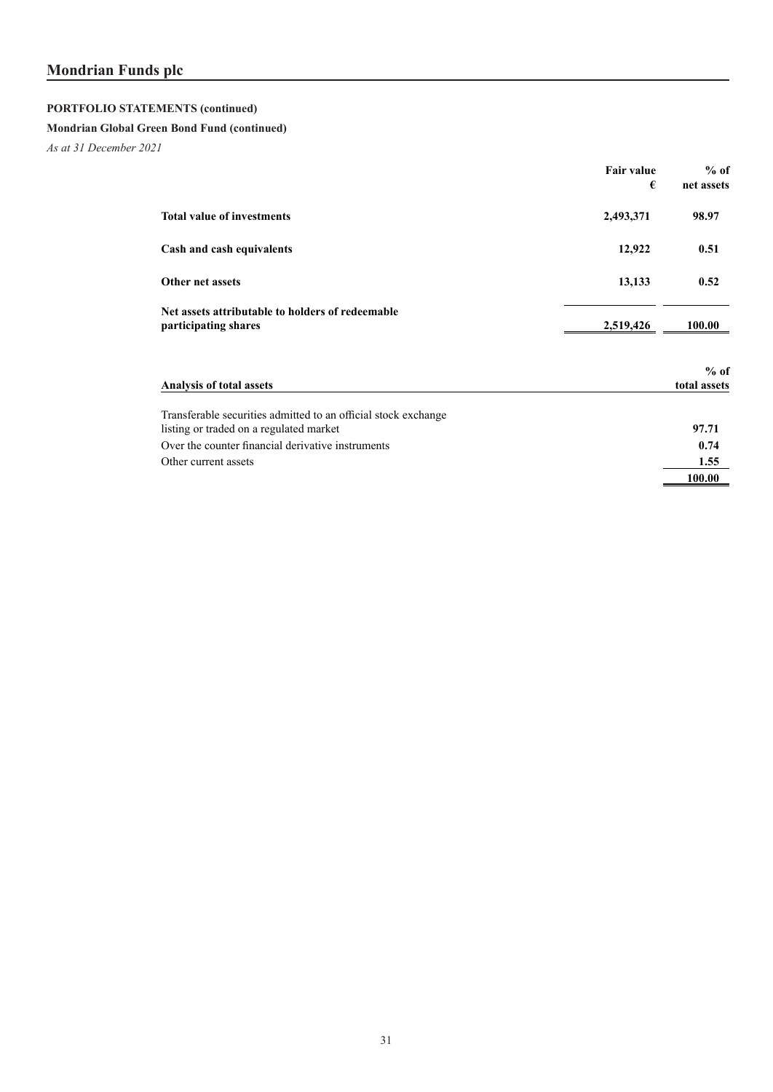# **PORTFOLIO STATEMENTS (continued)**

# **Mondrian Global Green Bond Fund (continued)**

*As at 31 December 2021*

|                                                                                                            | <b>Fair value</b><br>€ | $%$ of<br>net assets   |
|------------------------------------------------------------------------------------------------------------|------------------------|------------------------|
| <b>Total value of investments</b>                                                                          | 2,493,371              | 98.97                  |
| Cash and cash equivalents                                                                                  | 12,922                 | 0.51                   |
| Other net assets                                                                                           | 13,133                 | 0.52                   |
| Net assets attributable to holders of redeemable<br>participating shares                                   | 2,519,426              | 100.00                 |
| Analysis of total assets                                                                                   |                        | $%$ of<br>total assets |
| Transferable securities admitted to an official stock exchange<br>listing on tuaded on a negatived montrat |                        | 07.71                  |

listing or traded on a regulated market **97.71** Over the counter financial derivative instruments **0.74** Other current assets **1.55 100.00**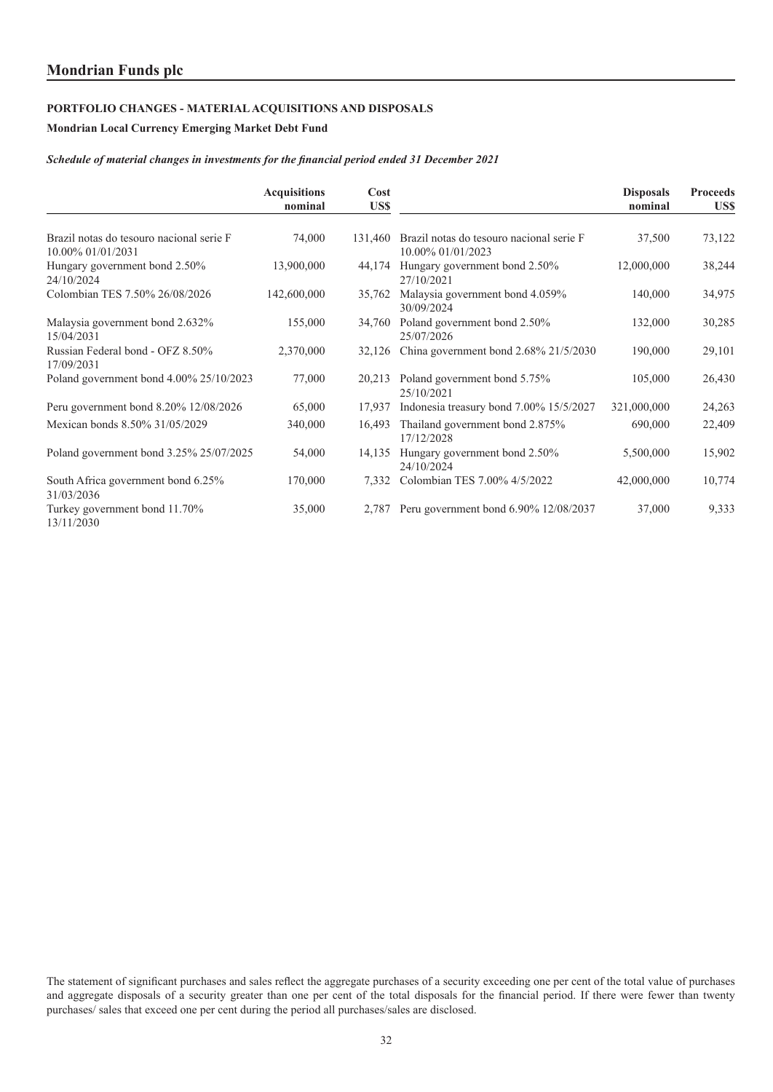# <span id="page-33-0"></span>**Mondrian Local Currency Emerging Market Debt Fund**

#### *Schedule of material changes in investments for the financial period ended 31 December 2021*

|                                                               | <b>Acquisitions</b><br>nominal | Cost<br>US\$ |                                                                       | <b>Disposals</b><br>nominal | <b>Proceeds</b><br>US\$ |
|---------------------------------------------------------------|--------------------------------|--------------|-----------------------------------------------------------------------|-----------------------------|-------------------------|
| Brazil notas do tesouro nacional serie F<br>10.00% 01/01/2031 | 74,000                         |              | 131,460 Brazil notas do tesouro nacional serie F<br>10.00% 01/01/2023 | 37,500                      | 73,122                  |
| Hungary government bond 2.50%<br>24/10/2024                   | 13,900,000                     | 44,174       | Hungary government bond 2.50%<br>27/10/2021                           | 12,000,000                  | 38,244                  |
| Colombian TES 7.50% 26/08/2026                                | 142,600,000                    | 35,762       | Malaysia government bond 4.059%<br>30/09/2024                         | 140,000                     | 34,975                  |
| Malaysia government bond 2.632%<br>15/04/2031                 | 155,000                        | 34.760       | Poland government bond 2.50%<br>25/07/2026                            | 132,000                     | 30,285                  |
| Russian Federal bond - OFZ 8.50%<br>17/09/2031                | 2,370,000                      | 32,126       | China government bond 2.68% 21/5/2030                                 | 190,000                     | 29,101                  |
| Poland government bond 4.00% 25/10/2023                       | 77,000                         | 20,213       | Poland government bond 5.75%<br>25/10/2021                            | 105,000                     | 26,430                  |
| Peru government bond 8.20% 12/08/2026                         | 65,000                         | 17,937       | Indonesia treasury bond 7.00% 15/5/2027                               | 321,000,000                 | 24,263                  |
| Mexican bonds 8.50% 31/05/2029                                | 340,000                        | 16,493       | Thailand government bond 2.875%<br>17/12/2028                         | 690,000                     | 22,409                  |
| Poland government bond 3.25% 25/07/2025                       | 54,000                         | 14,135       | Hungary government bond 2.50%<br>24/10/2024                           | 5,500,000                   | 15,902                  |
| South Africa government bond 6.25%<br>31/03/2036              | 170,000                        | 7,332        | Colombian TES 7.00% 4/5/2022                                          | 42,000,000                  | 10,774                  |
| Turkey government bond 11.70%<br>13/11/2030                   | 35,000                         |              | 2,787 Peru government bond 6.90% 12/08/2037                           | 37,000                      | 9,333                   |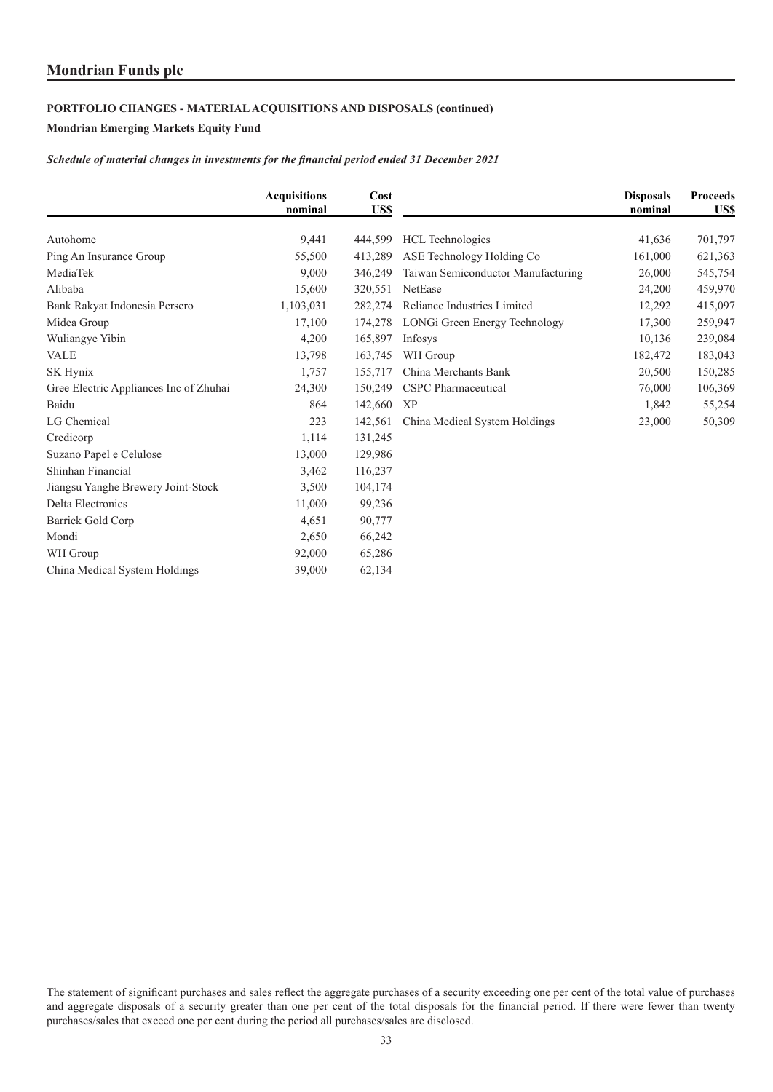# **Mondrian Emerging Markets Equity Fund**

#### *Schedule of material changes in investments for the financial period ended 31 December 2021*

|                                        | <b>Acquisitions</b><br>nominal | Cost<br>US\$ |                                    | <b>Disposals</b><br>nominal | <b>Proceeds</b><br>US\$ |
|----------------------------------------|--------------------------------|--------------|------------------------------------|-----------------------------|-------------------------|
|                                        |                                |              |                                    |                             |                         |
| Autohome                               | 9,441                          | 444,599      | <b>HCL</b> Technologies            | 41,636                      | 701,797                 |
| Ping An Insurance Group                | 55,500                         | 413,289      | ASE Technology Holding Co          | 161,000                     | 621,363                 |
| MediaTek                               | 9,000                          | 346,249      | Taiwan Semiconductor Manufacturing | 26,000                      | 545,754                 |
| Alibaba                                | 15,600                         | 320,551      | NetEase                            | 24,200                      | 459,970                 |
| Bank Rakyat Indonesia Persero          | 1,103,031                      | 282,274      | Reliance Industries Limited        | 12,292                      | 415,097                 |
| Midea Group                            | 17,100                         | 174,278      | LONGi Green Energy Technology      | 17,300                      | 259,947                 |
| Wuliangye Yibin                        | 4,200                          | 165,897      | Infosys                            | 10,136                      | 239,084                 |
| <b>VALE</b>                            | 13,798                         | 163,745      | WH Group                           | 182,472                     | 183,043                 |
| SK Hynix                               | 1,757                          | 155,717      | China Merchants Bank               | 20,500                      | 150,285                 |
| Gree Electric Appliances Inc of Zhuhai | 24,300                         | 150,249      | CSPC Pharmaceutical                | 76,000                      | 106,369                 |
| Baidu                                  | 864                            | 142,660      | XP                                 | 1,842                       | 55,254                  |
| LG Chemical                            | 223                            | 142,561      | China Medical System Holdings      | 23,000                      | 50,309                  |
| Credicorp                              | 1,114                          | 131,245      |                                    |                             |                         |
| Suzano Papel e Celulose                | 13,000                         | 129,986      |                                    |                             |                         |
| Shinhan Financial                      | 3,462                          | 116,237      |                                    |                             |                         |
| Jiangsu Yanghe Brewery Joint-Stock     | 3,500                          | 104,174      |                                    |                             |                         |
| Delta Electronics                      | 11,000                         | 99,236       |                                    |                             |                         |
| Barrick Gold Corp                      | 4,651                          | 90,777       |                                    |                             |                         |
| Mondi                                  | 2,650                          | 66,242       |                                    |                             |                         |
| WH Group                               | 92,000                         | 65,286       |                                    |                             |                         |
| China Medical System Holdings          | 39,000                         | 62,134       |                                    |                             |                         |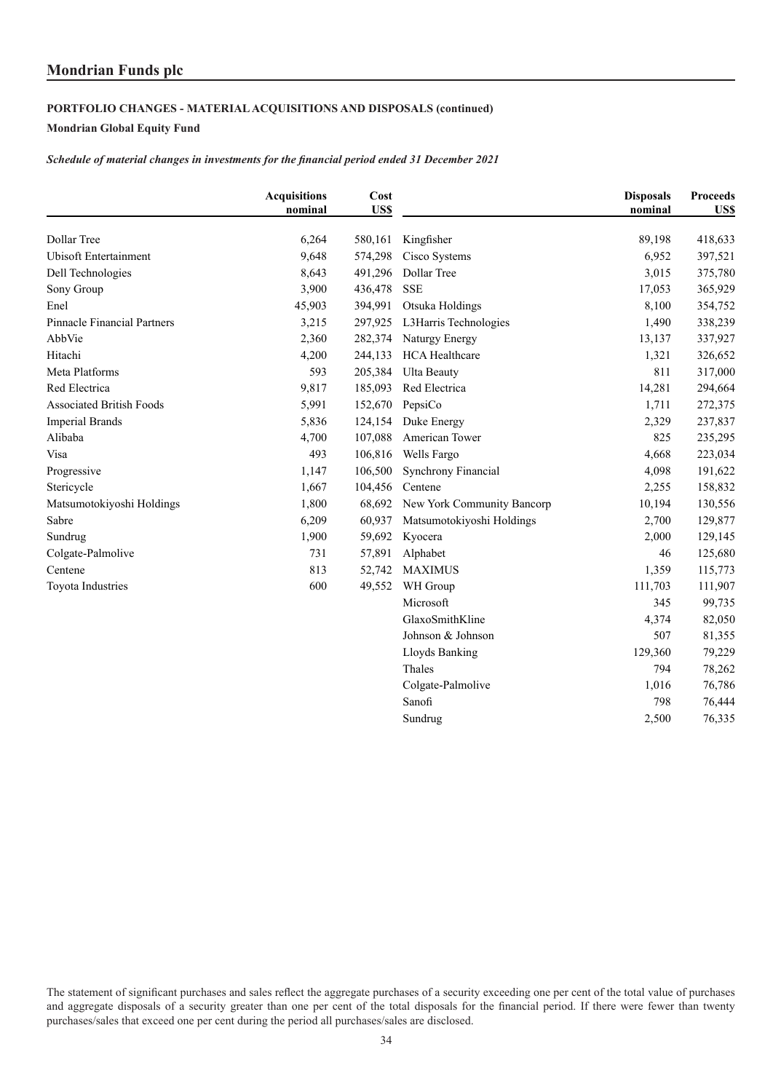# **Mondrian Global Equity Fund**

#### *Schedule of material changes in investments for the financial period ended 31 December 2021*

|                                    | <b>Acquisitions</b><br>nominal | Cost<br>US\$ |                            | <b>Disposals</b><br>nominal | <b>Proceeds</b><br>US\$ |
|------------------------------------|--------------------------------|--------------|----------------------------|-----------------------------|-------------------------|
| Dollar Tree                        | 6,264                          | 580,161      | Kingfisher                 | 89,198                      | 418,633                 |
| Ubisoft Entertainment              | 9,648                          | 574,298      | Cisco Systems              | 6,952                       | 397,521                 |
| Dell Technologies                  | 8,643                          | 491,296      | Dollar Tree                | 3,015                       | 375,780                 |
| Sony Group                         | 3,900                          | 436,478      | <b>SSE</b>                 | 17,053                      | 365,929                 |
| Enel                               | 45,903                         | 394,991      | Otsuka Holdings            | 8,100                       | 354,752                 |
| <b>Pinnacle Financial Partners</b> | 3,215                          | 297,925      | L3Harris Technologies      | 1,490                       | 338,239                 |
| AbbVie                             | 2,360                          | 282,374      | Naturgy Energy             | 13,137                      | 337,927                 |
| Hitachi                            | 4,200                          | 244,133      | <b>HCA Healthcare</b>      | 1,321                       | 326,652                 |
| Meta Platforms                     | 593                            | 205,384      | <b>Ulta Beauty</b>         | 811                         | 317,000                 |
| Red Electrica                      | 9,817                          | 185,093      | Red Electrica              | 14,281                      | 294,664                 |
| <b>Associated British Foods</b>    | 5,991                          | 152,670      | PepsiCo                    | 1,711                       | 272,375                 |
| <b>Imperial Brands</b>             | 5,836                          | 124,154      | Duke Energy                | 2,329                       | 237,837                 |
| Alibaba                            | 4,700                          | 107,088      | American Tower             | 825                         | 235,295                 |
| Visa                               | 493                            | 106,816      | Wells Fargo                | 4,668                       | 223,034                 |
| Progressive                        | 1,147                          | 106,500      | Synchrony Financial        | 4,098                       | 191,622                 |
| Stericycle                         | 1,667                          | 104,456      | Centene                    | 2,255                       | 158,832                 |
| Matsumotokiyoshi Holdings          | 1,800                          | 68,692       | New York Community Bancorp | 10,194                      | 130,556                 |
| Sabre                              | 6,209                          | 60,937       | Matsumotokiyoshi Holdings  | 2,700                       | 129,877                 |
| Sundrug                            | 1,900                          | 59,692       | Kyocera                    | 2,000                       | 129,145                 |
| Colgate-Palmolive                  | 731                            | 57,891       | Alphabet                   | 46                          | 125,680                 |
| Centene                            | 813                            | 52,742       | <b>MAXIMUS</b>             | 1,359                       | 115,773                 |
| Toyota Industries                  | 600                            | 49,552       | WH Group                   | 111,703                     | 111,907                 |
|                                    |                                |              | Microsoft                  | 345                         | 99,735                  |
|                                    |                                |              | GlaxoSmithKline            | 4,374                       | 82,050                  |
|                                    |                                |              | Johnson & Johnson          | 507                         | 81,355                  |
|                                    |                                |              | Lloyds Banking             | 129,360                     | 79,229                  |
|                                    |                                |              | Thales                     | 794                         | 78,262                  |
|                                    |                                |              | Colgate-Palmolive          | 1,016                       | 76,786                  |
|                                    |                                |              | Sanofi                     | 798                         | 76,444                  |
|                                    |                                |              | Sundrug                    | 2,500                       | 76,335                  |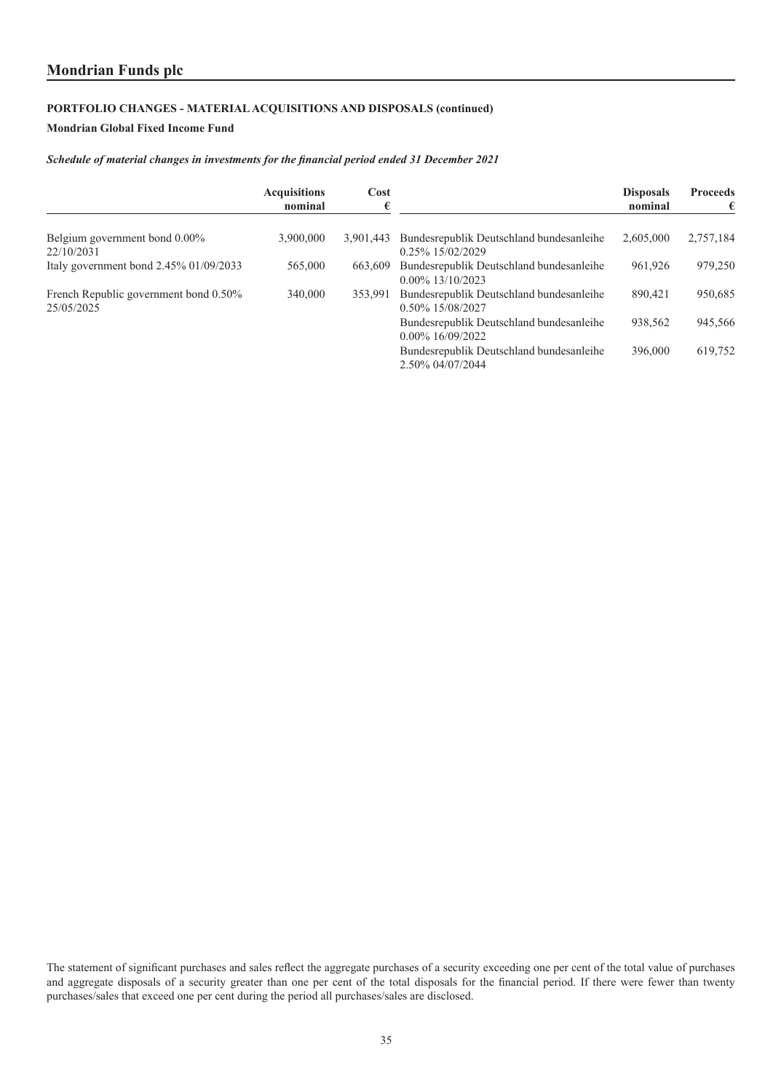# **Mondrian Global Fixed Income Fund**

#### *Schedule of material changes in investments for the financial period ended 31 December 2021*

|                                                     | <b>Acquisitions</b><br>nominal | Cost      |                                                                 | <b>Disposals</b><br>nominal | <b>Proceeds</b><br>-6 |
|-----------------------------------------------------|--------------------------------|-----------|-----------------------------------------------------------------|-----------------------------|-----------------------|
| Belgium government bond 0.00%<br>22/10/2031         | 3,900,000                      | 3.901.443 | Bundesrepublik Deutschland bundesanleihe<br>$0.25\%$ 15/02/2029 | 2,605,000                   | 2,757,184             |
| Italy government bond 2.45% 01/09/2033              | 565,000                        | 663,609   | Bundesrepublik Deutschland bundesanleihe<br>$0.00\%$ 13/10/2023 | 961,926                     | 979,250               |
| French Republic government bond 0.50%<br>25/05/2025 | 340,000                        | 353,991   | Bundesrepublik Deutschland bundesanleihe<br>0.50% 15/08/2027    | 890,421                     | 950,685               |
|                                                     |                                |           | Bundesrepublik Deutschland bundesanleihe<br>0.00% 16/09/2022    | 938,562                     | 945,566               |
|                                                     |                                |           | Bundesrepublik Deutschland bundesanleihe<br>2.50% 04/07/2044    | 396,000                     | 619,752               |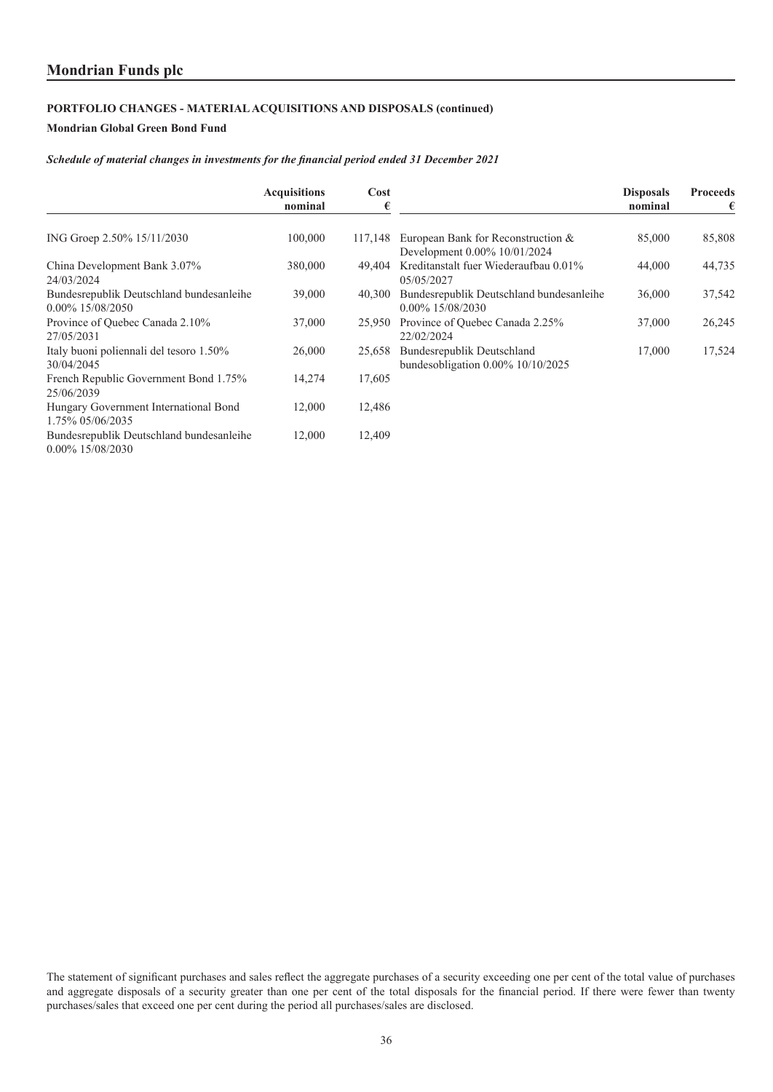# **Mondrian Global Green Bond Fund**

#### *Schedule of material changes in investments for the financial period ended 31 December 2021*

|                                                              | <b>Acquisitions</b><br>nominal | Cost<br>€ |                                                                    | <b>Disposals</b><br>nominal | <b>Proceeds</b><br>€ |
|--------------------------------------------------------------|--------------------------------|-----------|--------------------------------------------------------------------|-----------------------------|----------------------|
| ING Groep 2.50% 15/11/2030                                   | 100,000                        | 117.148   | European Bank for Reconstruction &<br>Development 0.00% 10/01/2024 | 85,000                      | 85,808               |
| China Development Bank 3.07%<br>24/03/2024                   | 380,000                        | 49,404    | Kreditanstalt fuer Wiederaufbau 0.01%<br>05/05/2027                | 44,000                      | 44,735               |
| Bundesrepublik Deutschland bundesanleihe<br>0.00% 15/08/2050 | 39,000                         | 40,300    | Bundesrepublik Deutschland bundesanleihe<br>0.00% 15/08/2030       | 36,000                      | 37,542               |
| Province of Quebec Canada 2.10%<br>27/05/2031                | 37,000                         | 25,950    | Province of Quebec Canada 2.25%<br>22/02/2024                      | 37,000                      | 26,245               |
| Italy buoni poliennali del tesoro 1.50%<br>30/04/2045        | 26,000                         | 25,658    | Bundesrepublik Deutschland<br>bundesobligation 0.00% 10/10/2025    | 17,000                      | 17,524               |
| French Republic Government Bond 1.75%<br>25/06/2039          | 14,274                         | 17,605    |                                                                    |                             |                      |
| Hungary Government International Bond<br>1.75% 05/06/2035    | 12,000                         | 12,486    |                                                                    |                             |                      |
| Bundesrepublik Deutschland bundesanleihe<br>0.00% 15/08/2030 | 12,000                         | 12,409    |                                                                    |                             |                      |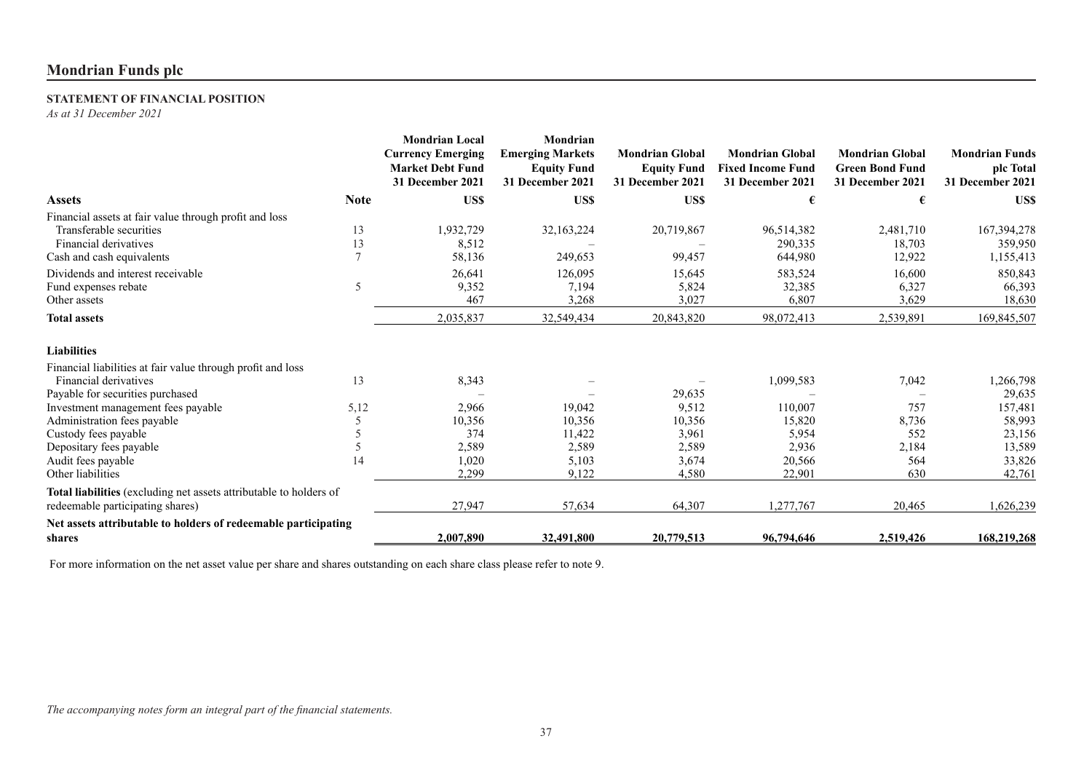# <span id="page-38-0"></span>**STATEMENT OF FINANCIAL POSITION**

*As at 31 December 2021*

|                                                                           |                | <b>Mondrian Local</b><br><b>Currency Emerging</b><br><b>Market Debt Fund</b><br>31 December 2021 | Mondrian<br><b>Emerging Markets</b><br><b>Equity Fund</b><br>31 December 2021 | <b>Mondrian Global</b><br><b>Equity Fund</b><br>31 December 2021 | <b>Mondrian Global</b><br><b>Fixed Income Fund</b><br>31 December 2021 | <b>Mondrian Global</b><br><b>Green Bond Fund</b><br>31 December 2021 | <b>Mondrian Funds</b><br>plc Total<br>31 December 2021 |
|---------------------------------------------------------------------------|----------------|--------------------------------------------------------------------------------------------------|-------------------------------------------------------------------------------|------------------------------------------------------------------|------------------------------------------------------------------------|----------------------------------------------------------------------|--------------------------------------------------------|
| <b>Assets</b>                                                             | <b>Note</b>    | US\$                                                                                             | US\$                                                                          | US\$                                                             | €                                                                      | €                                                                    | US\$                                                   |
| Financial assets at fair value through profit and loss                    |                |                                                                                                  |                                                                               |                                                                  |                                                                        |                                                                      |                                                        |
| Transferable securities                                                   | 13             | 1,932,729                                                                                        | 32,163,224                                                                    | 20,719,867                                                       | 96,514,382                                                             | 2,481,710                                                            | 167,394,278                                            |
| Financial derivatives                                                     | 13             | 8,512                                                                                            |                                                                               |                                                                  | 290,335                                                                | 18,703                                                               | 359,950                                                |
| Cash and cash equivalents                                                 | $\overline{7}$ | 58,136                                                                                           | 249,653                                                                       | 99,457                                                           | 644,980                                                                | 12,922                                                               | 1,155,413                                              |
| Dividends and interest receivable                                         |                | 26,641                                                                                           | 126,095                                                                       | 15,645                                                           | 583,524                                                                | 16,600                                                               | 850,843                                                |
| Fund expenses rebate                                                      | $\overline{5}$ | 9,352                                                                                            | 7,194                                                                         | 5,824                                                            | 32,385                                                                 | 6,327                                                                | 66,393                                                 |
| Other assets                                                              |                | 467                                                                                              | 3,268                                                                         | 3,027                                                            | 6,807                                                                  | 3,629                                                                | 18,630                                                 |
| <b>Total assets</b>                                                       |                | 2,035,837                                                                                        | 32,549,434                                                                    | 20,843,820                                                       | 98,072,413                                                             | 2,539,891                                                            | 169,845,507                                            |
| <b>Liabilities</b>                                                        |                |                                                                                                  |                                                                               |                                                                  |                                                                        |                                                                      |                                                        |
| Financial liabilities at fair value through profit and loss               |                |                                                                                                  |                                                                               |                                                                  |                                                                        |                                                                      |                                                        |
| Financial derivatives                                                     | 13             | 8,343                                                                                            |                                                                               |                                                                  | 1,099,583                                                              | 7,042                                                                | 1,266,798                                              |
| Payable for securities purchased                                          |                |                                                                                                  |                                                                               | 29,635                                                           |                                                                        |                                                                      | 29,635                                                 |
| Investment management fees payable                                        | 5,12           | 2,966                                                                                            | 19,042                                                                        | 9,512                                                            | 110,007                                                                | 757                                                                  | 157,481                                                |
| Administration fees payable                                               |                | 10,356                                                                                           | 10,356                                                                        | 10,356                                                           | 15,820                                                                 | 8,736                                                                | 58,993                                                 |
| Custody fees payable                                                      |                | 374                                                                                              | 11,422                                                                        | 3,961                                                            | 5,954                                                                  | 552                                                                  | 23,156                                                 |
| Depositary fees payable                                                   |                | 2,589                                                                                            | 2,589                                                                         | 2,589                                                            | 2,936                                                                  | 2,184                                                                | 13,589                                                 |
| Audit fees payable                                                        | 14             | 1,020                                                                                            | 5,103                                                                         | 3,674                                                            | 20,566                                                                 | 564                                                                  | 33,826                                                 |
| Other liabilities                                                         |                | 2,299                                                                                            | 9,122                                                                         | 4,580                                                            | 22,901                                                                 | 630                                                                  | 42,761                                                 |
| <b>Total liabilities</b> (excluding net assets attributable to holders of |                |                                                                                                  |                                                                               |                                                                  |                                                                        |                                                                      |                                                        |
| redeemable participating shares)                                          |                | 27,947                                                                                           | 57,634                                                                        | 64,307                                                           | 1,277,767                                                              | 20,465                                                               | 1,626,239                                              |
| Net assets attributable to holders of redeemable participating            |                |                                                                                                  |                                                                               |                                                                  |                                                                        |                                                                      |                                                        |
| shares                                                                    |                | 2.007.890                                                                                        | 32,491,800                                                                    | 20,779,513                                                       | 96,794,646                                                             | 2,519,426                                                            | 168,219,268                                            |

For more information on the net asset value per share and shares outstanding on each share class please refer to note 9.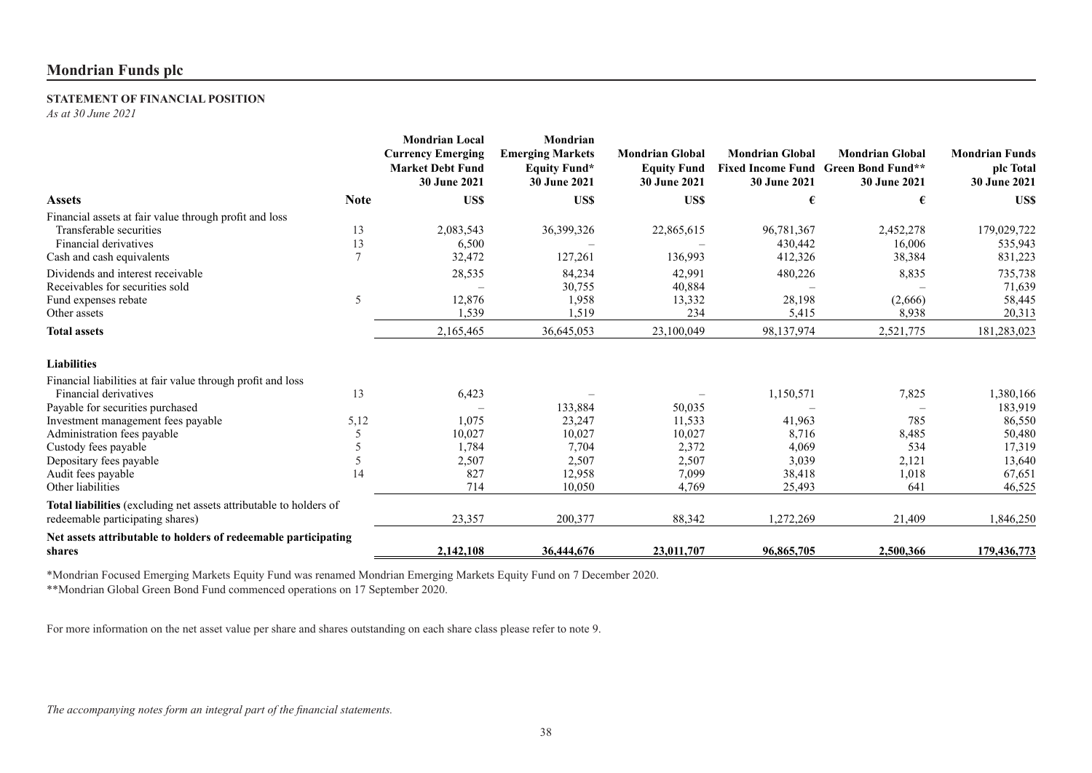# **STATEMENT OF FINANCIAL POSITION**

*As at 30 June 2021*

|                                                                           |                | <b>Mondrian Local</b><br><b>Currency Emerging</b><br><b>Market Debt Fund</b><br>30 June 2021 | Mondrian<br><b>Emerging Markets</b><br><b>Equity Fund*</b><br><b>30 June 2021</b> | <b>Mondrian Global</b><br><b>Equity Fund</b><br>30 June 2021 | <b>Mondrian Global</b><br>30 June 2021 | <b>Mondrian Global</b><br>Fixed Income Fund Green Bond Fund**<br>30 June 2021 | <b>Mondrian Funds</b><br>plc Total<br>30 June 2021 |
|---------------------------------------------------------------------------|----------------|----------------------------------------------------------------------------------------------|-----------------------------------------------------------------------------------|--------------------------------------------------------------|----------------------------------------|-------------------------------------------------------------------------------|----------------------------------------------------|
| <b>Assets</b>                                                             | <b>Note</b>    | US\$                                                                                         | US\$                                                                              | US\$                                                         |                                        | €                                                                             | US\$                                               |
| Financial assets at fair value through profit and loss                    |                |                                                                                              |                                                                                   |                                                              |                                        |                                                                               |                                                    |
| Transferable securities                                                   | 13             | 2,083,543                                                                                    | 36,399,326                                                                        | 22,865,615                                                   | 96.781.367                             | 2,452,278                                                                     | 179,029,722                                        |
| Financial derivatives                                                     | 13             | 6,500                                                                                        |                                                                                   |                                                              | 430,442                                | 16,006                                                                        | 535,943                                            |
| Cash and cash equivalents                                                 | $\overline{7}$ | 32,472                                                                                       | 127,261                                                                           | 136,993                                                      | 412,326                                | 38,384                                                                        | 831,223                                            |
| Dividends and interest receivable                                         |                | 28,535                                                                                       | 84,234                                                                            | 42,991                                                       | 480,226                                | 8,835                                                                         | 735,738                                            |
| Receivables for securities sold                                           |                |                                                                                              | 30,755                                                                            | 40,884                                                       |                                        |                                                                               | 71,639                                             |
| Fund expenses rebate                                                      | 5              | 12,876                                                                                       | 1,958                                                                             | 13,332                                                       | 28,198                                 | (2,666)                                                                       | 58,445                                             |
| Other assets                                                              |                | 1,539                                                                                        | 1,519                                                                             | 234                                                          | 5,415                                  | 8,938                                                                         | 20,313                                             |
| <b>Total assets</b>                                                       |                | 2,165,465                                                                                    | 36,645,053                                                                        | 23,100,049                                                   | 98,137,974                             | 2,521,775                                                                     | 181,283,023                                        |
| <b>Liabilities</b>                                                        |                |                                                                                              |                                                                                   |                                                              |                                        |                                                                               |                                                    |
| Financial liabilities at fair value through profit and loss               |                |                                                                                              |                                                                                   |                                                              |                                        |                                                                               |                                                    |
| Financial derivatives                                                     | 13             | 6,423                                                                                        |                                                                                   |                                                              | 1,150,571                              | 7,825                                                                         | 1,380,166                                          |
| Payable for securities purchased                                          |                |                                                                                              | 133,884                                                                           | 50,035                                                       |                                        |                                                                               | 183,919                                            |
| Investment management fees payable                                        | 5,12           | 1,075                                                                                        | 23,247                                                                            | 11,533                                                       | 41,963                                 | 785                                                                           | 86,550                                             |
| Administration fees payable                                               |                | 10,027                                                                                       | 10,027                                                                            | 10,027                                                       | 8,716                                  | 8,485                                                                         | 50,480                                             |
| Custody fees payable                                                      |                | 1,784                                                                                        | 7,704                                                                             | 2,372                                                        | 4,069                                  | 534                                                                           | 17,319                                             |
| Depositary fees payable                                                   |                | 2,507                                                                                        | 2,507                                                                             | 2,507                                                        | 3,039                                  | 2,121                                                                         | 13,640                                             |
| Audit fees payable                                                        | 14             | 827                                                                                          | 12,958                                                                            | 7,099                                                        | 38,418                                 | 1,018                                                                         | 67,651                                             |
| Other liabilities                                                         |                | 714                                                                                          | 10,050                                                                            | 4,769                                                        | 25,493                                 | 641                                                                           | 46,525                                             |
| <b>Total liabilities</b> (excluding net assets attributable to holders of |                |                                                                                              |                                                                                   |                                                              |                                        |                                                                               |                                                    |
| redeemable participating shares)                                          |                | 23,357                                                                                       | 200,377                                                                           | 88,342                                                       | 1,272,269                              | 21,409                                                                        | 1,846,250                                          |
| Net assets attributable to holders of redeemable participating            |                |                                                                                              |                                                                                   |                                                              |                                        |                                                                               |                                                    |
| shares                                                                    |                | 2,142,108                                                                                    | 36,444,676                                                                        | 23,011,707                                                   | 96,865,705                             | 2,500,366                                                                     | 179,436,773                                        |

\*Mondrian Focused Emerging Markets Equity Fund was renamed Mondrian Emerging Markets Equity Fund on 7 December 2020.

\*\*Mondrian Global Green Bond Fund commenced operations on 17 September 2020.

For more information on the net asset value per share and shares outstanding on each share class please refer to note 9.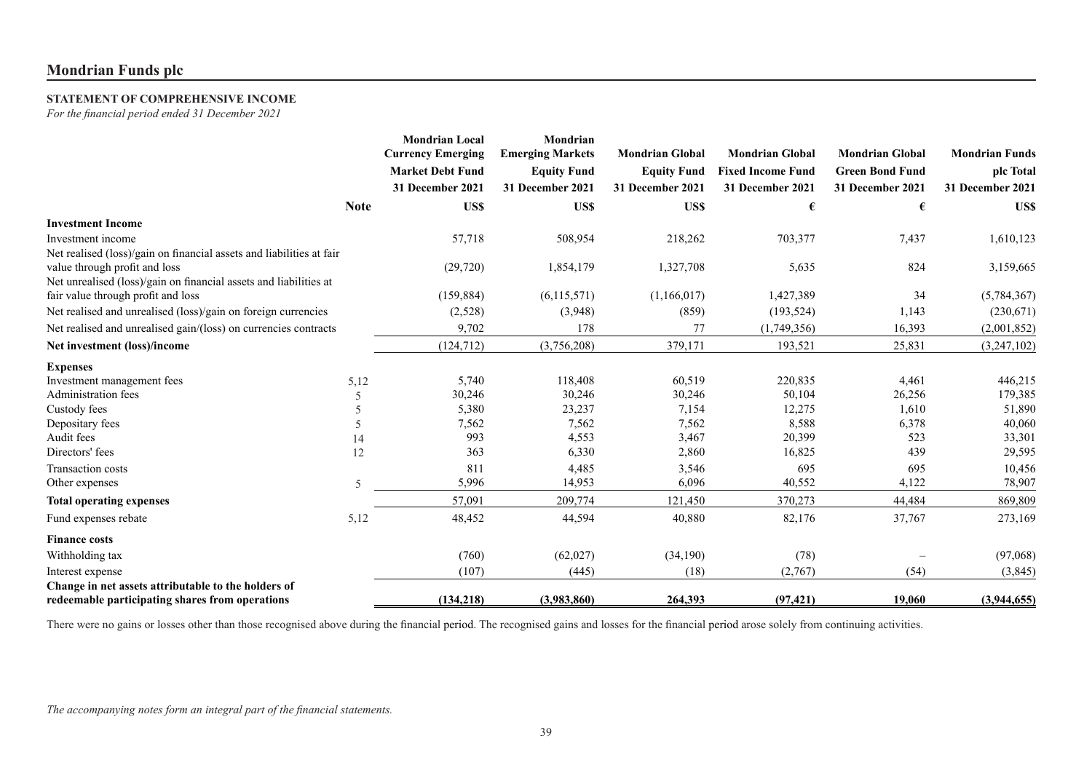# <span id="page-40-0"></span>**STATEMENT OF COMPREHENSIVE INCOME**

*For the financial period ended 31 December 2021*

|                                                                      |             | <b>Mondrian Local</b><br><b>Currency Emerging</b><br><b>Market Debt Fund</b><br>31 December 2021 | Mondrian<br><b>Emerging Markets</b><br><b>Equity Fund</b><br>31 December 2021 | <b>Mondrian Global</b><br><b>Equity Fund</b><br>31 December 2021 | <b>Mondrian Global</b><br><b>Fixed Income Fund</b><br>31 December 2021 | <b>Mondrian Global</b><br><b>Green Bond Fund</b><br>31 December 2021 | <b>Mondrian Funds</b><br>plc Total<br>31 December 2021 |
|----------------------------------------------------------------------|-------------|--------------------------------------------------------------------------------------------------|-------------------------------------------------------------------------------|------------------------------------------------------------------|------------------------------------------------------------------------|----------------------------------------------------------------------|--------------------------------------------------------|
|                                                                      | <b>Note</b> | US\$                                                                                             | US\$                                                                          | US\$                                                             | €                                                                      | €                                                                    | US\$                                                   |
| <b>Investment Income</b>                                             |             |                                                                                                  |                                                                               |                                                                  |                                                                        |                                                                      |                                                        |
| Investment income                                                    |             | 57,718                                                                                           | 508,954                                                                       | 218,262                                                          | 703,377                                                                | 7,437                                                                | 1,610,123                                              |
| Net realised (loss)/gain on financial assets and liabilities at fair |             |                                                                                                  |                                                                               |                                                                  |                                                                        |                                                                      |                                                        |
| value through profit and loss                                        |             | (29, 720)                                                                                        | 1,854,179                                                                     | 1,327,708                                                        | 5,635                                                                  | 824                                                                  | 3,159,665                                              |
| Net unrealised (loss)/gain on financial assets and liabilities at    |             |                                                                                                  |                                                                               |                                                                  |                                                                        |                                                                      |                                                        |
| fair value through profit and loss                                   |             | (159, 884)                                                                                       | (6,115,571)                                                                   | (1,166,017)                                                      | 1,427,389                                                              | 34                                                                   | (5,784,367)                                            |
| Net realised and unrealised (loss)/gain on foreign currencies        |             | (2,528)                                                                                          | (3,948)                                                                       | (859)                                                            | (193, 524)                                                             | 1,143                                                                | (230,671)                                              |
| Net realised and unrealised gain/(loss) on currencies contracts      |             | 9,702                                                                                            | 178                                                                           | 77                                                               | (1,749,356)                                                            | 16,393                                                               | (2,001,852)                                            |
| Net investment (loss)/income                                         |             | (124, 712)                                                                                       | (3,756,208)                                                                   | 379,171                                                          | 193,521                                                                | 25,831                                                               | (3,247,102)                                            |
| <b>Expenses</b>                                                      |             |                                                                                                  |                                                                               |                                                                  |                                                                        |                                                                      |                                                        |
| Investment management fees                                           | 5,12        | 5,740                                                                                            | 118,408                                                                       | 60,519                                                           | 220,835                                                                | 4,461                                                                | 446,215                                                |
| <b>Administration fees</b>                                           | 5           | 30,246                                                                                           | 30,246                                                                        | 30,246                                                           | 50,104                                                                 | 26,256                                                               | 179,385                                                |
| Custody fees                                                         |             | 5,380                                                                                            | 23,237                                                                        | 7,154                                                            | 12,275                                                                 | 1,610                                                                | 51,890                                                 |
| Depositary fees                                                      | 5           | 7,562                                                                                            | 7,562                                                                         | 7,562                                                            | 8,588                                                                  | 6,378                                                                | 40,060                                                 |
| Audit fees                                                           | 14          | 993                                                                                              | 4,553                                                                         | 3,467                                                            | 20,399                                                                 | 523                                                                  | 33,301                                                 |
| Directors' fees                                                      | 12          | 363                                                                                              | 6,330                                                                         | 2,860                                                            | 16,825                                                                 | 439                                                                  | 29,595                                                 |
| Transaction costs                                                    |             | 811                                                                                              | 4,485                                                                         | 3,546                                                            | 695                                                                    | 695                                                                  | 10,456                                                 |
| Other expenses                                                       | 5           | 5,996                                                                                            | 14,953                                                                        | 6,096                                                            | 40,552                                                                 | 4,122                                                                | 78,907                                                 |
| <b>Total operating expenses</b>                                      |             | 57,091                                                                                           | 209,774                                                                       | 121,450                                                          | 370,273                                                                | 44,484                                                               | 869,809                                                |
| Fund expenses rebate                                                 | 5,12        | 48,452                                                                                           | 44,594                                                                        | 40,880                                                           | 82,176                                                                 | 37,767                                                               | 273,169                                                |
| <b>Finance costs</b>                                                 |             |                                                                                                  |                                                                               |                                                                  |                                                                        |                                                                      |                                                        |
| Withholding tax                                                      |             | (760)                                                                                            | (62,027)                                                                      | (34,190)                                                         | (78)                                                                   |                                                                      | (97,068)                                               |
| Interest expense                                                     |             | (107)                                                                                            | (445)                                                                         | (18)                                                             | (2,767)                                                                | (54)                                                                 | (3,845)                                                |
| Change in net assets attributable to the holders of                  |             |                                                                                                  |                                                                               |                                                                  |                                                                        |                                                                      |                                                        |
| redeemable participating shares from operations                      |             | (134, 218)                                                                                       | (3,983,860)                                                                   | 264,393                                                          | (97, 421)                                                              | 19,060                                                               | (3,944,655)                                            |

There were no gains or losses other than those recognised above during the financial period. The recognised gains and losses for the financial period arose solely from continuing activities.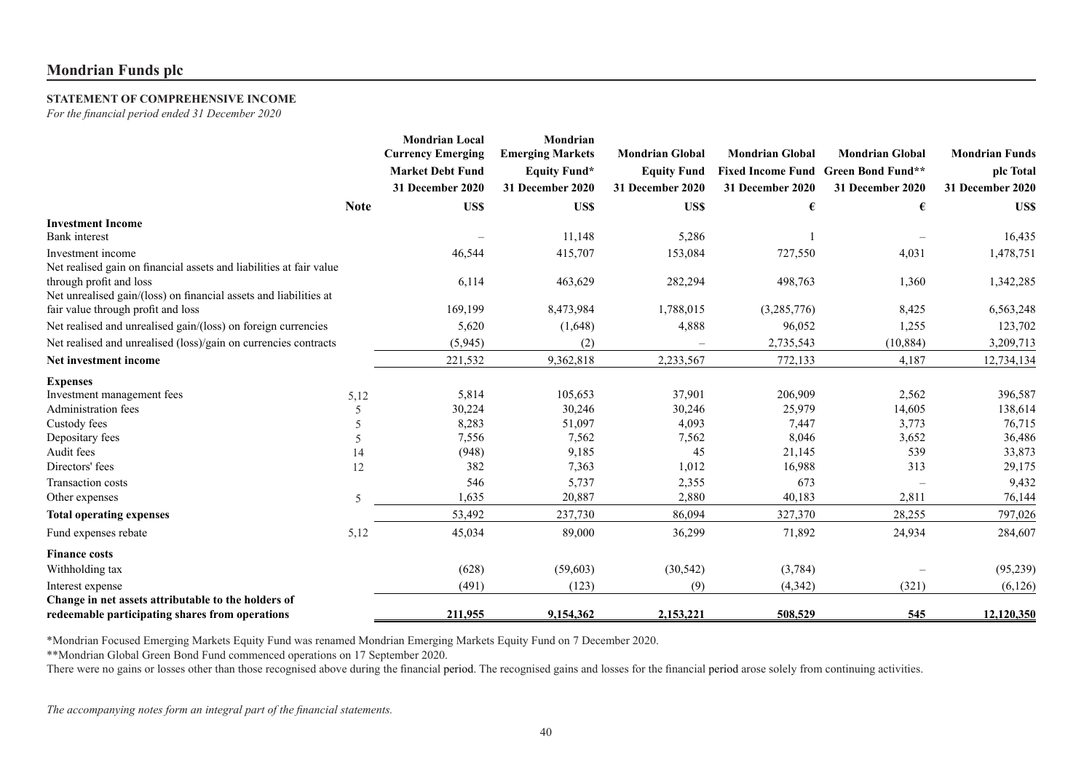# **STATEMENT OF COMPREHENSIVE INCOME**

*For the financial period ended 31 December 2020*

|                                                                     |                          | <b>Mondrian Local</b><br>Mondrian<br><b>Currency Emerging</b><br><b>Emerging Markets</b><br><b>Market Debt Fund</b><br><b>Equity Fund*</b><br>31 December 2020<br>31 December 2020 |           | <b>Mondrian Global</b><br><b>Equity Fund</b><br>31 December 2020 | <b>Mondrian Global</b><br>31 December 2020 | <b>Mondrian Global</b><br>Fixed Income Fund Green Bond Fund**<br>31 December 2020 | <b>Mondrian Funds</b><br>plc Total<br>31 December 2020 |
|---------------------------------------------------------------------|--------------------------|------------------------------------------------------------------------------------------------------------------------------------------------------------------------------------|-----------|------------------------------------------------------------------|--------------------------------------------|-----------------------------------------------------------------------------------|--------------------------------------------------------|
|                                                                     | <b>Note</b>              | US\$                                                                                                                                                                               | US\$      | US\$                                                             | €                                          | €                                                                                 | US\$                                                   |
| <b>Investment Income</b>                                            |                          |                                                                                                                                                                                    |           |                                                                  |                                            |                                                                                   |                                                        |
| Bank interest                                                       |                          |                                                                                                                                                                                    | 11,148    | 5,286                                                            |                                            |                                                                                   | 16,435                                                 |
| Investment income                                                   |                          | 46,544                                                                                                                                                                             | 415,707   | 153,084                                                          | 727,550                                    | 4,031                                                                             | 1,478,751                                              |
| Net realised gain on financial assets and liabilities at fair value |                          |                                                                                                                                                                                    |           |                                                                  |                                            |                                                                                   |                                                        |
| through profit and loss                                             |                          | 6,114                                                                                                                                                                              | 463,629   | 282,294                                                          | 498,763                                    | 1,360                                                                             | 1,342,285                                              |
| Net unrealised gain/(loss) on financial assets and liabilities at   |                          |                                                                                                                                                                                    |           |                                                                  |                                            |                                                                                   |                                                        |
| fair value through profit and loss                                  |                          | 169,199                                                                                                                                                                            | 8,473,984 | 1,788,015                                                        | (3,285,776)                                | 8,425                                                                             | 6,563,248                                              |
| Net realised and unrealised gain/(loss) on foreign currencies       |                          | 5,620                                                                                                                                                                              | (1,648)   | 4,888                                                            | 96,052                                     | 1,255                                                                             | 123,702                                                |
| Net realised and unrealised (loss)/gain on currencies contracts     |                          | (5,945)                                                                                                                                                                            | (2)       |                                                                  | 2,735,543                                  | (10, 884)                                                                         | 3,209,713                                              |
| Net investment income                                               |                          | 221,532                                                                                                                                                                            | 9,362,818 | 2,233,567                                                        | 772,133                                    | 4,187                                                                             | 12,734,134                                             |
| <b>Expenses</b>                                                     |                          |                                                                                                                                                                                    |           |                                                                  |                                            |                                                                                   |                                                        |
| Investment management fees                                          | 5,12                     | 5,814                                                                                                                                                                              | 105,653   | 37,901                                                           | 206,909                                    | 2,562                                                                             | 396,587                                                |
| Administration fees                                                 | $\overline{\phantom{0}}$ | 30,224                                                                                                                                                                             | 30,246    | 30,246                                                           | 25,979                                     | 14,605                                                                            | 138,614                                                |
| Custody fees                                                        | 5                        | 8,283                                                                                                                                                                              | 51,097    | 4,093                                                            | 7,447                                      | 3,773                                                                             | 76,715                                                 |
| Depositary fees                                                     | $\overline{\phantom{0}}$ | 7,556                                                                                                                                                                              | 7,562     | 7,562                                                            | 8,046                                      | 3,652                                                                             | 36,486                                                 |
| Audit fees                                                          | 14                       | (948)                                                                                                                                                                              | 9,185     | 45                                                               | 21,145                                     | 539                                                                               | 33,873                                                 |
| Directors' fees                                                     | 12                       | 382                                                                                                                                                                                | 7,363     | 1,012                                                            | 16,988                                     | 313                                                                               | 29,175                                                 |
| Transaction costs                                                   |                          | 546                                                                                                                                                                                | 5,737     | 2,355                                                            | 673                                        |                                                                                   | 9,432                                                  |
| Other expenses                                                      | 5                        | 1,635                                                                                                                                                                              | 20,887    | 2,880                                                            | 40,183                                     | 2,811                                                                             | 76,144                                                 |
| <b>Total operating expenses</b>                                     |                          | 53,492                                                                                                                                                                             | 237,730   | 86,094                                                           | 327,370                                    | 28,255                                                                            | 797,026                                                |
| Fund expenses rebate                                                | 5,12                     | 45,034                                                                                                                                                                             | 89,000    | 36,299                                                           | 71,892                                     | 24,934                                                                            | 284,607                                                |
| <b>Finance costs</b>                                                |                          |                                                                                                                                                                                    |           |                                                                  |                                            |                                                                                   |                                                        |
| Withholding tax                                                     |                          | (628)                                                                                                                                                                              | (59,603)  | (30, 542)                                                        | (3,784)                                    |                                                                                   | (95,239)                                               |
| Interest expense                                                    |                          | (491)                                                                                                                                                                              | (123)     | (9)                                                              | (4, 342)                                   | (321)                                                                             | (6,126)                                                |
| Change in net assets attributable to the holders of                 |                          |                                                                                                                                                                                    |           |                                                                  |                                            |                                                                                   |                                                        |
| redeemable participating shares from operations                     |                          | 211,955                                                                                                                                                                            | 9,154,362 | 2,153,221                                                        | 508,529                                    | 545                                                                               | 12,120,350                                             |

\*Mondrian Focused Emerging Markets Equity Fund was renamed Mondrian Emerging Markets Equity Fund on 7 December 2020.

\*\*Mondrian Global Green Bond Fund commenced operations on 17 September 2020.

There were no gains or losses other than those recognised above during the financial period. The recognised gains and losses for the financial period arose solely from continuing activities.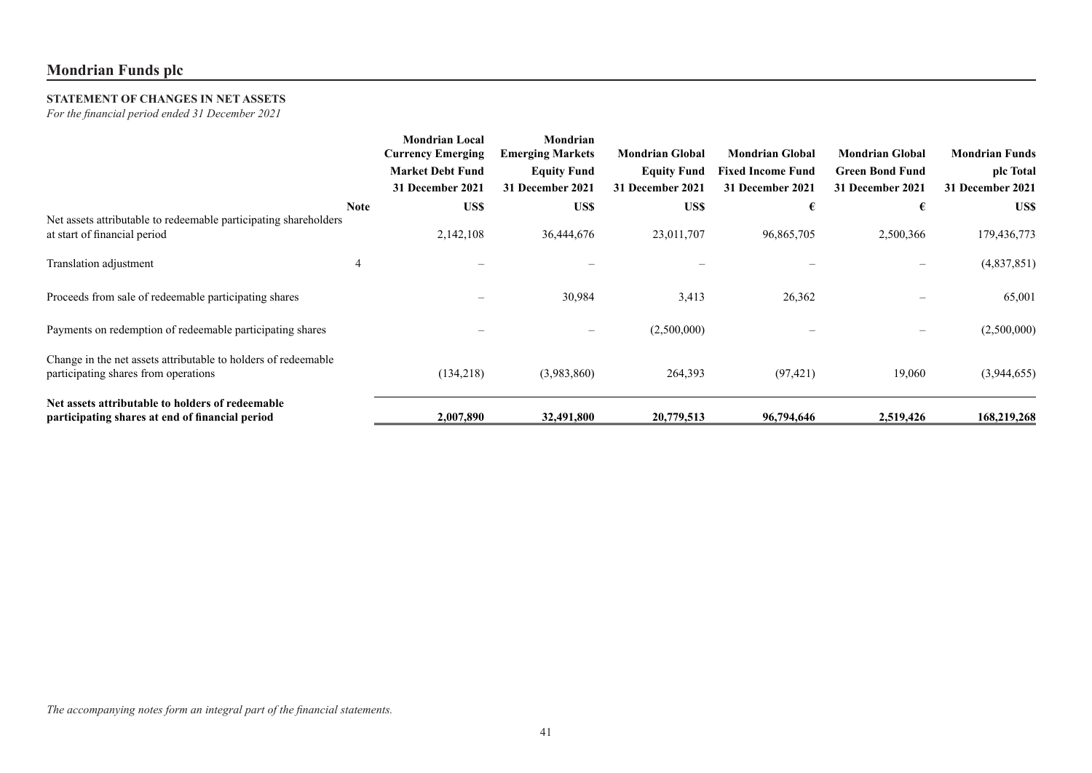# <span id="page-42-0"></span>**STATEMENT OF CHANGES IN NET ASSETS**

*For the financial period ended 31 December 2021*

|                                                                                                        |             | <b>Mondrian Local</b><br><b>Currency Emerging</b> | Mondrian<br><b>Emerging Markets</b> | <b>Mondrian Global</b> | <b>Mondrian Global</b>   | <b>Mondrian Global</b> | <b>Mondrian Funds</b> |
|--------------------------------------------------------------------------------------------------------|-------------|---------------------------------------------------|-------------------------------------|------------------------|--------------------------|------------------------|-----------------------|
|                                                                                                        |             | <b>Market Debt Fund</b>                           | <b>Equity Fund</b>                  | <b>Equity Fund</b>     | <b>Fixed Income Fund</b> | <b>Green Bond Fund</b> | plc Total             |
|                                                                                                        |             | 31 December 2021                                  | 31 December 2021                    | 31 December 2021       | 31 December 2021         | 31 December 2021       | 31 December 2021      |
|                                                                                                        | <b>Note</b> | US\$                                              | US\$                                | US\$                   | €                        | €                      | <b>USS</b>            |
| Net assets attributable to redeemable participating shareholders<br>at start of financial period       |             | 2,142,108                                         | 36,444,676                          | 23,011,707             | 96,865,705               | 2,500,366              | 179,436,773           |
| Translation adjustment                                                                                 | 4           |                                                   |                                     |                        |                          |                        | (4,837,851)           |
| Proceeds from sale of redeemable participating shares                                                  |             |                                                   | 30,984                              | 3,413                  | 26,362                   |                        | 65,001                |
| Payments on redemption of redeemable participating shares                                              |             |                                                   |                                     | (2,500,000)            |                          |                        | (2,500,000)           |
| Change in the net assets attributable to holders of redeemable<br>participating shares from operations |             | (134,218)                                         | (3,983,860)                         | 264,393                | (97, 421)                | 19,060                 | (3,944,655)           |
| Net assets attributable to holders of redeemable<br>participating shares at end of financial period    |             | 2,007,890                                         | 32,491,800                          | 20,779,513             | 96,794,646               | 2,519,426              | 168,219,268           |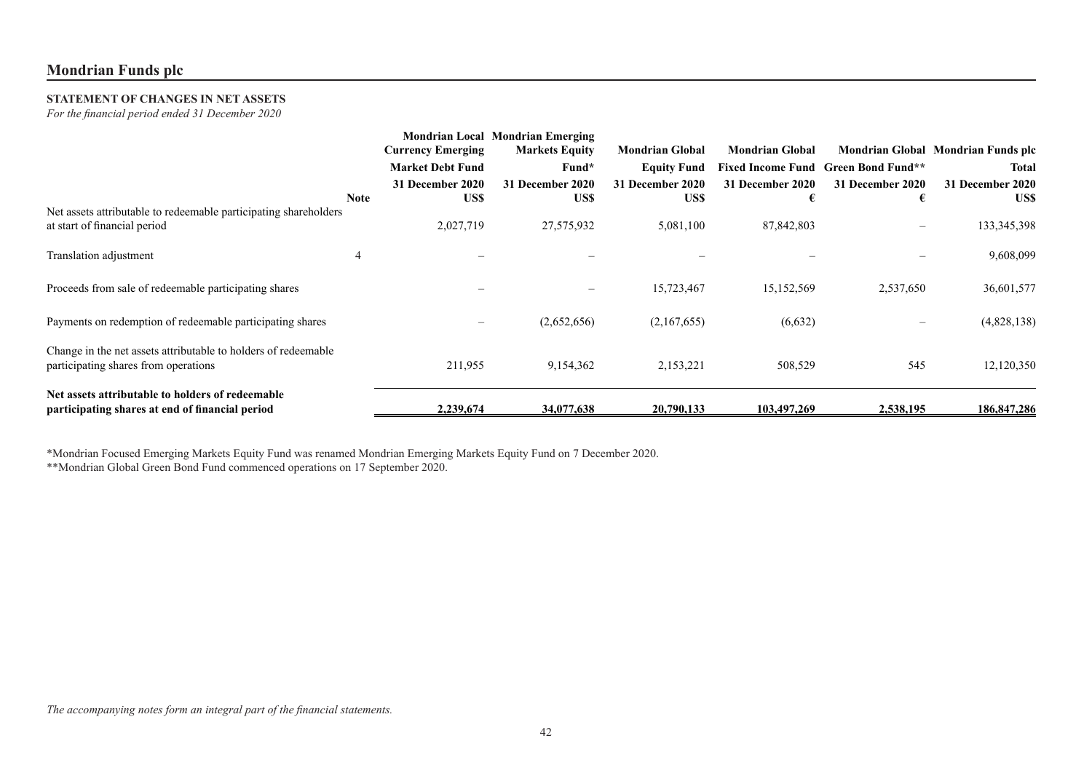# **STATEMENT OF CHANGES IN NET ASSETS**

*For the financial period ended 31 December 2020*

|                                                                                                        |             | Mondrian Local Mondrian Emerging<br><b>Currency Emerging</b><br><b>Markets Equity</b><br><b>Mondrian Global</b><br><b>Market Debt Fund</b><br>Fund*<br><b>Equity Fund</b> |                          | <b>Mondrian Global</b>   | <b>Fixed Income Fund Green Bond Fund**</b> | Mondrian Global Mondrian Funds plc<br>Total |                          |
|--------------------------------------------------------------------------------------------------------|-------------|---------------------------------------------------------------------------------------------------------------------------------------------------------------------------|--------------------------|--------------------------|--------------------------------------------|---------------------------------------------|--------------------------|
|                                                                                                        | <b>Note</b> | 31 December 2020<br>US\$                                                                                                                                                  | 31 December 2020<br>US\$ | 31 December 2020<br>US\$ | 31 December 2020                           | 31 December 2020                            | 31 December 2020<br>US\$ |
| Net assets attributable to redeemable participating shareholders<br>at start of financial period       |             | 2,027,719                                                                                                                                                                 | 27,575,932               | 5,081,100                | 87,842,803                                 |                                             | 133, 345, 398            |
| Translation adjustment                                                                                 | 4           |                                                                                                                                                                           |                          |                          |                                            |                                             | 9,608,099                |
| Proceeds from sale of redeemable participating shares                                                  |             |                                                                                                                                                                           |                          | 15,723,467               | 15,152,569                                 | 2,537,650                                   | 36,601,577               |
| Payments on redemption of redeemable participating shares                                              |             |                                                                                                                                                                           | (2,652,656)              | (2,167,655)              | (6,632)                                    | $\qquad \qquad$                             | (4,828,138)              |
| Change in the net assets attributable to holders of redeemable<br>participating shares from operations |             | 211,955                                                                                                                                                                   | 9,154,362                | 2,153,221                | 508,529                                    | 545                                         | 12,120,350               |
| Net assets attributable to holders of redeemable<br>participating shares at end of financial period    |             | 2,239,674                                                                                                                                                                 | 34,077,638               | 20,790,133               | 103,497,269                                | 2,538,195                                   | 186, 847, 286            |

\*Mondrian Focused Emerging Markets Equity Fund was renamed Mondrian Emerging Markets Equity Fund on 7 December 2020.

\*\*Mondrian Global Green Bond Fund commenced operations on 17 September 2020.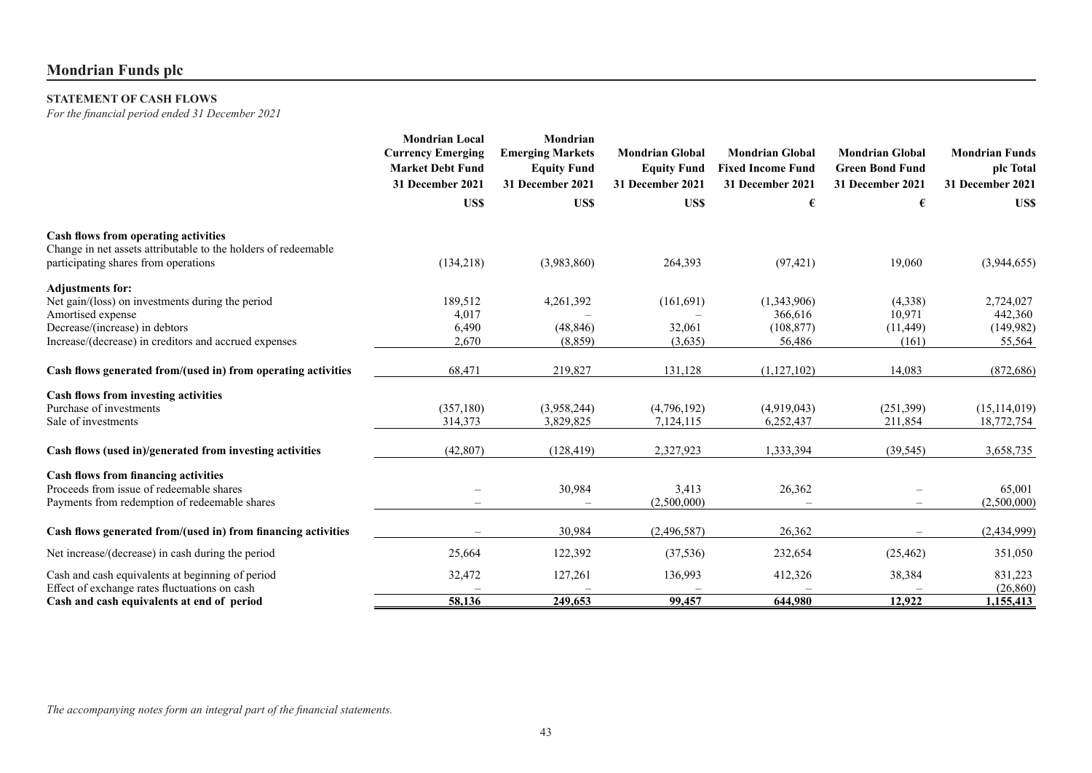# <span id="page-44-0"></span>**STATEMENT OF CASH FLOWS**

*For the financial period ended 31 December 2021*

|                                                                                                   | <b>Mondrian Local</b><br><b>Currency Emerging</b><br><b>Market Debt Fund</b><br>31 December 2021 | Mondrian<br><b>Emerging Markets</b><br><b>Equity Fund</b><br>31 December 2021 | <b>Mondrian Global</b><br><b>Equity Fund</b><br>31 December 2021 | <b>Mondrian Global</b><br><b>Fixed Income Fund</b><br>31 December 2021 | <b>Mondrian Global</b><br><b>Green Bond Fund</b><br>31 December 2021 | <b>Mondrian Funds</b><br>plc Total<br>31 December 2021 |
|---------------------------------------------------------------------------------------------------|--------------------------------------------------------------------------------------------------|-------------------------------------------------------------------------------|------------------------------------------------------------------|------------------------------------------------------------------------|----------------------------------------------------------------------|--------------------------------------------------------|
|                                                                                                   | US\$                                                                                             | US\$                                                                          | US\$                                                             | €                                                                      | €                                                                    | US\$                                                   |
| Cash flows from operating activities                                                              |                                                                                                  |                                                                               |                                                                  |                                                                        |                                                                      |                                                        |
| Change in net assets attributable to the holders of redeemable                                    |                                                                                                  |                                                                               |                                                                  |                                                                        |                                                                      |                                                        |
| participating shares from operations                                                              | (134,218)                                                                                        | (3,983,860)                                                                   | 264,393                                                          | (97, 421)                                                              | 19,060                                                               | (3,944,655)                                            |
| <b>Adjustments for:</b>                                                                           |                                                                                                  |                                                                               |                                                                  |                                                                        |                                                                      |                                                        |
| Net gain/(loss) on investments during the period                                                  | 189,512                                                                                          | 4,261,392                                                                     | (161,691)                                                        | (1,343,906)                                                            | (4,338)                                                              | 2,724,027                                              |
| Amortised expense                                                                                 | 4,017                                                                                            |                                                                               |                                                                  | 366,616                                                                | 10,971                                                               | 442,360                                                |
| Decrease/(increase) in debtors                                                                    | 6,490                                                                                            | (48, 846)                                                                     | 32,061                                                           | (108, 877)                                                             | (11, 449)                                                            | (149, 982)                                             |
| Increase/(decrease) in creditors and accrued expenses                                             | 2,670                                                                                            | (8, 859)                                                                      | (3,635)                                                          | 56,486                                                                 | (161)                                                                | 55,564                                                 |
| Cash flows generated from/(used in) from operating activities                                     | 68,471                                                                                           | 219,827                                                                       | 131,128                                                          | (1, 127, 102)                                                          | 14,083                                                               | (872, 686)                                             |
| <b>Cash flows from investing activities</b>                                                       |                                                                                                  |                                                                               |                                                                  |                                                                        |                                                                      |                                                        |
| Purchase of investments                                                                           | (357, 180)                                                                                       | (3,958,244)                                                                   | (4,796,192)                                                      | (4,919,043)                                                            | (251,399)                                                            | (15, 114, 019)                                         |
| Sale of investments                                                                               | 314,373                                                                                          | 3,829,825                                                                     | 7,124,115                                                        | 6,252,437                                                              | 211,854                                                              | 18,772,754                                             |
| Cash flows (used in)/generated from investing activities                                          | (42, 807)                                                                                        | (128, 419)                                                                    | 2,327,923                                                        | 1,333,394                                                              | (39, 545)                                                            | 3,658,735                                              |
| Cash flows from financing activities                                                              |                                                                                                  |                                                                               |                                                                  |                                                                        |                                                                      |                                                        |
| Proceeds from issue of redeemable shares                                                          |                                                                                                  | 30,984                                                                        | 3,413                                                            | 26,362                                                                 |                                                                      | 65,001                                                 |
| Payments from redemption of redeemable shares                                                     |                                                                                                  |                                                                               | (2,500,000)                                                      |                                                                        |                                                                      | (2,500,000)                                            |
| Cash flows generated from/(used in) from financing activities                                     |                                                                                                  | 30,984                                                                        | (2,496,587)                                                      | 26,362                                                                 |                                                                      | (2,434,999)                                            |
| Net increase/(decrease) in cash during the period                                                 | 25,664                                                                                           | 122,392                                                                       | (37, 536)                                                        | 232,654                                                                | (25, 462)                                                            | 351,050                                                |
| Cash and cash equivalents at beginning of period<br>Effect of exchange rates fluctuations on cash | 32,472                                                                                           | 127,261                                                                       | 136,993                                                          | 412,326                                                                | 38,384                                                               | 831,223<br>(26, 860)                                   |
| Cash and cash equivalents at end of period                                                        | 58.136                                                                                           | 249,653                                                                       | 99,457                                                           | 644,980                                                                | 12.922                                                               | 1,155,413                                              |
|                                                                                                   |                                                                                                  |                                                                               |                                                                  |                                                                        |                                                                      |                                                        |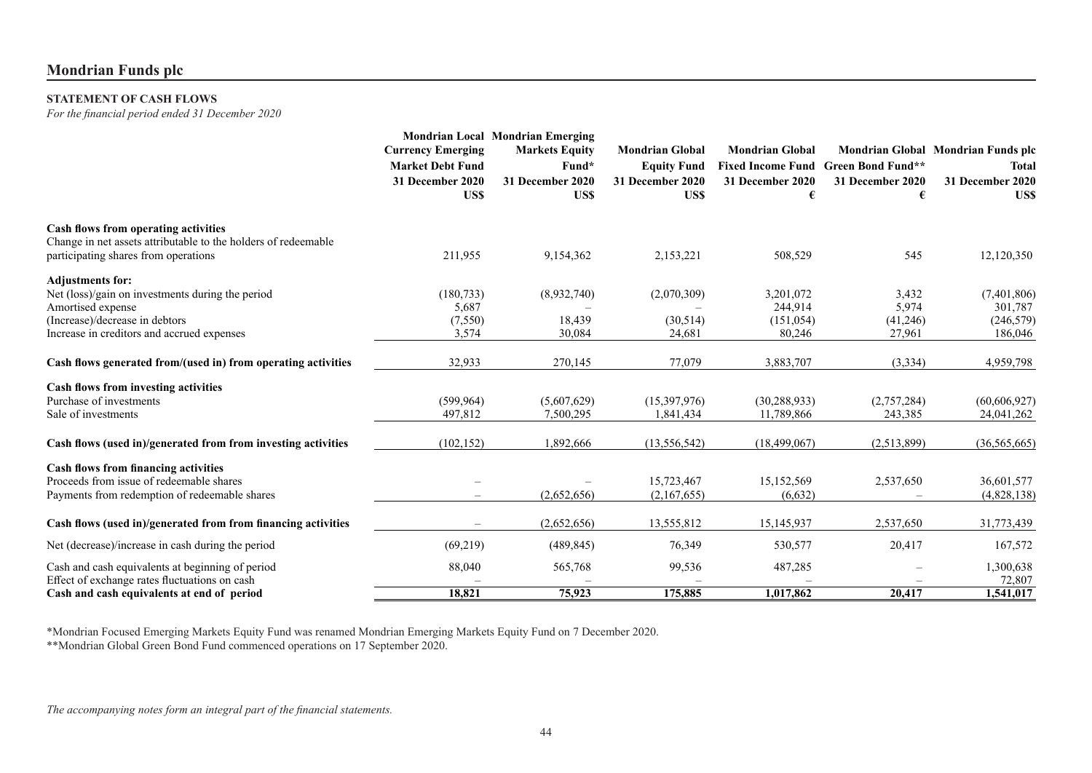# **STATEMENT OF CASH FLOWS**

*For the financial period ended 31 December 2020*

|                                                                                                        |                                                     | <b>Mondrian Local Mondrian Emerging</b> |                                              |                        |                                                         |                                                                        |
|--------------------------------------------------------------------------------------------------------|-----------------------------------------------------|-----------------------------------------|----------------------------------------------|------------------------|---------------------------------------------------------|------------------------------------------------------------------------|
|                                                                                                        | <b>Currency Emerging</b><br><b>Market Debt Fund</b> | <b>Markets Equity</b><br>Fund*          | <b>Mondrian Global</b><br><b>Equity Fund</b> | <b>Mondrian Global</b> | Fixed Income Fund Green Bond Fund**<br>31 December 2020 | Mondrian Global Mondrian Funds plc<br><b>Total</b><br>31 December 2020 |
|                                                                                                        | 31 December 2020                                    | 31 December 2020                        | 31 December 2020                             | 31 December 2020       |                                                         |                                                                        |
|                                                                                                        | US\$                                                | US\$                                    | US\$                                         |                        | €                                                       | <b>USS</b>                                                             |
| Cash flows from operating activities<br>Change in net assets attributable to the holders of redeemable |                                                     |                                         |                                              |                        |                                                         |                                                                        |
| participating shares from operations                                                                   | 211,955                                             | 9,154,362                               | 2,153,221                                    | 508,529                | 545                                                     | 12,120,350                                                             |
| <b>Adjustments for:</b>                                                                                |                                                     |                                         |                                              |                        |                                                         |                                                                        |
| Net (loss)/gain on investments during the period                                                       | (180, 733)                                          | (8,932,740)                             | (2,070,309)                                  | 3,201,072              | 3,432                                                   | (7,401,806)                                                            |
| Amortised expense                                                                                      | 5,687                                               |                                         |                                              | 244,914                | 5,974                                                   | 301,787                                                                |
| (Increase)/decrease in debtors                                                                         | (7,550)                                             | 18,439                                  | (30,514)                                     | (151, 054)             | (41,246)                                                | (246, 579)                                                             |
| Increase in creditors and accrued expenses                                                             | 3,574                                               | 30,084                                  | 24,681                                       | 80,246                 | 27,961                                                  | 186,046                                                                |
| Cash flows generated from/(used in) from operating activities                                          | 32,933                                              | 270,145                                 | 77,079                                       | 3,883,707              | (3, 334)                                                | 4,959,798                                                              |
| Cash flows from investing activities                                                                   |                                                     |                                         |                                              |                        |                                                         |                                                                        |
| Purchase of investments                                                                                | (599, 964)                                          | (5,607,629)                             | (15,397,976)                                 | (30, 288, 933)         | (2,757,284)                                             | (60, 606, 927)                                                         |
| Sale of investments                                                                                    | 497,812                                             | 7,500,295                               | 1,841,434                                    | 11,789,866             | 243,385                                                 | 24,041,262                                                             |
| Cash flows (used in)/generated from from investing activities                                          | (102, 152)                                          | 1,892,666                               | (13, 556, 542)                               | (18, 499, 067)         | (2,513,899)                                             | (36, 565, 665)                                                         |
| <b>Cash flows from financing activities</b>                                                            |                                                     |                                         |                                              |                        |                                                         |                                                                        |
| Proceeds from issue of redeemable shares                                                               |                                                     |                                         | 15,723,467                                   | 15,152,569             | 2,537,650                                               | 36,601,577                                                             |
| Payments from redemption of redeemable shares                                                          |                                                     | (2,652,656)                             | (2,167,655)                                  | (6,632)                |                                                         | (4,828,138)                                                            |
| Cash flows (used in)/generated from from financing activities                                          | $\overline{\phantom{0}}$                            | (2,652,656)                             | 13,555,812                                   | 15,145,937             | 2,537,650                                               | 31,773,439                                                             |
| Net (decrease)/increase in cash during the period                                                      | (69,219)                                            | (489, 845)                              | 76,349                                       | 530,577                | 20,417                                                  | 167,572                                                                |
| Cash and cash equivalents at beginning of period                                                       | 88,040                                              | 565,768                                 | 99,536                                       | 487,285                |                                                         | 1,300,638                                                              |
| Effect of exchange rates fluctuations on cash                                                          |                                                     |                                         |                                              |                        |                                                         | 72,807                                                                 |
| Cash and cash equivalents at end of period                                                             | 18,821                                              | 75,923                                  | 175,885                                      | 1,017,862              | 20,417                                                  | 1,541,017                                                              |

\*Mondrian Focused Emerging Markets Equity Fund was renamed Mondrian Emerging Markets Equity Fund on 7 December 2020.

\*\*Mondrian Global Green Bond Fund commenced operations on 17 September 2020.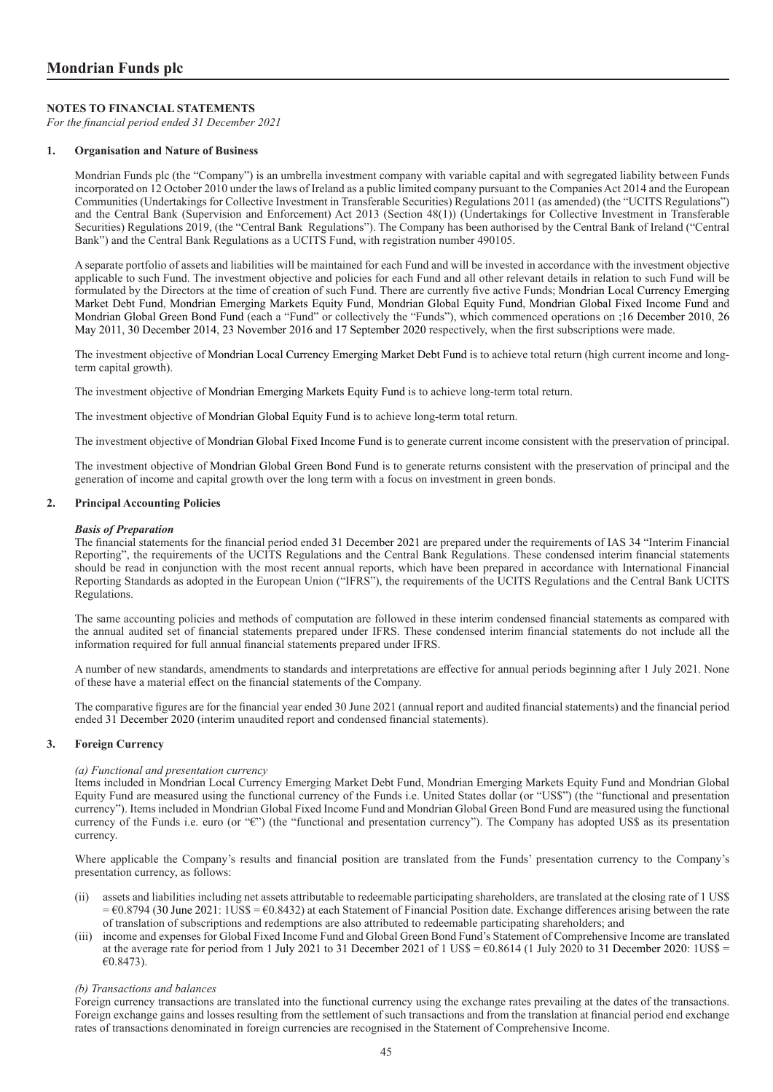## <span id="page-46-0"></span>**NOTES TO FINANCIAL STATEMENTS**

*For the financial period ended 31 December 2021*

#### **1. Organisation and Nature of Business**

Mondrian Funds plc (the "Company") is an umbrella investment company with variable capital and with segregated liability between Funds incorporated on 12 October 2010 under the laws of Ireland as a public limited company pursuant to the Companies Act 2014 and the European Communities (Undertakings for Collective Investment in Transferable Securities) Regulations 2011 (as amended) (the "UCITS Regulations") and the Central Bank (Supervision and Enforcement) Act 2013 (Section 48(1)) (Undertakings for Collective Investment in Transferable Securities) Regulations 2019, (the "Central Bank Regulations"). The Company has been authorised by the Central Bank of Ireland ("Central Bank") and the Central Bank Regulations as a UCITS Fund, with registration number 490105.

A separate portfolio of assets and liabilities will be maintained for each Fund and will be invested in accordance with the investment objective applicable to such Fund. The investment objective and policies for each Fund and all other relevant details in relation to such Fund will be formulated by the Directors at the time of creation of such Fund. There are currently five active Funds; Mondrian Local Currency Emerging Market Debt Fund, Mondrian Emerging Markets Equity Fund, Mondrian Global Equity Fund, Mondrian Global Fixed Income Fund and Mondrian Global Green Bond Fund (each a "Fund" or collectively the "Funds"), which commenced operations on ;16 December 2010, 26 May 2011, 30 December 2014, 23 November 2016 and 17 September 2020 respectively, when the first subscriptions were made.

The investment objective of Mondrian Local Currency Emerging Market Debt Fund is to achieve total return (high current income and longterm capital growth).

The investment objective of Mondrian Emerging Markets Equity Fund is to achieve long-term total return.

The investment objective of Mondrian Global Equity Fund is to achieve long-term total return.

The investment objective of Mondrian Global Fixed Income Fund is to generate current income consistent with the preservation of principal.

The investment objective of Mondrian Global Green Bond Fund is to generate returns consistent with the preservation of principal and the generation of income and capital growth over the long term with a focus on investment in green bonds.

#### **2. Principal Accounting Policies**

#### *Basis of Preparation*

The financial statements for the financial period ended 31 December 2021 are prepared under the requirements of IAS 34 "Interim Financial Reporting", the requirements of the UCITS Regulations and the Central Bank Regulations. These condensed interim financial statements should be read in conjunction with the most recent annual reports, which have been prepared in accordance with International Financial Reporting Standards as adopted in the European Union ("IFRS"), the requirements of the UCITS Regulations and the Central Bank UCITS Regulations.

The same accounting policies and methods of computation are followed in these interim condensed financial statements as compared with the annual audited set of financial statements prepared under IFRS. These condensed interim financial statements do not include all the information required for full annual financial statements prepared under IFRS.

A number of new standards, amendments to standards and interpretations are effective for annual periods beginning after 1 July 2021. None of these have a material effect on the financial statements of the Company.

The comparative figures are for the financial year ended 30 June 2021 (annual report and audited financial statements) and the financial period ended 31 December 2020 (interim unaudited report and condensed financial statements).

## **3. Foreign Currency**

#### *(a) Functional and presentation currency*

Items included in Mondrian Local Currency Emerging Market Debt Fund, Mondrian Emerging Markets Equity Fund and Mondrian Global Equity Fund are measured using the functional currency of the Funds i.e. United States dollar (or "US\$") (the "functional and presentation currency"). Items included in Mondrian Global Fixed Income Fund and Mondrian Global Green Bond Fund are measured using the functional currency of the Funds i.e. euro (or "€") (the "functional and presentation currency"). The Company has adopted US\$ as its presentation currency.

Where applicable the Company's results and financial position are translated from the Funds' presentation currency to the Company's presentation currency, as follows:

- (ii) assets and liabilities including net assets attributable to redeemable participating shareholders, are translated at the closing rate of 1 US\$  $= 60.8794$  (30 June 2021: 1US\$ =  $60.8432$ ) at each Statement of Financial Position date. Exchange differences arising between the rate of translation of subscriptions and redemptions are also attributed to redeemable participating shareholders; and
- (iii) income and expenses for Global Fixed Income Fund and Global Green Bond Fund's Statement of Comprehensive Income are translated at the average rate for period from 1 July 2021 to 31 December 2021 of 1 US\$ =  $60.8614$  (1 July 2020 to 31 December 2020: 1US\$ = €0.8473).

#### *(b) Transactions and balances*

Foreign currency transactions are translated into the functional currency using the exchange rates prevailing at the dates of the transactions. Foreign exchange gains and losses resulting from the settlement of such transactions and from the translation at financial period end exchange rates of transactions denominated in foreign currencies are recognised in the Statement of Comprehensive Income.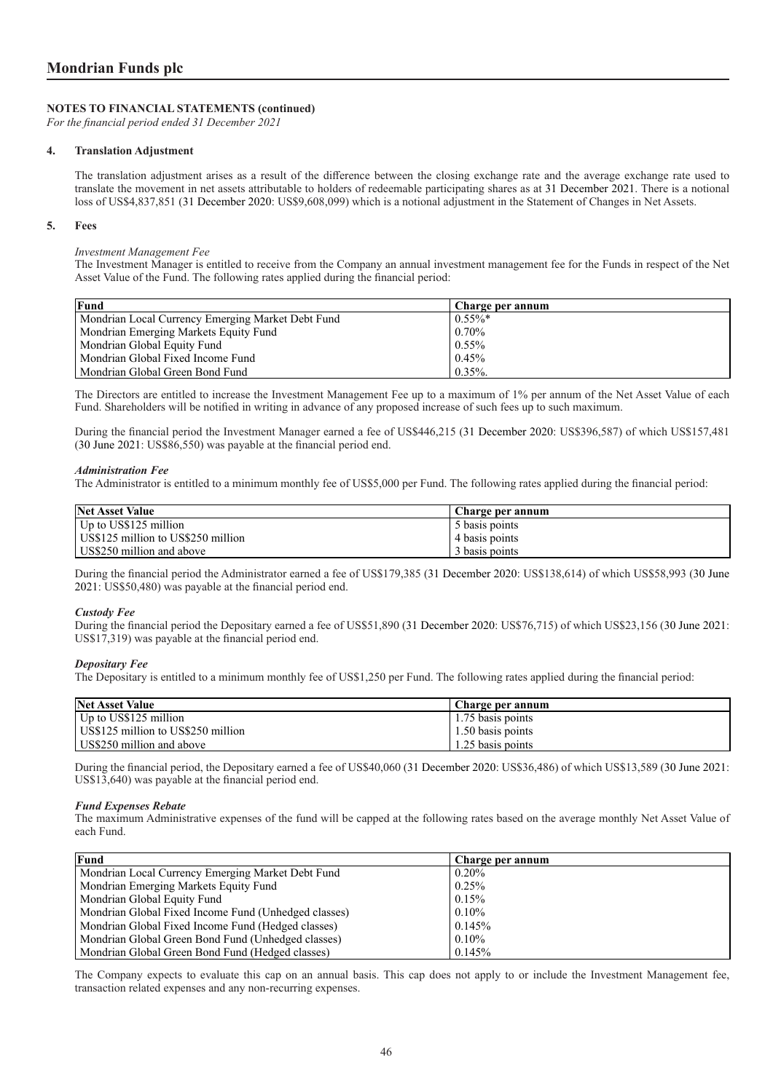*For the financial period ended 31 December 2021*

#### **4. Translation Adjustment**

The translation adjustment arises as a result of the difference between the closing exchange rate and the average exchange rate used to translate the movement in net assets attributable to holders of redeemable participating shares as at 31 December 2021. There is a notional loss of US\$4,837,851 (31 December 2020: US\$9,608,099) which is a notional adjustment in the Statement of Changes in Net Assets.

#### **5. Fees**

#### *Investment Management Fee*

The Investment Manager is entitled to receive from the Company an annual investment management fee for the Funds in respect of the Net Asset Value of the Fund. The following rates applied during the financial period:

| Fund                                              | Charge per annum |
|---------------------------------------------------|------------------|
| Mondrian Local Currency Emerging Market Debt Fund | $0.55\%$ *       |
| Mondrian Emerging Markets Equity Fund             | $0.70\%$         |
| Mondrian Global Equity Fund                       | $0.55\%$         |
| Mondrian Global Fixed Income Fund                 | 0.45%            |
| l Mondrian Global Green Bond Fund                 | $0.35\%$ .       |

The Directors are entitled to increase the Investment Management Fee up to a maximum of 1% per annum of the Net Asset Value of each Fund. Shareholders will be notified in writing in advance of any proposed increase of such fees up to such maximum.

During the financial period the Investment Manager earned a fee of US\$446,215 (31 December 2020: US\$396,587) of which US\$157,481 (30 June 2021: US\$86,550) was payable at the financial period end.

## *Administration Fee*

The Administrator is entitled to a minimum monthly fee of US\$5,000 per Fund. The following rates applied during the financial period:

| Net Asset Value                    | Charge per annum |
|------------------------------------|------------------|
| $\vert$ Up to US\$125 million      | 5 basis points   |
| US\$125 million to US\$250 million | 4 basis points   |
| US\$250 million and above          | 3 basis points   |

During the financial period the Administrator earned a fee of US\$179,385 (31 December 2020: US\$138,614) of which US\$58,993 (30 June 2021: US\$50,480) was payable at the financial period end.

## *Custody Fee*

During the financial period the Depositary earned a fee of US\$51,890 (31 December 2020: US\$76,715) of which US\$23,156 (30 June 2021: US\$17,319) was payable at the financial period end.

#### *Depositary Fee*

The Depositary is entitled to a minimum monthly fee of US\$1,250 per Fund. The following rates applied during the financial period:

| Net Asset Value                    | Charge per annum  |
|------------------------------------|-------------------|
| $\vert$ Up to US\$125 million      | 1.75 basis points |
| US\$125 million to US\$250 million | 1.50 basis points |
| US\$250 million and above          | 1.25 basis points |

During the financial period, the Depositary earned a fee of US\$40,060 (31 December 2020: US\$36,486) of which US\$13,589 (30 June 2021: US\$13,640) was payable at the financial period end.

#### *Fund Expenses Rebate*

The maximum Administrative expenses of the fund will be capped at the following rates based on the average monthly Net Asset Value of each Fund.

| Fund                                                 | Charge per annum |
|------------------------------------------------------|------------------|
| Mondrian Local Currency Emerging Market Debt Fund    | 0.20%            |
| Mondrian Emerging Markets Equity Fund                | 0.25%            |
| Mondrian Global Equity Fund                          | 0.15%            |
| Mondrian Global Fixed Income Fund (Unhedged classes) | $0.10\%$         |
| Mondrian Global Fixed Income Fund (Hedged classes)   | 0.145%           |
| Mondrian Global Green Bond Fund (Unhedged classes)   | $0.10\%$         |
| Mondrian Global Green Bond Fund (Hedged classes)     | 0.145%           |

The Company expects to evaluate this cap on an annual basis. This cap does not apply to or include the Investment Management fee, transaction related expenses and any non-recurring expenses.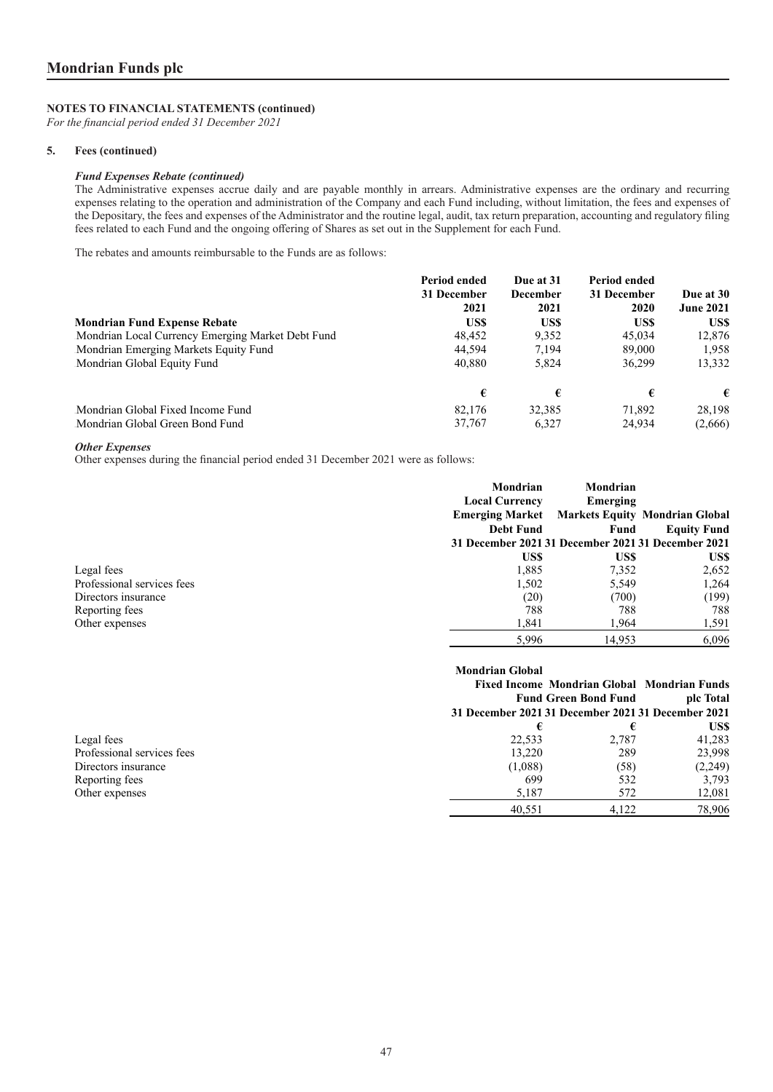*For the financial period ended 31 December 2021*

# **5. Fees (continued)**

## *Fund Expenses Rebate (continued)*

The Administrative expenses accrue daily and are payable monthly in arrears. Administrative expenses are the ordinary and recurring expenses relating to the operation and administration of the Company and each Fund including, without limitation, the fees and expenses of the Depositary, the fees and expenses of the Administrator and the routine legal, audit, tax return preparation, accounting and regulatory filing fees related to each Fund and the ongoing offering of Shares as set out in the Supplement for each Fund.

The rebates and amounts reimbursable to the Funds are as follows:

|                                                   | Period ended<br>31 December | Due at 31<br><b>December</b> | <b>Period ended</b><br>31 December | Due at 30        |
|---------------------------------------------------|-----------------------------|------------------------------|------------------------------------|------------------|
|                                                   | 2021                        | 2021                         | 2020                               | <b>June 2021</b> |
| <b>Mondrian Fund Expense Rebate</b>               | US\$                        | US\$                         | US\$                               | US\$             |
| Mondrian Local Currency Emerging Market Debt Fund | 48,452                      | 9,352                        | 45,034                             | 12,876           |
| Mondrian Emerging Markets Equity Fund             | 44,594                      | 7.194                        | 89,000                             | 1,958            |
| Mondrian Global Equity Fund                       | 40.880                      | 5.824                        | 36,299                             | 13,332           |
|                                                   | €                           | €                            | €                                  | €                |
| Mondrian Global Fixed Income Fund                 | 82,176                      | 32,385                       | 71,892                             | 28,198           |
| Mondrian Global Green Bond Fund                   | 37,767                      | 6.327                        | 24,934                             | (2,666)          |

#### *Other Expenses*

Other expenses during the financial period ended 31 December 2021 were as follows:

|                            | Mondrian                                           | Mondrian |                                       |
|----------------------------|----------------------------------------------------|----------|---------------------------------------|
|                            | <b>Local Currency</b>                              | Emerging |                                       |
|                            | <b>Emerging Market</b>                             |          | <b>Markets Equity Mondrian Global</b> |
|                            | <b>Debt Fund</b>                                   | Fund     | <b>Equity Fund</b>                    |
|                            | 31 December 2021 31 December 2021 31 December 2021 |          |                                       |
|                            | US\$                                               | US\$     | US\$                                  |
| Legal fees                 | 1,885                                              | 7,352    | 2,652                                 |
| Professional services fees | 1,502                                              | 5,549    | 1,264                                 |
| Directors insurance        | (20)                                               | (700)    | (199)                                 |
| Reporting fees             | 788                                                | 788      | 788                                   |
| Other expenses             | 1,841                                              | 1.964    | 1,591                                 |
|                            | 5,996                                              | 14,953   | 6,096                                 |

|                            | <b>Mondrian Global</b> |                                                    |           |
|----------------------------|------------------------|----------------------------------------------------|-----------|
|                            |                        | Fixed Income Mondrian Global Mondrian Funds        |           |
|                            |                        | <b>Fund Green Bond Fund</b>                        | plc Total |
|                            |                        | 31 December 2021 31 December 2021 31 December 2021 |           |
|                            |                        |                                                    | US\$      |
| Legal fees                 | 22.533                 | 2,787                                              | 41,283    |
| Professional services fees | 13.220                 | 289                                                | 23,998    |
| Directors insurance        | (1,088)                | (58)                                               | (2,249)   |
| Reporting fees             | 699                    | 532                                                | 3,793     |
| Other expenses             | 5,187                  | 572                                                | 12,081    |
|                            | 40,551                 | 4.122                                              | 78,906    |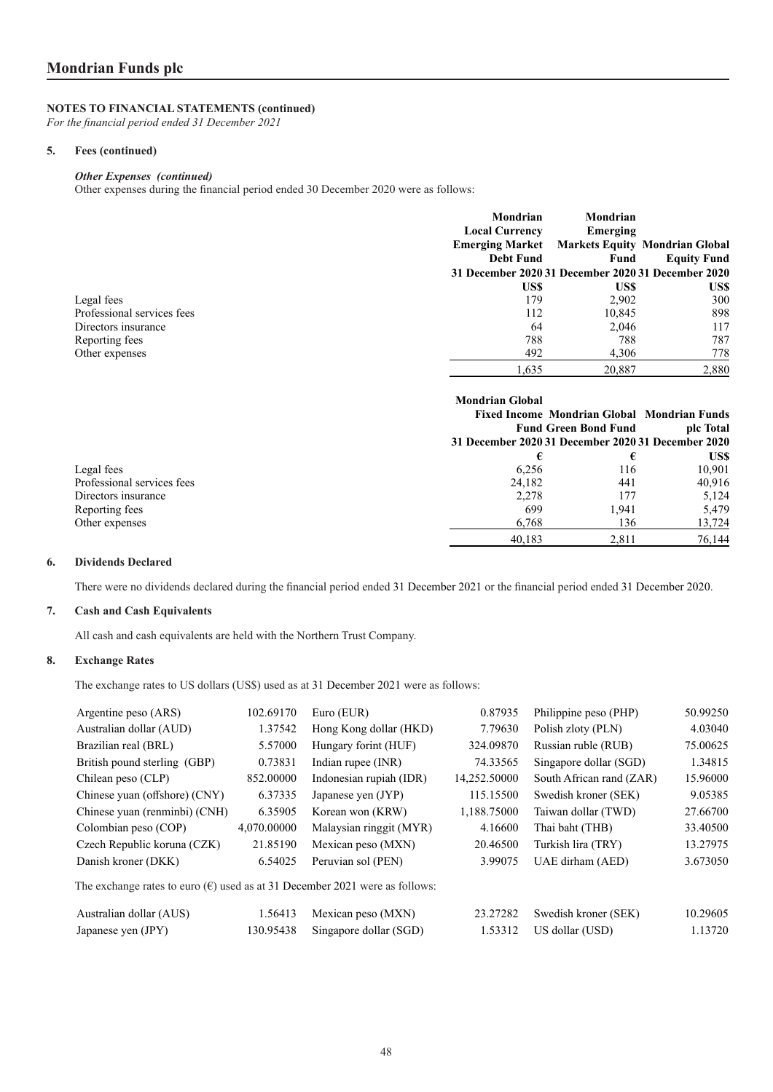*For the financial period ended 31 December 2021*

# **5. Fees (continued)**

#### *Other Expenses (continued)*

Other expenses during the financial period ended 30 December 2020 were as follows:

|                            | Mondrian                                           | Mondrian |                                       |
|----------------------------|----------------------------------------------------|----------|---------------------------------------|
|                            | <b>Local Currency</b>                              | Emerging |                                       |
|                            | <b>Emerging Market</b>                             |          | <b>Markets Equity Mondrian Global</b> |
|                            | <b>Debt Fund</b>                                   | Fund     | <b>Equity Fund</b>                    |
|                            | 31 December 2020 31 December 2020 31 December 2020 |          |                                       |
|                            | US\$                                               | US\$     | US\$                                  |
| Legal fees                 | 179                                                | 2.902    | 300                                   |
| Professional services fees | 112                                                | 10.845   | 898                                   |
| Directors insurance        | 64                                                 | 2.046    | 117                                   |
| Reporting fees             | 788                                                | 788      | 787                                   |
| Other expenses             | 492                                                | 4,306    | 778                                   |
|                            | 1,635                                              | 20,887   | 2,880                                 |

|                            | <b>Mondrian Global</b><br>Fixed Income Mondrian Global Mondrian Funds<br><b>Fund Green Bond Fund</b><br>31 December 2020 31 December 2020 31 December 2020 |       | plc Total |  |
|----------------------------|------------------------------------------------------------------------------------------------------------------------------------------------------------|-------|-----------|--|
|                            |                                                                                                                                                            |       | US\$      |  |
| Legal fees                 | 6,256                                                                                                                                                      | 116   | 10,901    |  |
| Professional services fees | 24.182                                                                                                                                                     | 441   | 40,916    |  |
| Directors insurance        | 2,278                                                                                                                                                      | 177   | 5,124     |  |
| Reporting fees             | 699                                                                                                                                                        | 1.941 | 5,479     |  |
| Other expenses             | 6,768                                                                                                                                                      | 136   | 13,724    |  |
|                            | 40,183                                                                                                                                                     | 2.811 | 76,144    |  |

# **6. Dividends Declared**

There were no dividends declared during the financial period ended 31 December 2021 or the financial period ended 31 December 2020.

# **7. Cash and Cash Equivalents**

All cash and cash equivalents are held with the Northern Trust Company.

# **8. Exchange Rates**

The exchange rates to US dollars (US\$) used as at 31 December 2021 were as follows:

| Argentine peso (ARS)                                                                   | 102.69170   | Euro (EUR)              | 0.87935      | Philippine peso (PHP)    | 50.99250 |
|----------------------------------------------------------------------------------------|-------------|-------------------------|--------------|--------------------------|----------|
| Australian dollar (AUD)                                                                | 1.37542     | Hong Kong dollar (HKD)  | 7.79630      | Polish zloty (PLN)       | 4.03040  |
| Brazilian real (BRL)                                                                   | 5.57000     | Hungary forint (HUF)    | 324.09870    | Russian ruble (RUB)      | 75.00625 |
| British pound sterling (GBP)                                                           | 0.73831     | Indian rupee (INR)      | 74.33565     | Singapore dollar (SGD)   | 1.34815  |
| Chilean peso (CLP)                                                                     | 852.00000   | Indonesian rupiah (IDR) | 14,252.50000 | South African rand (ZAR) | 15.96000 |
| Chinese yuan (offshore) (CNY)                                                          | 6.37335     | Japanese yen (JYP)      | 115.15500    | Swedish kroner (SEK)     | 9.05385  |
| Chinese yuan (renminbi) (CNH)                                                          | 6.35905     | Korean won (KRW)        | 1,188.75000  | Taiwan dollar (TWD)      | 27.66700 |
| Colombian peso (COP)                                                                   | 4,070.00000 | Malaysian ringgit (MYR) | 4.16600      | Thai baht (THB)          | 33.40500 |
| Czech Republic koruna (CZK)                                                            | 21.85190    | Mexican peso (MXN)      | 20.46500     | Turkish lira (TRY)       | 13.27975 |
| Danish kroner (DKK)                                                                    | 6.54025     | Peruvian sol (PEN)      | 3.99075      | UAE dirham (AED)         | 3.673050 |
| The exchange rates to euro ( $\epsilon$ ) used as at 31 December 2021 were as follows: |             |                         |              |                          |          |
| Australian dollar (AUS)                                                                | 1.56413     | Mexican peso (MXN)      | 23.27282     | Swedish kroner (SEK)     | 10.29605 |
| Japanese yen (JPY)                                                                     | 130.95438   | Singapore dollar (SGD)  | 1.53312      | US dollar (USD)          | 1.13720  |
|                                                                                        |             |                         |              |                          |          |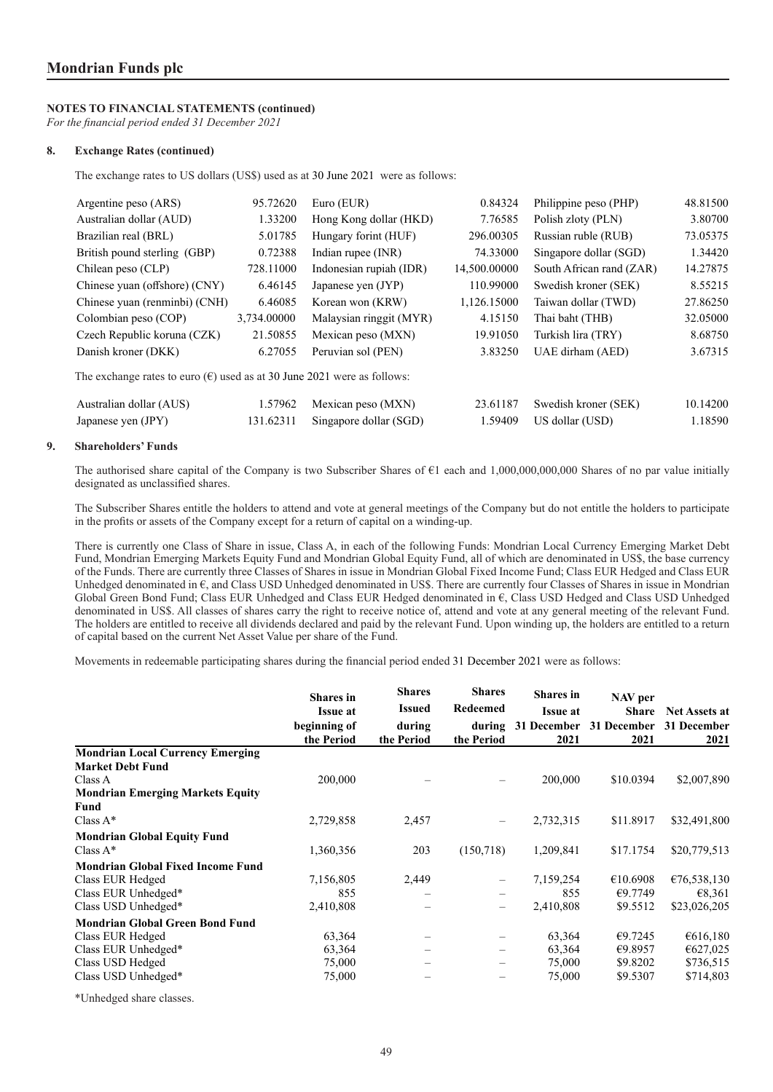*For the financial period ended 31 December 2021*

#### **8. Exchange Rates (continued)**

The exchange rates to US dollars (US\$) used as at 30 June 2021 were as follows:

| Argentine peso (ARS)                                                               | 95.72620    | Euro (EUR)              | 0.84324      | Philippine peso (PHP)    | 48.81500 |
|------------------------------------------------------------------------------------|-------------|-------------------------|--------------|--------------------------|----------|
| Australian dollar (AUD)                                                            | 1.33200     | Hong Kong dollar (HKD)  | 7.76585      | Polish zloty (PLN)       | 3.80700  |
| Brazilian real (BRL)                                                               | 5.01785     | Hungary forint (HUF)    | 296.00305    | Russian ruble (RUB)      | 73.05375 |
| British pound sterling (GBP)                                                       | 0.72388     | Indian rupee (INR)      | 74.33000     | Singapore dollar (SGD)   | 1.34420  |
| Chilean peso (CLP)                                                                 | 728.11000   | Indonesian rupiah (IDR) | 14,500.00000 | South African rand (ZAR) | 14.27875 |
| Chinese yuan (offshore) (CNY)                                                      | 6.46145     | Japanese yen (JYP)      | 110.99000    | Swedish kroner (SEK)     | 8.55215  |
| Chinese yuan (renminbi) (CNH)                                                      | 6.46085     | Korean won (KRW)        | 1,126.15000  | Taiwan dollar (TWD)      | 27.86250 |
| Colombian peso (COP)                                                               | 3,734.00000 | Malaysian ringgit (MYR) | 4.15150      | Thai baht (THB)          | 32.05000 |
| Czech Republic koruna (CZK)                                                        | 21.50855    | Mexican peso (MXN)      | 19.91050     | Turkish lira (TRY)       | 8.68750  |
| Danish kroner (DKK)                                                                | 6.27055     | Peruvian sol (PEN)      | 3.83250      | UAE dirham (AED)         | 3.67315  |
| The exchange rates to euro ( $\epsilon$ ) used as at 30 June 2021 were as follows: |             |                         |              |                          |          |
| Australian dollar (AUS)                                                            | 1.57962     | Mexican peso (MXN)      | 23.61187     | Swedish kroner (SEK)     | 10.14200 |
| Japanese yen (JPY)                                                                 | 131.62311   | Singapore dollar (SGD)  | 1.59409      | US dollar (USD)          | 1.18590  |

#### **9. Shareholders' Funds**

The authorised share capital of the Company is two Subscriber Shares of  $\epsilon$ 1 each and 1,000,000,000,000 Shares of no par value initially designated as unclassified shares.

The Subscriber Shares entitle the holders to attend and vote at general meetings of the Company but do not entitle the holders to participate in the profits or assets of the Company except for a return of capital on a winding-up.

There is currently one Class of Share in issue, Class A, in each of the following Funds: Mondrian Local Currency Emerging Market Debt Fund, Mondrian Emerging Markets Equity Fund and Mondrian Global Equity Fund, all of which are denominated in US\$, the base currency of the Funds. There are currently three Classes of Shares in issue in Mondrian Global Fixed Income Fund; Class EUR Hedged and Class EUR Unhedged denominated in €, and Class USD Unhedged denominated in US\$. There are currently four Classes of Shares in issue in Mondrian Global Green Bond Fund; Class EUR Unhedged and Class EUR Hedged denominated in €, Class USD Hedged and Class USD Unhedged denominated in US\$. All classes of shares carry the right to receive notice of, attend and vote at any general meeting of the relevant Fund. The holders are entitled to receive all dividends declared and paid by the relevant Fund. Upon winding up, the holders are entitled to a return of capital based on the current Net Asset Value per share of the Fund.

Movements in redeemable participating shares during the financial period ended 31 December 2021 were as follows:

|                                          | <b>Shares</b> in<br><b>Issue at</b> | <b>Shares</b><br>Issued | <b>Shares</b><br><b>Redeemed</b> | <b>Shares</b> in<br><b>Issue at</b> | NAV per<br><b>Share</b> | <b>Net Assets at</b> |
|------------------------------------------|-------------------------------------|-------------------------|----------------------------------|-------------------------------------|-------------------------|----------------------|
|                                          | beginning of                        | during                  | during                           | 31 December                         | 31 December             | 31 December          |
|                                          | the Period                          | the Period              | the Period                       | 2021                                | 2021                    | 2021                 |
| <b>Mondrian Local Currency Emerging</b>  |                                     |                         |                                  |                                     |                         |                      |
| <b>Market Debt Fund</b>                  |                                     |                         |                                  |                                     |                         |                      |
| Class A                                  | 200,000                             |                         |                                  | 200,000                             | \$10.0394               | \$2,007,890          |
| <b>Mondrian Emerging Markets Equity</b>  |                                     |                         |                                  |                                     |                         |                      |
| Fund                                     |                                     |                         |                                  |                                     |                         |                      |
| Class $A^*$                              | 2,729,858                           | 2,457                   |                                  | 2,732,315                           | \$11.8917               | \$32,491,800         |
| <b>Mondrian Global Equity Fund</b>       |                                     |                         |                                  |                                     |                         |                      |
| Class $A^*$                              | 1,360,356                           | 203                     | (150,718)                        | 1,209,841                           | \$17.1754               | \$20,779,513         |
| <b>Mondrian Global Fixed Income Fund</b> |                                     |                         |                                  |                                     |                         |                      |
| Class EUR Hedged                         | 7,156,805                           | 2,449                   | $\overline{\phantom{0}}$         | 7,159,254                           | €10.6908                | €76,538,130          |
| Class EUR Unhedged*                      | 855                                 |                         |                                  | 855                                 | €9.7749                 | €8,361               |
| Class USD Unhedged*                      | 2,410,808                           |                         |                                  | 2,410,808                           | \$9.5512                | \$23,026,205         |
| <b>Mondrian Global Green Bond Fund</b>   |                                     |                         |                                  |                                     |                         |                      |
| Class EUR Hedged                         | 63,364                              |                         |                                  | 63,364                              | €9.7245                 | €616,180             |
| Class EUR Unhedged*                      | 63,364                              |                         | $\qquad \qquad$                  | 63,364                              | €9.8957                 | €627,025             |
| Class USD Hedged                         | 75,000                              |                         |                                  | 75,000                              | \$9.8202                | \$736,515            |
| Class USD Unhedged*                      | 75,000                              |                         |                                  | 75,000                              | \$9.5307                | \$714,803            |

\*Unhedged share classes.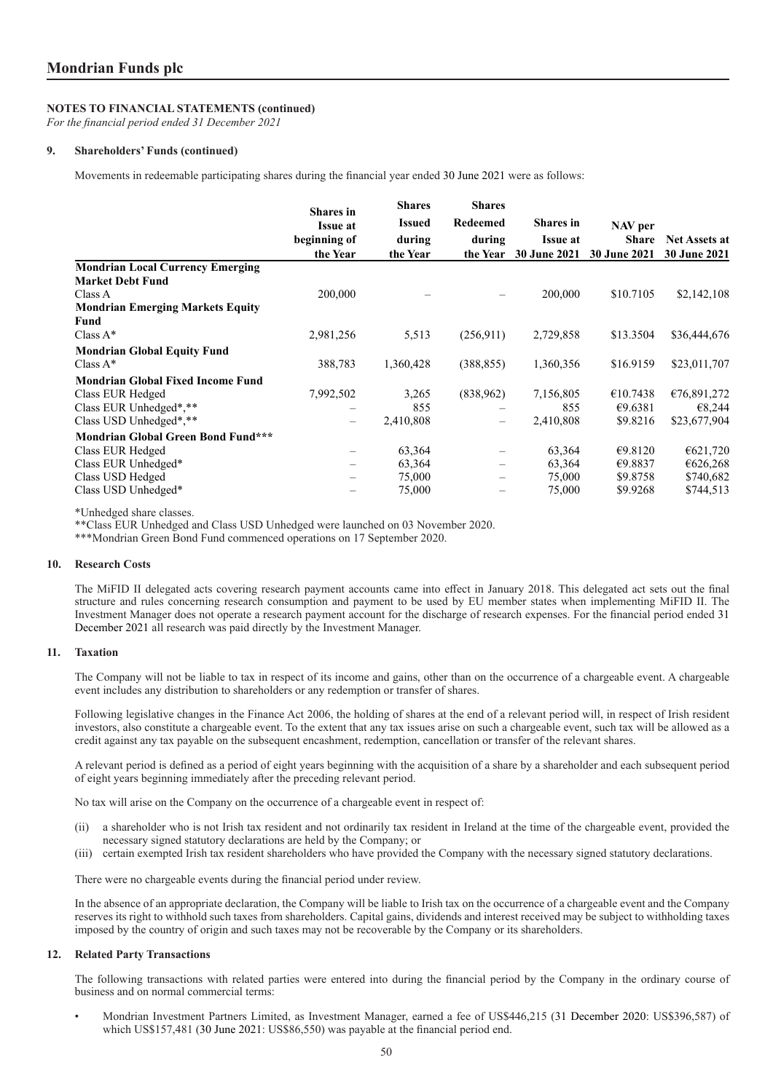*For the financial period ended 31 December 2021*

#### **9. Shareholders' Funds (continued)**

Movements in redeemable participating shares during the financial year ended 30 June 2021 were as follows:

|                                           | <b>Shares</b> in | <b>Shares</b> | <b>Shares</b>   |                     |                     |                      |
|-------------------------------------------|------------------|---------------|-----------------|---------------------|---------------------|----------------------|
|                                           | <b>Issue at</b>  | Issued        | <b>Redeemed</b> | <b>Shares</b> in    | NAV per             |                      |
|                                           | beginning of     | during        | during          | <b>Issue at</b>     | Share               | <b>Net Assets at</b> |
|                                           | the Year         | the Year      | the Year        | <b>30 June 2021</b> | <b>30 June 2021</b> | <b>30 June 2021</b>  |
| <b>Mondrian Local Currency Emerging</b>   |                  |               |                 |                     |                     |                      |
| <b>Market Debt Fund</b>                   |                  |               |                 |                     |                     |                      |
| Class A                                   | 200,000          |               |                 | 200,000             | \$10.7105           | \$2,142,108          |
| <b>Mondrian Emerging Markets Equity</b>   |                  |               |                 |                     |                     |                      |
| Fund                                      |                  |               |                 |                     |                     |                      |
| Class $A^*$                               | 2,981,256        | 5,513         | (256,911)       | 2,729,858           | \$13.3504           | \$36,444,676         |
| <b>Mondrian Global Equity Fund</b>        |                  |               |                 |                     |                     |                      |
| Class $A^*$                               | 388,783          | 1,360,428     | (388, 855)      | 1,360,356           | \$16.9159           | \$23,011,707         |
| <b>Mondrian Global Fixed Income Fund</b>  |                  |               |                 |                     |                     |                      |
| Class EUR Hedged                          | 7,992,502        | 3,265         | (838,962)       | 7,156,805           | €10.7438            | €76,891,272          |
| Class EUR Unhedged*,**                    |                  | 855           |                 | 855                 | €9.6381             | €8,244               |
| Class USD Unhedged*,**                    |                  | 2,410,808     |                 | 2,410,808           | \$9.8216            | \$23,677,904         |
| <b>Mondrian Global Green Bond Fund***</b> |                  |               |                 |                     |                     |                      |
| Class EUR Hedged                          |                  | 63,364        |                 | 63,364              | €9.8120             | €621,720             |
| Class EUR Unhedged*                       |                  | 63,364        |                 | 63,364              | €9.8837             | €626,268             |
| Class USD Hedged                          |                  | 75,000        |                 | 75,000              | \$9.8758            | \$740,682            |
| Class USD Unhedged*                       |                  | 75,000        |                 | 75,000              | \$9.9268            | \$744,513            |

\*Unhedged share classes.

\*\*Class EUR Unhedged and Class USD Unhedged were launched on 03 November 2020.

\*\*\*Mondrian Green Bond Fund commenced operations on 17 September 2020.

#### **10. Research Costs**

The MiFID II delegated acts covering research payment accounts came into effect in January 2018. This delegated act sets out the final structure and rules concerning research consumption and payment to be used by EU member states when implementing MiFID II. The Investment Manager does not operate a research payment account for the discharge of research expenses. For the financial period ended 31 December 2021 all research was paid directly by the Investment Manager.

#### **11. Taxation**

The Company will not be liable to tax in respect of its income and gains, other than on the occurrence of a chargeable event. A chargeable event includes any distribution to shareholders or any redemption or transfer of shares.

Following legislative changes in the Finance Act 2006, the holding of shares at the end of a relevant period will, in respect of Irish resident investors, also constitute a chargeable event. To the extent that any tax issues arise on such a chargeable event, such tax will be allowed as a credit against any tax payable on the subsequent encashment, redemption, cancellation or transfer of the relevant shares.

A relevant period is defined as a period of eight years beginning with the acquisition of a share by a shareholder and each subsequent period of eight years beginning immediately after the preceding relevant period.

No tax will arise on the Company on the occurrence of a chargeable event in respect of:

- (ii) a shareholder who is not Irish tax resident and not ordinarily tax resident in Ireland at the time of the chargeable event, provided the necessary signed statutory declarations are held by the Company; or
- (iii) certain exempted Irish tax resident shareholders who have provided the Company with the necessary signed statutory declarations.

There were no chargeable events during the financial period under review.

In the absence of an appropriate declaration, the Company will be liable to Irish tax on the occurrence of a chargeable event and the Company reserves its right to withhold such taxes from shareholders. Capital gains, dividends and interest received may be subject to withholding taxes imposed by the country of origin and such taxes may not be recoverable by the Company or its shareholders.

#### **12. Related Party Transactions**

The following transactions with related parties were entered into during the financial period by the Company in the ordinary course of business and on normal commercial terms:

• Mondrian Investment Partners Limited, as Investment Manager, earned a fee of US\$446,215 (31 December 2020: US\$396,587) of which US\$157,481 (30 June 2021: US\$86,550) was payable at the financial period end.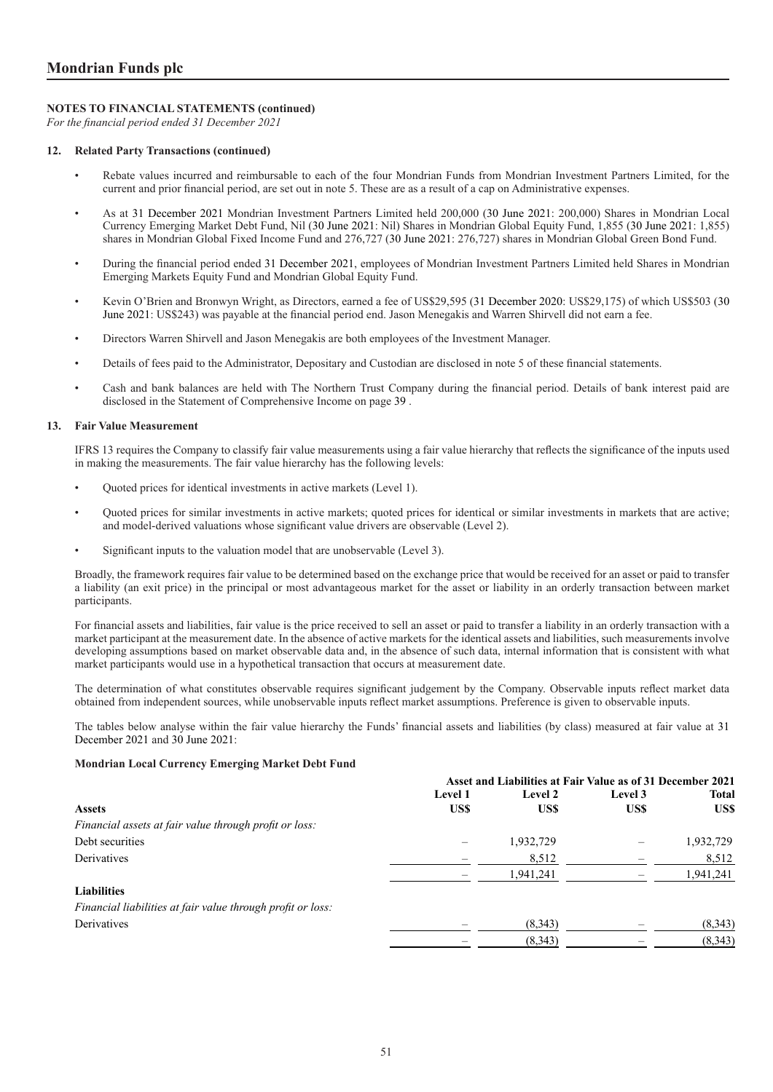*For the financial period ended 31 December 2021*

#### **12. Related Party Transactions (continued)**

- Rebate values incurred and reimbursable to each of the four Mondrian Funds from Mondrian Investment Partners Limited, for the current and prior financial period, are set out in note 5. These are as a result of a cap on Administrative expenses.
- As at 31 December 2021 Mondrian Investment Partners Limited held 200,000 (30 June 2021: 200,000) Shares in Mondrian Local Currency Emerging Market Debt Fund, Nil (30 June 2021: Nil) Shares in Mondrian Global Equity Fund, 1,855 (30 June 2021: 1,855) shares in Mondrian Global Fixed Income Fund and 276,727 (30 June 2021: 276,727) shares in Mondrian Global Green Bond Fund.
- During the financial period ended 31 December 2021, employees of Mondrian Investment Partners Limited held Shares in Mondrian Emerging Markets Equity Fund and Mondrian Global Equity Fund.
- Kevin O'Brien and Bronwyn Wright, as Directors, earned a fee of US\$29,595 (31 December 2020: US\$29,175) of which US\$503 (30 June 2021: US\$243) was payable at the financial period end. Jason Menegakis and Warren Shirvell did not earn a fee.
- Directors Warren Shirvell and Jason Menegakis are both employees of the Investment Manager.
- Details of fees paid to the Administrator, Depositary and Custodian are disclosed in note 5 of these financial statements.
- Cash and bank balances are held with The Northern Trust Company during the financial period. Details of bank interest paid are disclosed in the Statement of Comprehensive Income on page 39 .

## **13. Fair Value Measurement**

IFRS 13 requires the Company to classify fair value measurements using a fair value hierarchy that reflects the significance of the inputs used in making the measurements. The fair value hierarchy has the following levels:

- Quoted prices for identical investments in active markets (Level 1).
- Quoted prices for similar investments in active markets; quoted prices for identical or similar investments in markets that are active; and model-derived valuations whose significant value drivers are observable (Level 2).
- Significant inputs to the valuation model that are unobservable (Level 3).

Broadly, the framework requires fair value to be determined based on the exchange price that would be received for an asset or paid to transfer a liability (an exit price) in the principal or most advantageous market for the asset or liability in an orderly transaction between market participants.

For financial assets and liabilities, fair value is the price received to sell an asset or paid to transfer a liability in an orderly transaction with a market participant at the measurement date. In the absence of active markets for the identical assets and liabilities, such measurements involve developing assumptions based on market observable data and, in the absence of such data, internal information that is consistent with what market participants would use in a hypothetical transaction that occurs at measurement date.

The determination of what constitutes observable requires significant judgement by the Company. Observable inputs reflect market data obtained from independent sources, while unobservable inputs reflect market assumptions. Preference is given to observable inputs.

The tables below analyse within the fair value hierarchy the Funds' financial assets and liabilities (by class) measured at fair value at 31 December 2021 and 30 June 2021:

#### **Mondrian Local Currency Emerging Market Debt Fund**

| Asset and Liabilities at Fair Value as of 31 December 2021 |                |         |           |
|------------------------------------------------------------|----------------|---------|-----------|
| <b>Level 1</b>                                             | <b>Level 2</b> | Level 3 | Total     |
| US\$                                                       | US\$           | US\$    | US\$      |
|                                                            |                |         |           |
|                                                            | 1,932,729      |         | 1,932,729 |
|                                                            | 8,512          |         | 8,512     |
|                                                            | 1,941,241      |         | 1,941,241 |
|                                                            |                |         |           |
|                                                            |                |         |           |
|                                                            | (8,343)        |         | (8,343)   |
|                                                            | (8,343)        |         | (8,343)   |
|                                                            |                |         |           |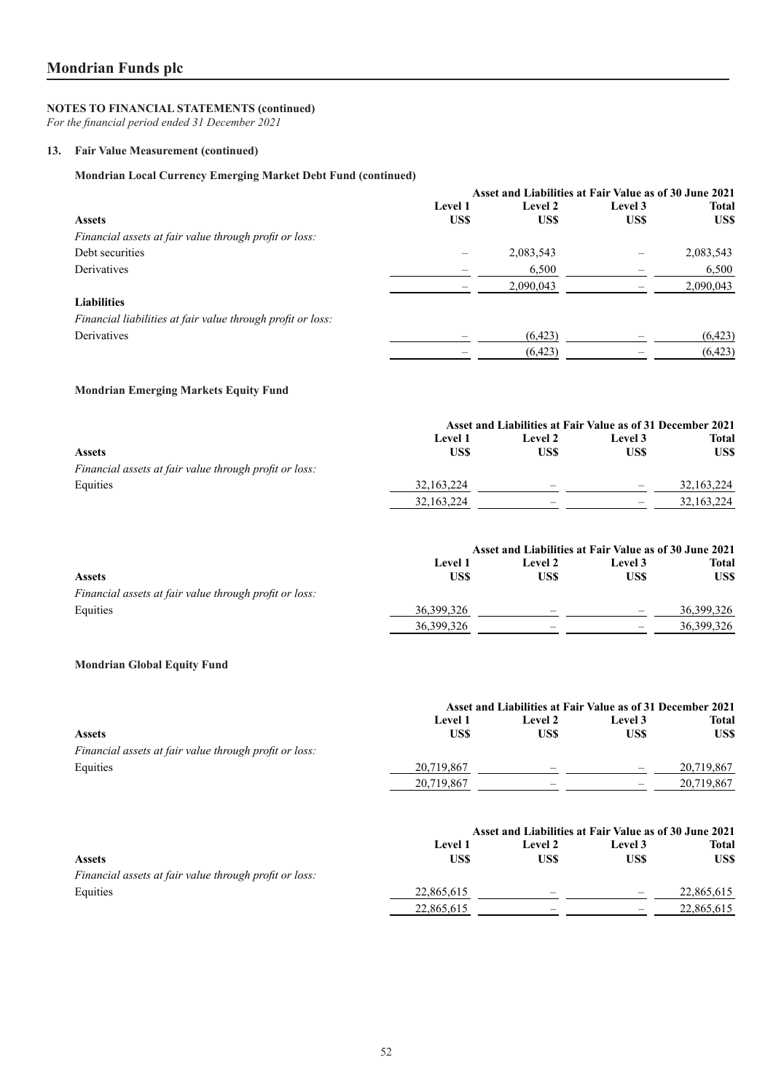*For the financial period ended 31 December 2021*

# **13. Fair Value Measurement (continued)**

# **Mondrian Local Currency Emerging Market Debt Fund (continued)**

|                                                             | Asset and Liabilities at Fair Value as of 30 June 2021 |                |                |              |
|-------------------------------------------------------------|--------------------------------------------------------|----------------|----------------|--------------|
|                                                             | <b>Level 1</b>                                         | <b>Level 2</b> | <b>Level 3</b> | <b>Total</b> |
| <b>Assets</b>                                               | US\$                                                   | US\$           | US\$           | US\$         |
| Financial assets at fair value through profit or loss:      |                                                        |                |                |              |
| Debt securities                                             |                                                        | 2,083,543      |                | 2,083,543    |
| Derivatives                                                 |                                                        | 6,500          |                | 6,500        |
|                                                             |                                                        | 2,090,043      |                | 2,090,043    |
| <b>Liabilities</b>                                          |                                                        |                |                |              |
| Financial liabilities at fair value through profit or loss: |                                                        |                |                |              |
| Derivatives                                                 |                                                        | (6,423)        |                | (6,423)      |
|                                                             |                                                        | (6,423)        |                | (6,423)      |

# **Mondrian Emerging Markets Equity Fund**

|                                                        |                | Asset and Liabilities at Fair Value as of 31 December 2021 |                          |              |
|--------------------------------------------------------|----------------|------------------------------------------------------------|--------------------------|--------------|
|                                                        | <b>Level 1</b> | Level 2                                                    | <b>Level</b> 3           | Total        |
| <b>Assets</b>                                          | USS            | USS                                                        | USS                      | US\$         |
| Financial assets at fair value through profit or loss: |                |                                                            |                          |              |
| Equities                                               | 32, 163, 224   | $\overline{\phantom{m}}$                                   | $\overline{\phantom{m}}$ | 32, 163, 224 |
|                                                        | 32, 163, 224   | $\overline{\phantom{0}}$                                   | $\qquad \qquad$          | 32, 163, 224 |

|                                                        |                | Asset and Liabilities at Fair Value as of 30 June 2021 |                          |            |
|--------------------------------------------------------|----------------|--------------------------------------------------------|--------------------------|------------|
|                                                        | <b>Level 1</b> | <b>Level 2</b>                                         | <b>Level</b> 3           | Total      |
| <b>Assets</b>                                          | USS            | US\$                                                   | US\$                     | US\$       |
| Financial assets at fair value through profit or loss: |                |                                                        |                          |            |
| Equities                                               | 36, 399, 326   | $\overline{\phantom{0}}$                               | $\overline{\phantom{m}}$ | 36,399,326 |
|                                                        | 36,399,326     |                                                        | $\overline{\phantom{0}}$ | 36,399,326 |

# **Mondrian Global Equity Fund**

|                                                        |                | Asset and Liabilities at Fair Value as of 31 December 2021 |                          |            |
|--------------------------------------------------------|----------------|------------------------------------------------------------|--------------------------|------------|
|                                                        | <b>Level 1</b> | <b>Level 2</b>                                             | <b>Level 3</b>           | Total      |
| <b>Assets</b>                                          | USS            | US\$                                                       | US\$                     | US\$       |
| Financial assets at fair value through profit or loss: |                |                                                            |                          |            |
| Equities                                               | 20.719.867     | $\overline{\phantom{0}}$                                   | $\overline{\phantom{0}}$ | 20,719,867 |
|                                                        | 20,719,867     | —                                                          | —                        | 20,719,867 |

|                                                        | Asset and Liabilities at Fair Value as of 30 June 2021 |                |                          |              |  |
|--------------------------------------------------------|--------------------------------------------------------|----------------|--------------------------|--------------|--|
|                                                        | <b>Level 1</b>                                         | <b>Level 2</b> | Level 3                  | <b>Total</b> |  |
| <b>Assets</b>                                          | USS                                                    | USS            | US\$                     | US\$         |  |
| Financial assets at fair value through profit or loss: |                                                        |                |                          |              |  |
| Equities                                               | 22,865,615                                             | —              | $\overline{\phantom{m}}$ | 22,865,615   |  |
|                                                        | 22,865,615                                             | –              | $\overline{\phantom{a}}$ | 22,865,615   |  |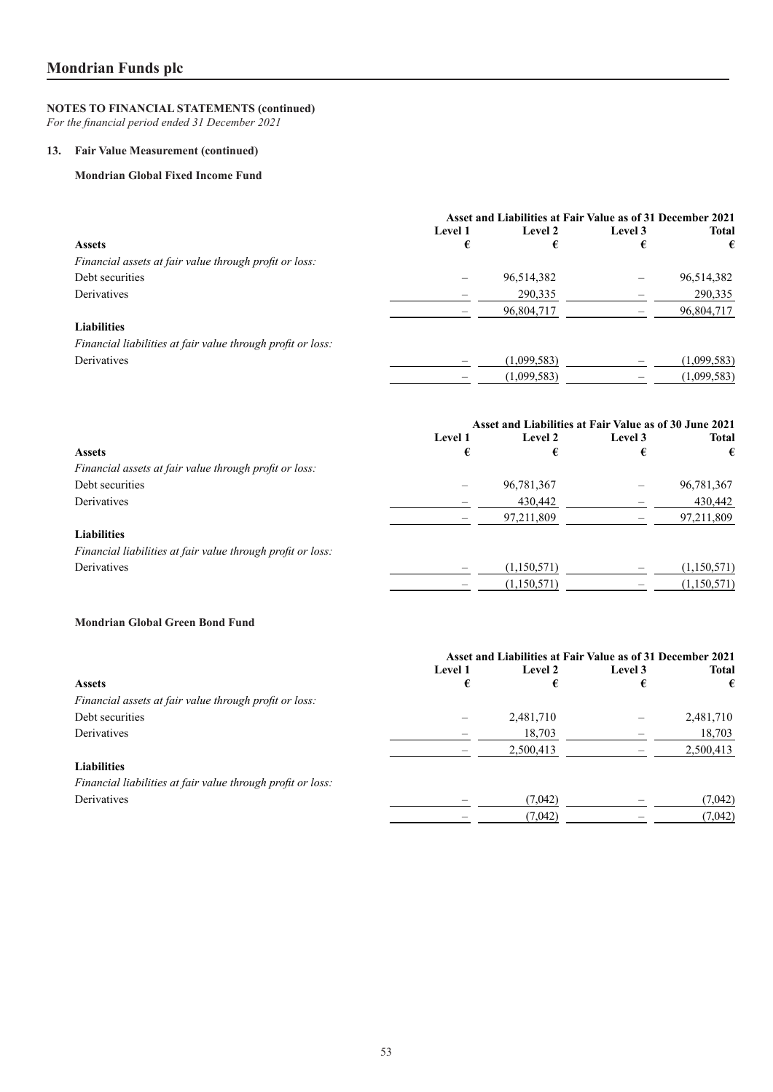# **NOTES TO FINANCIAL STATEMENTS (continued)**

*For the financial period ended 31 December 2021*

# **13. Fair Value Measurement (continued)**

# **Mondrian Global Fixed Income Fund**

|                                                             | Asset and Liabilities at Fair Value as of 31 December 2021 |             |         |              |
|-------------------------------------------------------------|------------------------------------------------------------|-------------|---------|--------------|
|                                                             | <b>Level 1</b>                                             | Level 2     | Level 3 | <b>Total</b> |
| <b>Assets</b>                                               | €                                                          | €           | €       | €            |
| Financial assets at fair value through profit or loss:      |                                                            |             |         |              |
| Debt securities                                             |                                                            | 96,514,382  |         | 96,514,382   |
| Derivatives                                                 |                                                            | 290,335     |         | 290,335      |
|                                                             |                                                            | 96,804,717  |         | 96,804,717   |
| <b>Liabilities</b>                                          |                                                            |             |         |              |
| Financial liabilities at fair value through profit or loss: |                                                            |             |         |              |
| Derivatives                                                 |                                                            | (1,099,583) |         | (1,099,583)  |
|                                                             |                                                            | (1,099,583) |         | (1,099,583)  |

|                                                             | Asset and Liabilities at Fair Value as of 30 June 2021 |                |         |              |
|-------------------------------------------------------------|--------------------------------------------------------|----------------|---------|--------------|
|                                                             | Level 1                                                | <b>Level 2</b> | Level 3 | <b>Total</b> |
| <b>Assets</b>                                               | €                                                      | €              | €       | €            |
| Financial assets at fair value through profit or loss:      |                                                        |                |         |              |
| Debt securities                                             |                                                        | 96,781,367     |         | 96,781,367   |
| <b>Derivatives</b>                                          |                                                        | 430,442        |         | 430,442      |
|                                                             |                                                        | 97,211,809     |         | 97,211,809   |
| <b>Liabilities</b>                                          |                                                        |                |         |              |
| Financial liabilities at fair value through profit or loss: |                                                        |                |         |              |
| Derivatives                                                 |                                                        | (1,150,571)    |         | (1,150,571)  |
|                                                             |                                                        | (1,150,571)    |         | (1,150,571)  |

# **Mondrian Global Green Bond Fund**

|                                                             | Asset and Liabilities at Fair Value as of 31 December 2021 |                |         |           |
|-------------------------------------------------------------|------------------------------------------------------------|----------------|---------|-----------|
|                                                             | <b>Level 1</b>                                             | <b>Level 2</b> | Level 3 | Total     |
| <b>Assets</b>                                               | €                                                          | €              | €       | €         |
| Financial assets at fair value through profit or loss:      |                                                            |                |         |           |
| Debt securities                                             |                                                            | 2,481,710      |         | 2,481,710 |
| Derivatives                                                 |                                                            | 18,703         |         | 18,703    |
|                                                             |                                                            | 2,500,413      |         | 2,500,413 |
| <b>Liabilities</b>                                          |                                                            |                |         |           |
| Financial liabilities at fair value through profit or loss: |                                                            |                |         |           |
| Derivatives                                                 |                                                            | (7,042)        |         | (7,042)   |
|                                                             |                                                            | (7,042)        |         | (7,042)   |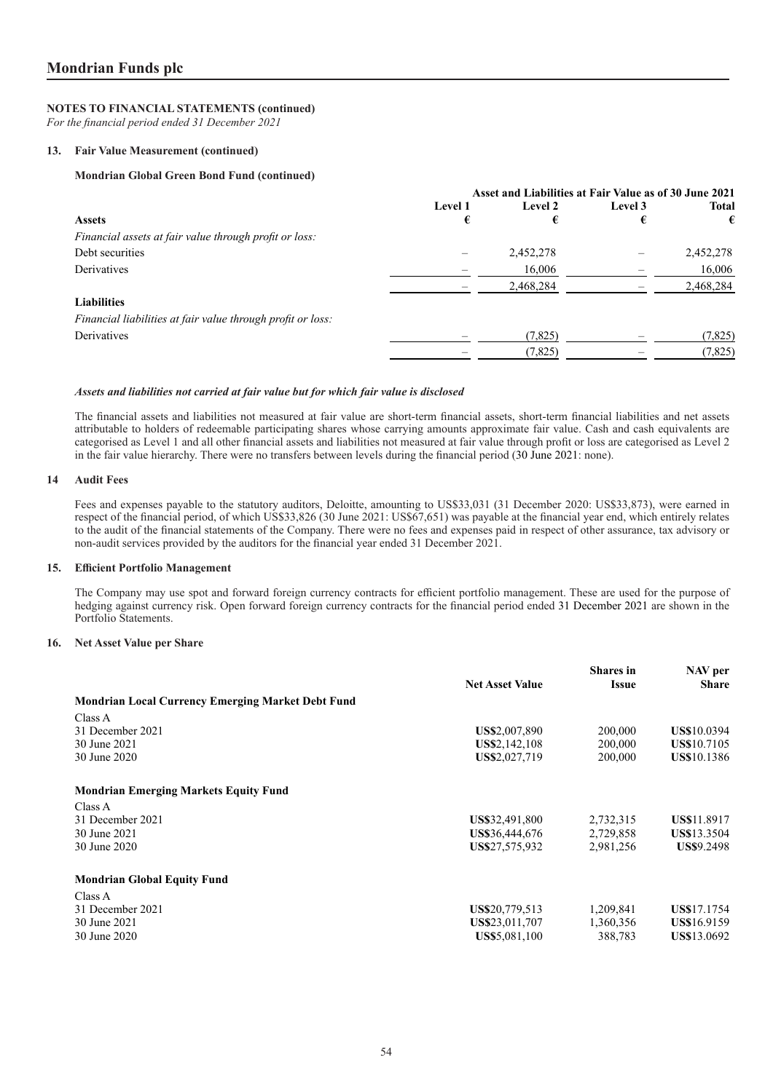*For the financial period ended 31 December 2021*

#### **13. Fair Value Measurement (continued)**

#### **Mondrian Global Green Bond Fund (continued)**

|                                                             | Asset and Liabilities at Fair Value as of 30 June 2021 |           |         |              |
|-------------------------------------------------------------|--------------------------------------------------------|-----------|---------|--------------|
|                                                             | <b>Level 1</b>                                         | Level 2   | Level 3 | <b>Total</b> |
| <b>Assets</b>                                               | €                                                      | €         | €       | €            |
| Financial assets at fair value through profit or loss:      |                                                        |           |         |              |
| Debt securities                                             |                                                        | 2,452,278 |         | 2,452,278    |
| Derivatives                                                 |                                                        | 16,006    |         | 16,006       |
|                                                             |                                                        | 2,468,284 |         | 2,468,284    |
| <b>Liabilities</b>                                          |                                                        |           |         |              |
| Financial liabilities at fair value through profit or loss: |                                                        |           |         |              |
| Derivatives                                                 |                                                        | (7, 825)  |         | (7, 825)     |
|                                                             |                                                        | (7, 825)  |         | (7, 825)     |

#### *Assets and liabilities not carried at fair value but for which fair value is disclosed*

The financial assets and liabilities not measured at fair value are short-term financial assets, short-term financial liabilities and net assets attributable to holders of redeemable participating shares whose carrying amounts approximate fair value. Cash and cash equivalents are categorised as Level 1 and all other financial assets and liabilities not measured at fair value through profit or loss are categorised as Level 2 in the fair value hierarchy. There were no transfers between levels during the financial period (30 June 2021: none).

#### **14 Audit Fees**

Fees and expenses payable to the statutory auditors, Deloitte, amounting to US\$33,031 (31 December 2020: US\$33,873), were earned in respect of the financial period, of which US\$33,826 (30 June 2021: US\$67,651) was payable at the financial year end, which entirely relates to the audit of the financial statements of the Company. There were no fees and expenses paid in respect of other assurance, tax advisory or non-audit services provided by the auditors for the financial year ended 31 December 2021.

#### **15. Efficient Portfolio Management**

The Company may use spot and forward foreign currency contracts for efficient portfolio management. These are used for the purpose of hedging against currency risk. Open forward foreign currency contracts for the financial period ended 31 December 2021 are shown in the Portfolio Statements.

## **16. Net Asset Value per Share**

|                                                          | <b>Net Asset Value</b> | <b>Shares</b> in<br>Issue | NAV per<br><b>Share</b> |
|----------------------------------------------------------|------------------------|---------------------------|-------------------------|
| <b>Mondrian Local Currency Emerging Market Debt Fund</b> |                        |                           |                         |
| Class A                                                  |                        |                           |                         |
| 31 December 2021                                         | <b>US\$2,007,890</b>   | 200,000                   | <b>US\$10.0394</b>      |
| 30 June 2021                                             | <b>US\$2,142,108</b>   | 200,000                   | <b>US\$10.7105</b>      |
| 30 June 2020                                             | US\$2,027,719          | 200,000                   | <b>US\$10.1386</b>      |
| <b>Mondrian Emerging Markets Equity Fund</b>             |                        |                           |                         |
| Class A                                                  |                        |                           |                         |
| 31 December 2021                                         | US\$32,491,800         | 2,732,315                 | <b>US\$11.8917</b>      |
| 30 June 2021                                             | US\$36,444,676         | 2,729,858                 | <b>US\$13.3504</b>      |
| 30 June 2020                                             | US\$27,575,932         | 2,981,256                 | <b>US\$9.2498</b>       |
| <b>Mondrian Global Equity Fund</b>                       |                        |                           |                         |
| Class A                                                  |                        |                           |                         |
| 31 December 2021                                         | US\$20,779,513         | 1,209,841                 | <b>US\$17.1754</b>      |
| 30 June 2021                                             | US\$23,011,707         | 1,360,356                 | <b>US\$16.9159</b>      |
| 30 June 2020                                             | <b>US\$5,081,100</b>   | 388,783                   | <b>US\$13.0692</b>      |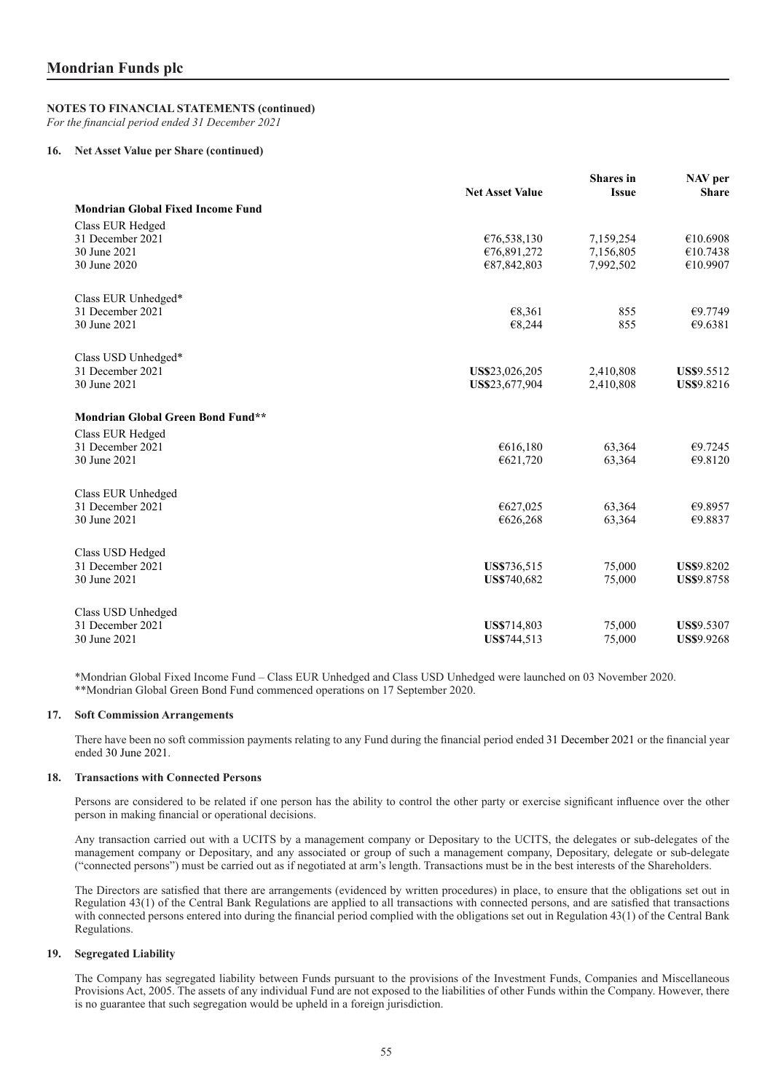*For the financial period ended 31 December 2021*

## **16. Net Asset Value per Share (continued)**

|                                          | <b>Net Asset Value</b> | <b>Shares</b> in<br><b>Issue</b> | NAV per<br><b>Share</b> |
|------------------------------------------|------------------------|----------------------------------|-------------------------|
| <b>Mondrian Global Fixed Income Fund</b> |                        |                                  |                         |
| Class EUR Hedged                         |                        |                                  |                         |
| 31 December 2021                         | €76,538,130            | 7,159,254                        | €10.6908                |
| 30 June 2021                             | €76,891,272            | 7,156,805                        | €10.7438                |
| 30 June 2020                             | €87,842,803            | 7,992,502                        | €10.9907                |
| Class EUR Unhedged*                      |                        |                                  |                         |
| 31 December 2021                         | €8,361                 | 855                              | €9.7749                 |
| 30 June 2021                             | €8,244                 | 855                              | €9.6381                 |
| Class USD Unhedged*                      |                        |                                  |                         |
| 31 December 2021                         | US\$23,026,205         | 2,410,808                        | US\$9.5512              |
| 30 June 2021                             | US\$23,677,904         | 2,410,808                        | <b>US\$9.8216</b>       |
| <b>Mondrian Global Green Bond Fund**</b> |                        |                                  |                         |
| Class EUR Hedged                         |                        |                                  |                         |
| 31 December 2021                         | €616,180               | 63,364                           | €9.7245                 |
| 30 June 2021                             | €621,720               | 63,364                           | €9.8120                 |
| Class EUR Unhedged                       |                        |                                  |                         |
| 31 December 2021                         | €627,025               | 63,364                           | €9.8957                 |
| 30 June 2021                             | €626,268               | 63,364                           | €9.8837                 |
| Class USD Hedged                         |                        |                                  |                         |
| 31 December 2021                         | <b>US\$736,515</b>     | 75,000                           | <b>US\$9.8202</b>       |
| 30 June 2021                             | <b>US\$740,682</b>     | 75,000                           | <b>US\$9.8758</b>       |
| Class USD Unhedged                       |                        |                                  |                         |
| 31 December 2021                         | <b>US\$714,803</b>     | 75,000                           | <b>US\$9.5307</b>       |
| 30 June 2021                             | <b>US\$744,513</b>     | 75,000                           | <b>US\$9.9268</b>       |

\*Mondrian Global Fixed Income Fund – Class EUR Unhedged and Class USD Unhedged were launched on 03 November 2020. \*\*Mondrian Global Green Bond Fund commenced operations on 17 September 2020.

## **17. Soft Commission Arrangements**

There have been no soft commission payments relating to any Fund during the financial period ended 31 December 2021 or the financial year ended 30 June 2021.

#### **18. Transactions with Connected Persons**

Persons are considered to be related if one person has the ability to control the other party or exercise significant influence over the other person in making financial or operational decisions.

Any transaction carried out with a UCITS by a management company or Depositary to the UCITS, the delegates or sub-delegates of the management company or Depositary, and any associated or group of such a management company, Depositary, delegate or sub-delegate ("connected persons") must be carried out as if negotiated at arm's length. Transactions must be in the best interests of the Shareholders.

The Directors are satisfied that there are arrangements (evidenced by written procedures) in place, to ensure that the obligations set out in Regulation 43(1) of the Central Bank Regulations are applied to all transactions with connected persons, and are satisfied that transactions with connected persons entered into during the financial period complied with the obligations set out in Regulation 43(1) of the Central Bank Regulations.

## **19. Segregated Liability**

The Company has segregated liability between Funds pursuant to the provisions of the Investment Funds, Companies and Miscellaneous Provisions Act, 2005. The assets of any individual Fund are not exposed to the liabilities of other Funds within the Company. However, there is no guarantee that such segregation would be upheld in a foreign jurisdiction.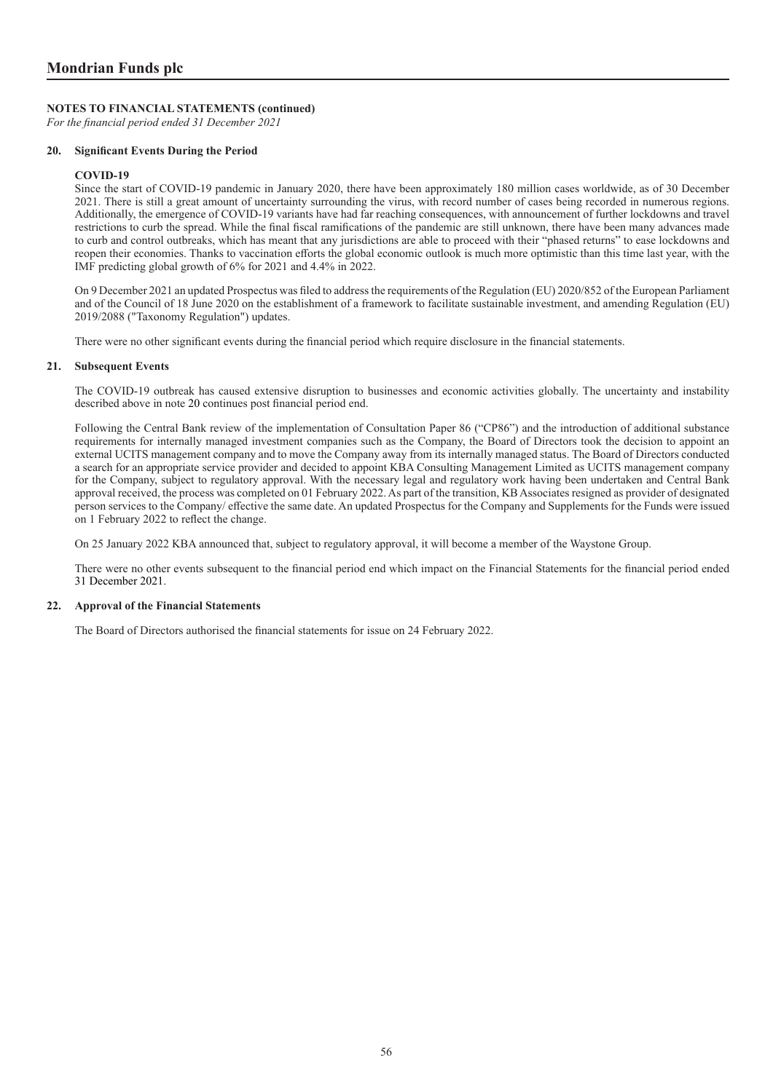*For the financial period ended 31 December 2021*

## **20. Significant Events During the Period**

#### **COVID-19**

Since the start of COVID-19 pandemic in January 2020, there have been approximately 180 million cases worldwide, as of 30 December 2021. There is still a great amount of uncertainty surrounding the virus, with record number of cases being recorded in numerous regions. Additionally, the emergence of COVID-19 variants have had far reaching consequences, with announcement of further lockdowns and travel restrictions to curb the spread. While the final fiscal ramifications of the pandemic are still unknown, there have been many advances made to curb and control outbreaks, which has meant that any jurisdictions are able to proceed with their "phased returns" to ease lockdowns and reopen their economies. Thanks to vaccination efforts the global economic outlook is much more optimistic than this time last year, with the IMF predicting global growth of 6% for 2021 and 4.4% in 2022.

On 9 December 2021 an updated Prospectus was filed to address the requirements of the Regulation (EU) 2020/852 of the European Parliament and of the Council of 18 June 2020 on the establishment of a framework to facilitate sustainable investment, and amending Regulation (EU) 2019/2088 ("Taxonomy Regulation") updates.

There were no other significant events during the financial period which require disclosure in the financial statements.

#### **21. Subsequent Events**

The COVID-19 outbreak has caused extensive disruption to businesses and economic activities globally. The uncertainty and instability described above in note 20 continues post financial period end.

Following the Central Bank review of the implementation of Consultation Paper 86 ("CP86") and the introduction of additional substance requirements for internally managed investment companies such as the Company, the Board of Directors took the decision to appoint an external UCITS management company and to move the Company away from its internally managed status. The Board of Directors conducted a search for an appropriate service provider and decided to appoint KBA Consulting Management Limited as UCITS management company for the Company, subject to regulatory approval. With the necessary legal and regulatory work having been undertaken and Central Bank approval received, the process was completed on 01 February 2022. As part of the transition, KB Associates resigned as provider of designated person services to the Company/ effective the same date. An updated Prospectus for the Company and Supplements for the Funds were issued on 1 February 2022 to reflect the change.

On 25 January 2022 KBA announced that, subject to regulatory approval, it will become a member of the Waystone Group.

There were no other events subsequent to the financial period end which impact on the Financial Statements for the financial period ended 31 December 2021.

## **22. Approval of the Financial Statements**

The Board of Directors authorised the financial statements for issue on 24 February 2022.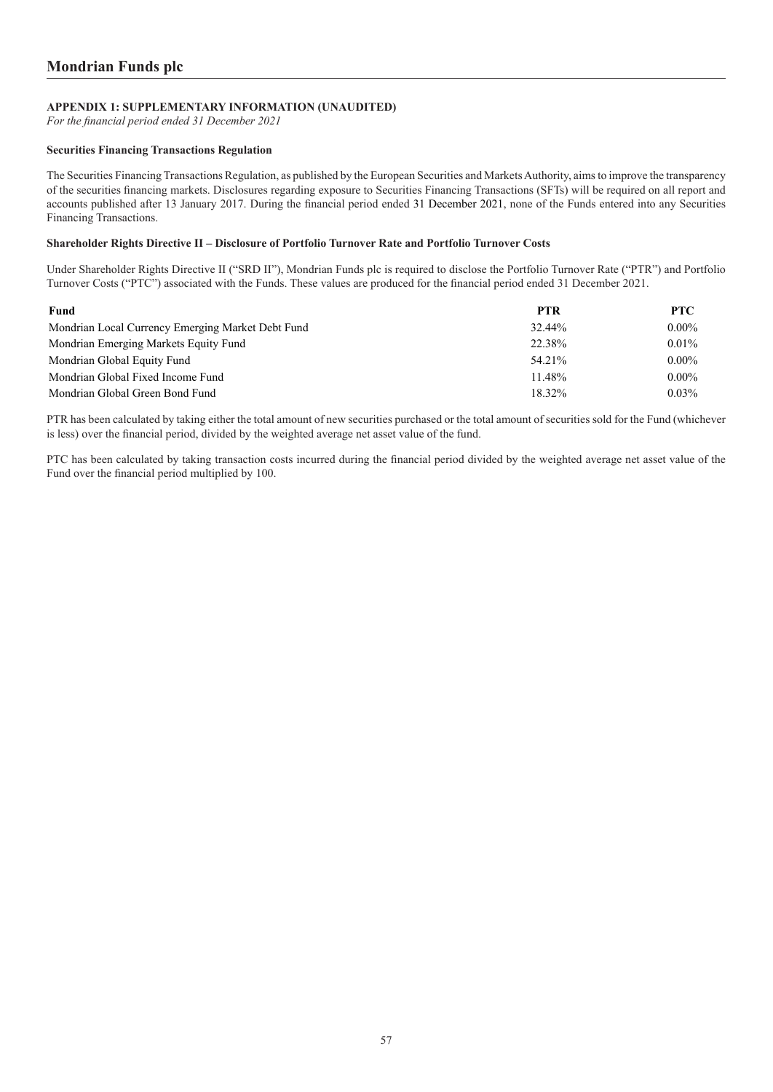# <span id="page-58-0"></span>**APPENDIX 1: SUPPLEMENTARY INFORMATION (UNAUDITED)**

*For the financial period ended 31 December 2021*

## **Securities Financing Transactions Regulation**

The Securities Financing Transactions Regulation, as published by the European Securities and Markets Authority, aims to improve the transparency of the securities financing markets. Disclosures regarding exposure to Securities Financing Transactions (SFTs) will be required on all report and accounts published after 13 January 2017. During the financial period ended 31 December 2021, none of the Funds entered into any Securities Financing Transactions.

#### **Shareholder Rights Directive II – Disclosure of Portfolio Turnover Rate and Portfolio Turnover Costs**

Under Shareholder Rights Directive II ("SRD II"), Mondrian Funds plc is required to disclose the Portfolio Turnover Rate ("PTR") and Portfolio Turnover Costs ("PTC") associated with the Funds. These values are produced for the financial period ended 31 December 2021.

| Fund                                              | <b>PTR</b> | <b>PTC</b> |
|---------------------------------------------------|------------|------------|
| Mondrian Local Currency Emerging Market Debt Fund | 32.44%     | $0.00\%$   |
| Mondrian Emerging Markets Equity Fund             | 22.38%     | $0.01\%$   |
| Mondrian Global Equity Fund                       | 54.21%     | $0.00\%$   |
| Mondrian Global Fixed Income Fund                 | 11.48%     | $0.00\%$   |
| Mondrian Global Green Bond Fund                   | 18.32%     | $0.03\%$   |

PTR has been calculated by taking either the total amount of new securities purchased or the total amount of securities sold for the Fund (whichever is less) over the financial period, divided by the weighted average net asset value of the fund.

PTC has been calculated by taking transaction costs incurred during the financial period divided by the weighted average net asset value of the Fund over the financial period multiplied by 100.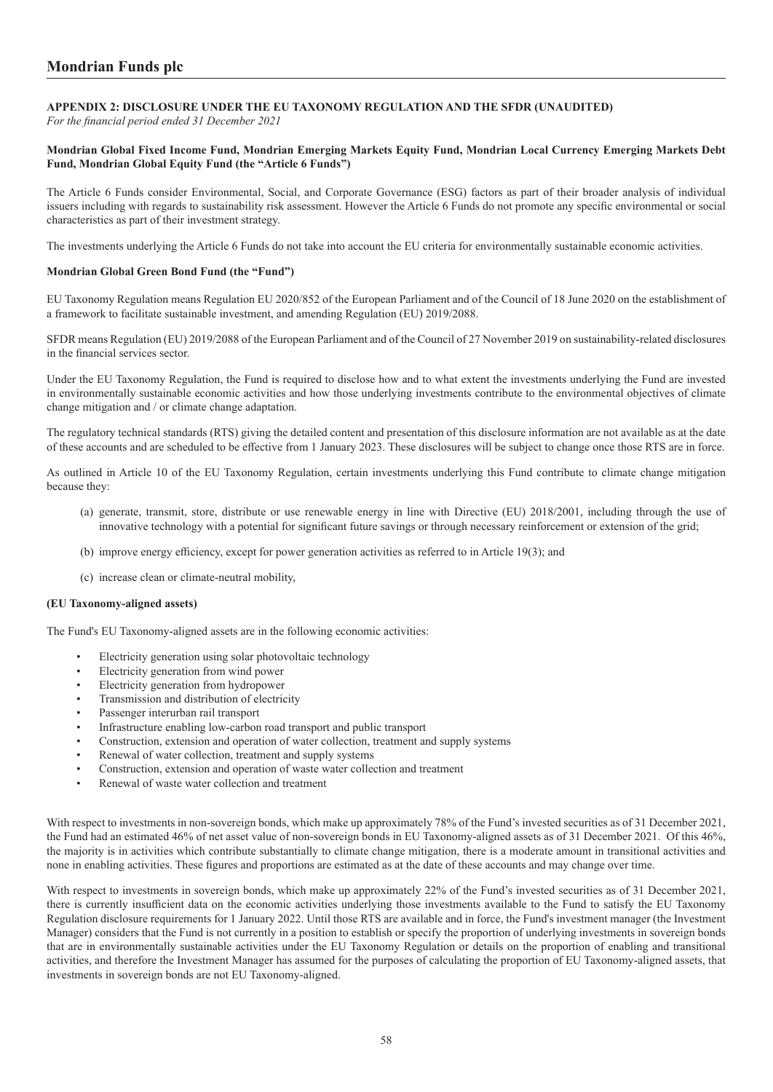## <span id="page-59-0"></span>**APPENDIX 2: DISCLOSURE UNDER THE EU TAXONOMY REGULATION AND THE SFDR (UNAUDITED)** *For the financial period ended 31 December 2021*

# **Mondrian Global Fixed Income Fund, Mondrian Emerging Markets Equity Fund, Mondrian Local Currency Emerging Markets Debt Fund, Mondrian Global Equity Fund (the "Article 6 Funds")**

The Article 6 Funds consider Environmental, Social, and Corporate Governance (ESG) factors as part of their broader analysis of individual issuers including with regards to sustainability risk assessment. However the Article 6 Funds do not promote any specific environmental or social characteristics as part of their investment strategy.

The investments underlying the Article 6 Funds do not take into account the EU criteria for environmentally sustainable economic activities.

# **Mondrian Global Green Bond Fund (the "Fund")**

EU Taxonomy Regulation means Regulation EU 2020/852 of the European Parliament and of the Council of 18 June 2020 on the establishment of a framework to facilitate sustainable investment, and amending Regulation (EU) 2019/2088.

SFDR means Regulation (EU) 2019/2088 of the European Parliament and of the Council of 27 November 2019 on sustainability-related disclosures in the financial services sector.

Under the EU Taxonomy Regulation, the Fund is required to disclose how and to what extent the investments underlying the Fund are invested in environmentally sustainable economic activities and how those underlying investments contribute to the environmental objectives of climate change mitigation and / or climate change adaptation.

The regulatory technical standards (RTS) giving the detailed content and presentation of this disclosure information are not available as at the date of these accounts and are scheduled to be effective from 1 January 2023. These disclosures will be subject to change once those RTS are in force.

As outlined in Article 10 of the EU Taxonomy Regulation, certain investments underlying this Fund contribute to climate change mitigation because they:

- (a) generate, transmit, store, distribute or use renewable energy in line with Directive (EU) 2018/2001, including through the use of innovative technology with a potential for significant future savings or through necessary reinforcement or extension of the grid;
- (b) improve energy efficiency, except for power generation activities as referred to in Article 19(3); and
- (c) increase clean or climate-neutral mobility,

## **(EU Taxonomy-aligned assets)**

The Fund's EU Taxonomy-aligned assets are in the following economic activities:

- Electricity generation using solar photovoltaic technology
- Electricity generation from wind power
- Electricity generation from hydropower
- Transmission and distribution of electricity
- Passenger interurban rail transport
- Infrastructure enabling low-carbon road transport and public transport
- Construction, extension and operation of water collection, treatment and supply systems
- Renewal of water collection, treatment and supply systems
- Construction, extension and operation of waste water collection and treatment
- Renewal of waste water collection and treatment

With respect to investments in non-sovereign bonds, which make up approximately 78% of the Fund's invested securities as of 31 December 2021, the Fund had an estimated 46% of net asset value of non-sovereign bonds in EU Taxonomy-aligned assets as of 31 December 2021. Of this 46%, the majority is in activities which contribute substantially to climate change mitigation, there is a moderate amount in transitional activities and none in enabling activities. These figures and proportions are estimated as at the date of these accounts and may change over time.

With respect to investments in sovereign bonds, which make up approximately 22% of the Fund's invested securities as of 31 December 2021, there is currently insufficient data on the economic activities underlying those investments available to the Fund to satisfy the EU Taxonomy Regulation disclosure requirements for 1 January 2022. Until those RTS are available and in force, the Fund's investment manager (the Investment Manager) considers that the Fund is not currently in a position to establish or specify the proportion of underlying investments in sovereign bonds that are in environmentally sustainable activities under the EU Taxonomy Regulation or details on the proportion of enabling and transitional activities, and therefore the Investment Manager has assumed for the purposes of calculating the proportion of EU Taxonomy-aligned assets, that investments in sovereign bonds are not EU Taxonomy-aligned.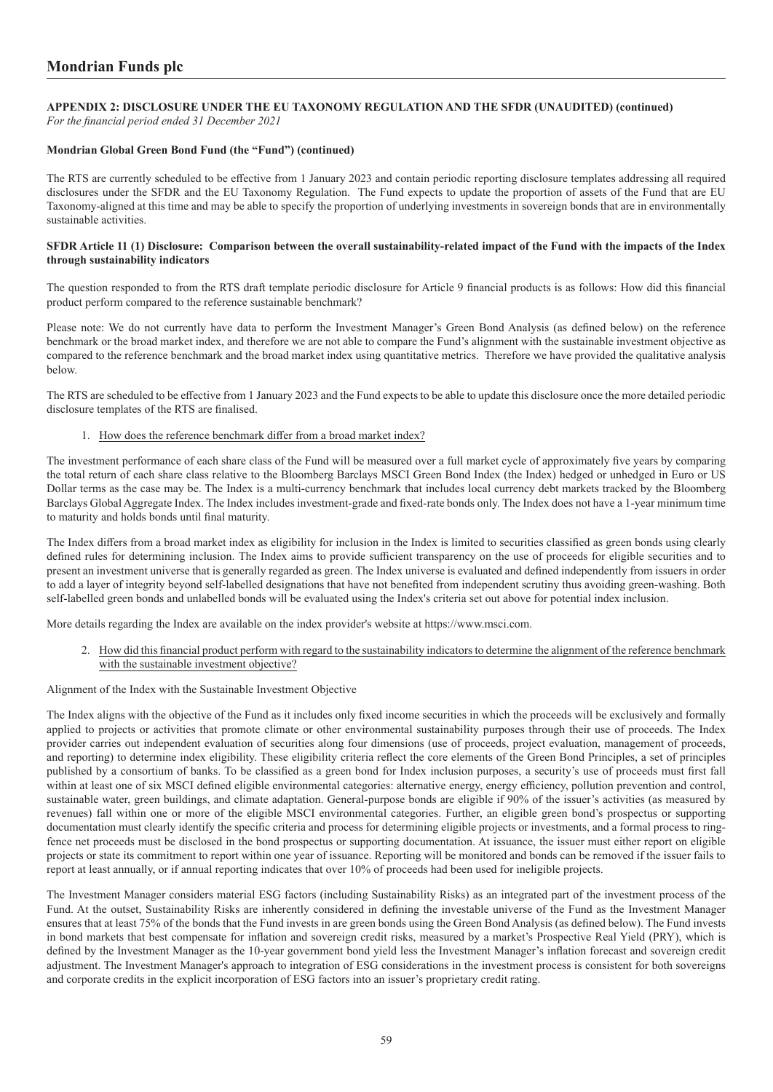## **APPENDIX 2: DISCLOSURE UNDER THE EU TAXONOMY REGULATION AND THE SFDR (UNAUDITED) (continued)** *For the financial period ended 31 December 2021*

# **Mondrian Global Green Bond Fund (the "Fund") (continued)**

The RTS are currently scheduled to be effective from 1 January 2023 and contain periodic reporting disclosure templates addressing all required disclosures under the SFDR and the EU Taxonomy Regulation. The Fund expects to update the proportion of assets of the Fund that are EU Taxonomy-aligned at this time and may be able to specify the proportion of underlying investments in sovereign bonds that are in environmentally sustainable activities.

## **SFDR Article 11 (1) Disclosure: Comparison between the overall sustainability-related impact of the Fund with the impacts of the Index through sustainability indicators**

The question responded to from the RTS draft template periodic disclosure for Article 9 financial products is as follows: How did this financial product perform compared to the reference sustainable benchmark?

Please note: We do not currently have data to perform the Investment Manager's Green Bond Analysis (as defined below) on the reference benchmark or the broad market index, and therefore we are not able to compare the Fund's alignment with the sustainable investment objective as compared to the reference benchmark and the broad market index using quantitative metrics. Therefore we have provided the qualitative analysis below.

The RTS are scheduled to be effective from 1 January 2023 and the Fund expects to be able to update this disclosure once the more detailed periodic disclosure templates of the RTS are finalised.

## 1. How does the reference benchmark differ from a broad market index?

The investment performance of each share class of the Fund will be measured over a full market cycle of approximately five years by comparing the total return of each share class relative to the Bloomberg Barclays MSCI Green Bond Index (the Index) hedged or unhedged in Euro or US Dollar terms as the case may be. The Index is a multi-currency benchmark that includes local currency debt markets tracked by the Bloomberg Barclays Global Aggregate Index. The Index includes investment-grade and fixed-rate bonds only. The Index does not have a 1-year minimum time to maturity and holds bonds until final maturity.

The Index differs from a broad market index as eligibility for inclusion in the Index is limited to securities classified as green bonds using clearly defined rules for determining inclusion. The Index aims to provide sufficient transparency on the use of proceeds for eligible securities and to present an investment universe that is generally regarded as green. The Index universe is evaluated and defined independently from issuers in order to add a layer of integrity beyond self-labelled designations that have not benefited from independent scrutiny thus avoiding green-washing. Both self-labelled green bonds and unlabelled bonds will be evaluated using the Index's criteria set out above for potential index inclusion.

More details regarding the Index are available on the index provider's website at https://www.msci.com.

2. How did this financial product perform with regard to the sustainability indicators to determine the alignment of the reference benchmark with the sustainable investment objective?

## Alignment of the Index with the Sustainable Investment Objective

The Index aligns with the objective of the Fund as it includes only fixed income securities in which the proceeds will be exclusively and formally applied to projects or activities that promote climate or other environmental sustainability purposes through their use of proceeds. The Index provider carries out independent evaluation of securities along four dimensions (use of proceeds, project evaluation, management of proceeds, and reporting) to determine index eligibility. These eligibility criteria reflect the core elements of the Green Bond Principles, a set of principles published by a consortium of banks. To be classified as a green bond for Index inclusion purposes, a security's use of proceeds must first fall within at least one of six MSCI defined eligible environmental categories: alternative energy, energy efficiency, pollution prevention and control, sustainable water, green buildings, and climate adaptation. General-purpose bonds are eligible if 90% of the issuer's activities (as measured by revenues) fall within one or more of the eligible MSCI environmental categories. Further, an eligible green bond's prospectus or supporting documentation must clearly identify the specific criteria and process for determining eligible projects or investments, and a formal process to ringfence net proceeds must be disclosed in the bond prospectus or supporting documentation. At issuance, the issuer must either report on eligible projects or state its commitment to report within one year of issuance. Reporting will be monitored and bonds can be removed if the issuer fails to report at least annually, or if annual reporting indicates that over 10% of proceeds had been used for ineligible projects.

The Investment Manager considers material ESG factors (including Sustainability Risks) as an integrated part of the investment process of the Fund. At the outset, Sustainability Risks are inherently considered in defining the investable universe of the Fund as the Investment Manager ensures that at least 75% of the bonds that the Fund invests in are green bonds using the Green Bond Analysis (as defined below). The Fund invests in bond markets that best compensate for inflation and sovereign credit risks, measured by a market's Prospective Real Yield (PRY), which is defined by the Investment Manager as the 10-year government bond yield less the Investment Manager's inflation forecast and sovereign credit adjustment. The Investment Manager's approach to integration of ESG considerations in the investment process is consistent for both sovereigns and corporate credits in the explicit incorporation of ESG factors into an issuer's proprietary credit rating.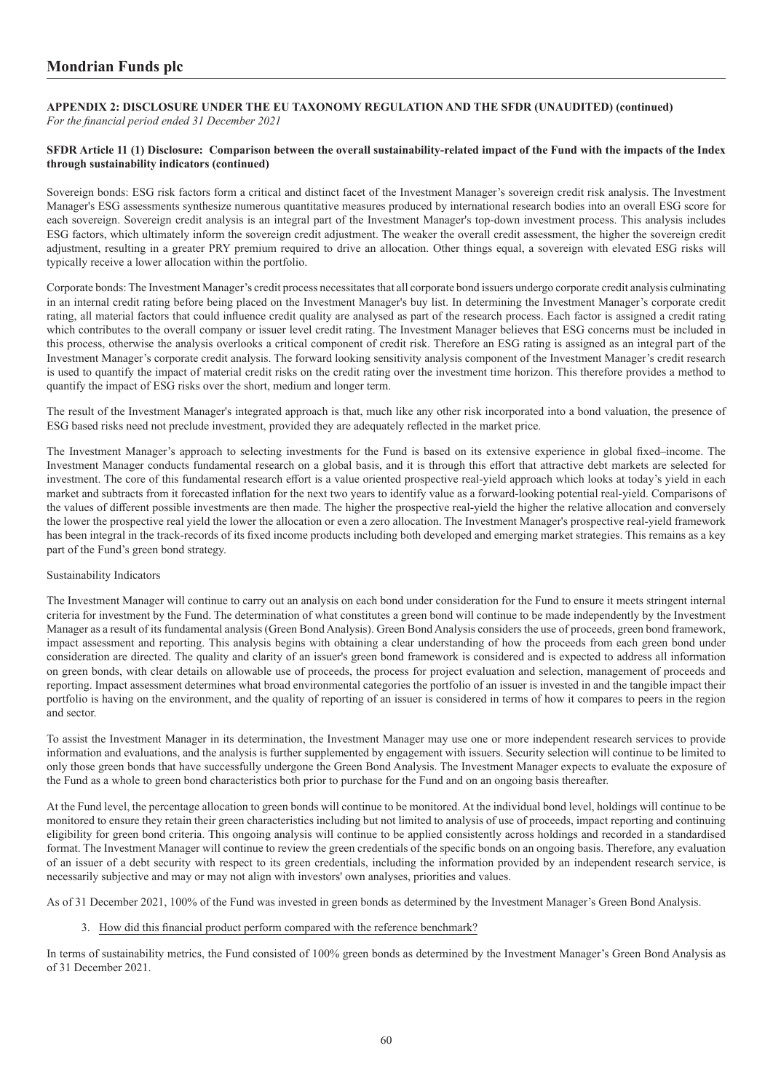# **APPENDIX 2: DISCLOSURE UNDER THE EU TAXONOMY REGULATION AND THE SFDR (UNAUDITED) (continued)** *For the financial period ended 31 December 2021*

## **SFDR Article 11 (1) Disclosure: Comparison between the overall sustainability-related impact of the Fund with the impacts of the Index through sustainability indicators (continued)**

Sovereign bonds: ESG risk factors form a critical and distinct facet of the Investment Manager's sovereign credit risk analysis. The Investment Manager's ESG assessments synthesize numerous quantitative measures produced by international research bodies into an overall ESG score for each sovereign. Sovereign credit analysis is an integral part of the Investment Manager's top-down investment process. This analysis includes ESG factors, which ultimately inform the sovereign credit adjustment. The weaker the overall credit assessment, the higher the sovereign credit adjustment, resulting in a greater PRY premium required to drive an allocation. Other things equal, a sovereign with elevated ESG risks will typically receive a lower allocation within the portfolio.

Corporate bonds: The Investment Manager's credit process necessitates that all corporate bond issuers undergo corporate credit analysis culminating in an internal credit rating before being placed on the Investment Manager's buy list. In determining the Investment Manager's corporate credit rating, all material factors that could influence credit quality are analysed as part of the research process. Each factor is assigned a credit rating which contributes to the overall company or issuer level credit rating. The Investment Manager believes that ESG concerns must be included in this process, otherwise the analysis overlooks a critical component of credit risk. Therefore an ESG rating is assigned as an integral part of the Investment Manager's corporate credit analysis. The forward looking sensitivity analysis component of the Investment Manager's credit research is used to quantify the impact of material credit risks on the credit rating over the investment time horizon. This therefore provides a method to quantify the impact of ESG risks over the short, medium and longer term.

The result of the Investment Manager's integrated approach is that, much like any other risk incorporated into a bond valuation, the presence of ESG based risks need not preclude investment, provided they are adequately reflected in the market price.

The Investment Manager's approach to selecting investments for the Fund is based on its extensive experience in global fixed–income. The Investment Manager conducts fundamental research on a global basis, and it is through this effort that attractive debt markets are selected for investment. The core of this fundamental research effort is a value oriented prospective real-yield approach which looks at today's yield in each market and subtracts from it forecasted inflation for the next two years to identify value as a forward-looking potential real-yield. Comparisons of the values of different possible investments are then made. The higher the prospective real-yield the higher the relative allocation and conversely the lower the prospective real yield the lower the allocation or even a zero allocation. The Investment Manager's prospective real-yield framework has been integral in the track-records of its fixed income products including both developed and emerging market strategies. This remains as a key part of the Fund's green bond strategy.

# Sustainability Indicators

The Investment Manager will continue to carry out an analysis on each bond under consideration for the Fund to ensure it meets stringent internal criteria for investment by the Fund. The determination of what constitutes a green bond will continue to be made independently by the Investment Manager as a result of its fundamental analysis (Green Bond Analysis). Green Bond Analysis considers the use of proceeds, green bond framework, impact assessment and reporting. This analysis begins with obtaining a clear understanding of how the proceeds from each green bond under consideration are directed. The quality and clarity of an issuer's green bond framework is considered and is expected to address all information on green bonds, with clear details on allowable use of proceeds, the process for project evaluation and selection, management of proceeds and reporting. Impact assessment determines what broad environmental categories the portfolio of an issuer is invested in and the tangible impact their portfolio is having on the environment, and the quality of reporting of an issuer is considered in terms of how it compares to peers in the region and sector.

To assist the Investment Manager in its determination, the Investment Manager may use one or more independent research services to provide information and evaluations, and the analysis is further supplemented by engagement with issuers. Security selection will continue to be limited to only those green bonds that have successfully undergone the Green Bond Analysis. The Investment Manager expects to evaluate the exposure of the Fund as a whole to green bond characteristics both prior to purchase for the Fund and on an ongoing basis thereafter.

At the Fund level, the percentage allocation to green bonds will continue to be monitored. At the individual bond level, holdings will continue to be monitored to ensure they retain their green characteristics including but not limited to analysis of use of proceeds, impact reporting and continuing eligibility for green bond criteria. This ongoing analysis will continue to be applied consistently across holdings and recorded in a standardised format. The Investment Manager will continue to review the green credentials of the specific bonds on an ongoing basis. Therefore, any evaluation of an issuer of a debt security with respect to its green credentials, including the information provided by an independent research service, is necessarily subjective and may or may not align with investors' own analyses, priorities and values.

As of 31 December 2021, 100% of the Fund was invested in green bonds as determined by the Investment Manager's Green Bond Analysis.

3. How did this financial product perform compared with the reference benchmark?

In terms of sustainability metrics, the Fund consisted of 100% green bonds as determined by the Investment Manager's Green Bond Analysis as of 31 December 2021.